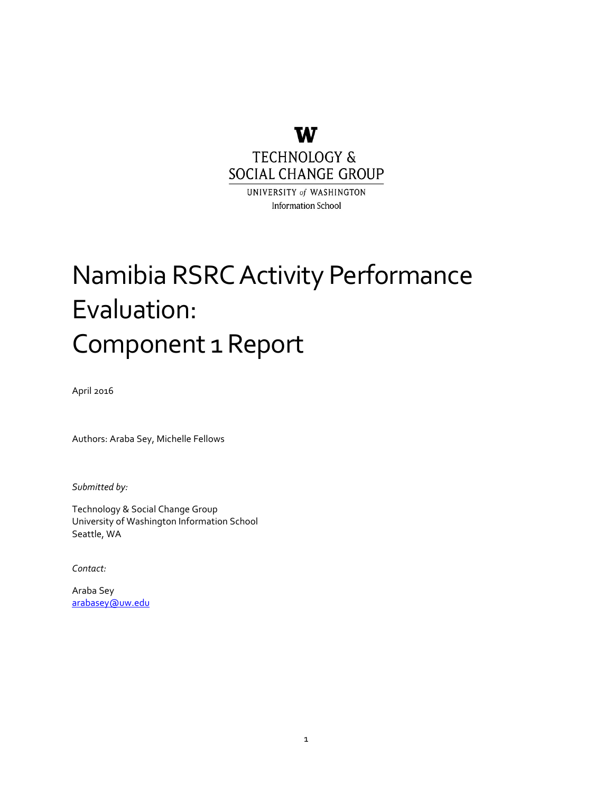

UNIVERSITY of WASHINGTON **Information School** 

## Namibia RSRC Activity Performance Evaluation: Component 1 Report

April 2016

Authors: Araba Sey, Michelle Fellows

*Submitted by:*

Technology & Social Change Group University of Washington Information School Seattle, WA

*Contact:*

Araba Sey [arabasey@uw.edu](mailto:arabasey@uw.edu)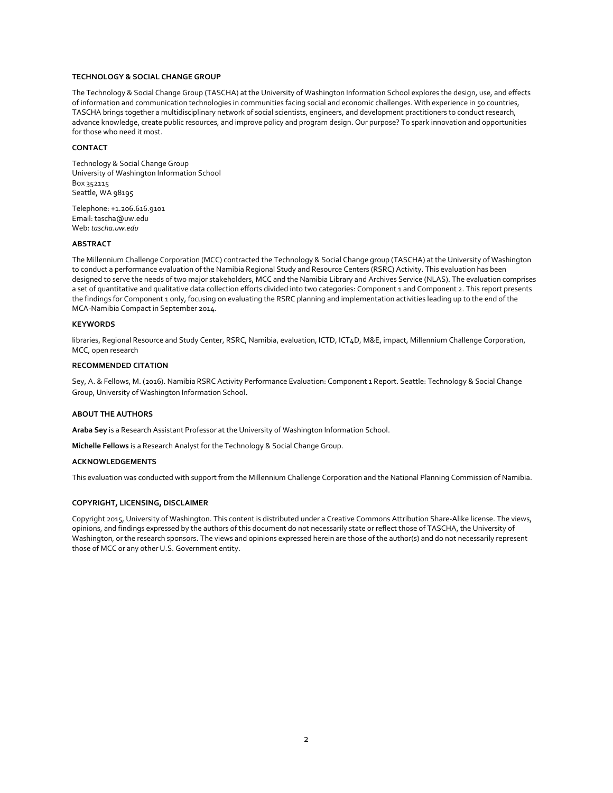#### **TECHNOLOGY & SOCIAL CHANGE GROUP**

The Technology & Social Change Group (TASCHA) at the University of Washington Information School explores the design, use, and effects of information and communication technologies in communities facing social and economic challenges. With experience in 50 countries, TASCHA brings together a multidisciplinary network of social scientists, engineers, and development practitioners to conduct research, advance knowledge, create public resources, and improve policy and program design. Our purpose? To spark innovation and opportunities for those who need it most.

#### **CONTACT**

Technology & Social Change Group University of Washington Information School Box 352115 Seattle, WA 98195

Telephone: +1.206.616.9101 Email: tascha@uw.edu Web: *tascha.uw.edu*

#### **ABSTRACT**

The Millennium Challenge Corporation (MCC) contracted the Technology & Social Change group (TASCHA) at the University of Washington to conduct a performance evaluation of the Namibia Regional Study and Resource Centers (RSRC) Activity. This evaluation has been designed to serve the needs of two major stakeholders, MCC and the Namibia Library and Archives Service (NLAS). The evaluation comprises a set of quantitative and qualitative data collection efforts divided into two categories: Component 1 and Component 2. This report presents the findings for Component 1 only, focusing on evaluating the RSRC planning and implementation activities leading up to the end of the MCA-Namibia Compact in September 2014.

#### **KEYWORDS**

libraries, Regional Resource and Study Center, RSRC, Namibia, evaluation, ICTD, ICT4D, M&E, impact, Millennium Challenge Corporation, MCC, open research

#### **RECOMMENDED CITATION**

Sey, A. & Fellows, M. (2016). Namibia RSRC Activity Performance Evaluation: Component 1 Report. Seattle: Technology & Social Change Group, University of Washington Information School.

#### **ABOUT THE AUTHORS**

**Araba Sey** is a Research Assistant Professor at the University of Washington Information School.

**Michelle Fellows** is a Research Analyst for the Technology & Social Change Group.

#### **ACKNOWLEDGEMENTS**

This evaluation was conducted with support from the Millennium Challenge Corporation and the National Planning Commission of Namibia.

#### **COPYRIGHT, LICENSING, DISCLAIMER**

Copyright 2015, University of Washington. This content is distributed under a Creative Commons Attribution Share-Alike license. The views, opinions, and findings expressed by the authors of this document do not necessarily state or reflect those of TASCHA, the University of Washington, or the research sponsors. The views and opinions expressed herein are those of the author(s) and do not necessarily represent those of MCC or any other U.S. Government entity.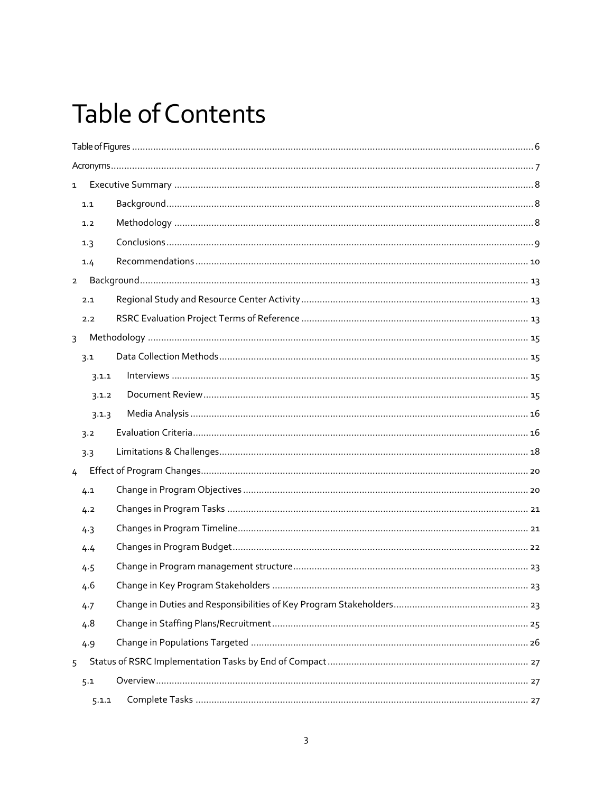## **Table of Contents**

| $\mathbf{1}$   |       |  |  |
|----------------|-------|--|--|
|                | 1.1   |  |  |
|                | 1.2   |  |  |
|                | 1.3   |  |  |
|                | 1.4   |  |  |
| $2^{\circ}$    |       |  |  |
|                | 2.1   |  |  |
|                | 2.2   |  |  |
| $\overline{3}$ |       |  |  |
|                | 3.1   |  |  |
|                | 3.1.1 |  |  |
|                | 3.1.2 |  |  |
|                | 3.1.3 |  |  |
|                | 3.2   |  |  |
|                | 3.3   |  |  |
| 4 <sup>1</sup> |       |  |  |
|                | 4.1   |  |  |
|                | 4.2   |  |  |
|                | 4.3   |  |  |
|                | 4.4   |  |  |
|                | 4.5   |  |  |
|                | 4.6   |  |  |
|                | 4.7   |  |  |
|                | 4.8   |  |  |
|                | 4.9   |  |  |
| 5              |       |  |  |
|                | 5.1   |  |  |
|                | 5.1.1 |  |  |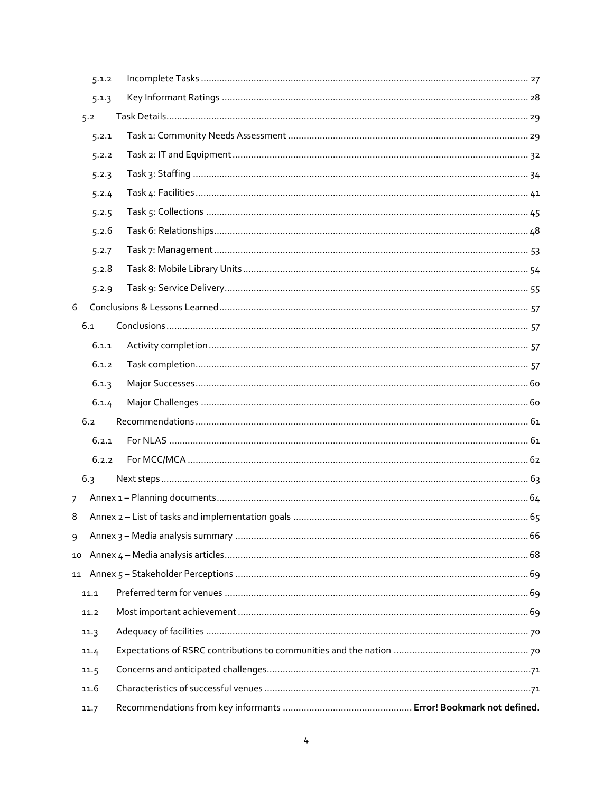|                | 5.1.2 |  |
|----------------|-------|--|
|                | 5.1.3 |  |
|                | 5.2   |  |
|                | 5.2.1 |  |
|                | 5.2.2 |  |
|                | 5.2.3 |  |
|                | 5.2.4 |  |
|                | 5.2.5 |  |
|                | 5.2.6 |  |
|                | 5.2.7 |  |
|                | 5.2.8 |  |
|                | 5.2.9 |  |
| 6              |       |  |
|                | 6.1   |  |
|                | 6.1.1 |  |
|                | 6.1.2 |  |
|                | 6.1.3 |  |
|                | 6.1.4 |  |
|                | 6.2   |  |
|                | 6.2.1 |  |
|                | 6.2.2 |  |
|                | 6.3   |  |
| $\overline{7}$ |       |  |
| 8              |       |  |
| 9              |       |  |
| 10             |       |  |
| 11             |       |  |
|                | 11.1  |  |
|                | 11.2  |  |
|                | 11.3  |  |
|                | 11.4  |  |
|                | 11.5  |  |
|                | 11.6  |  |
|                | 11.7  |  |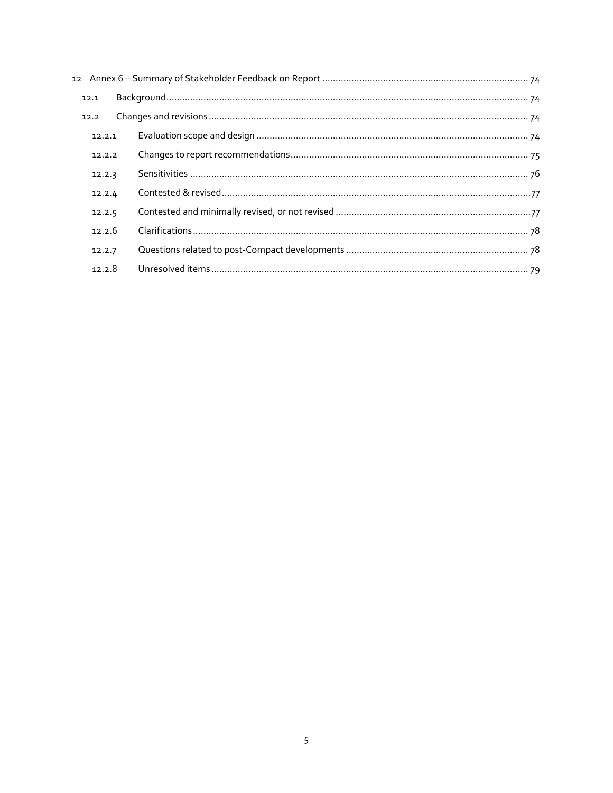| 12.1   |  |
|--------|--|
| 12.2   |  |
| 12.2.1 |  |
| 12.2.2 |  |
| 12.2.3 |  |
| 12.2.4 |  |
| 12.2.5 |  |
| 12.2.6 |  |
| 12.2.7 |  |
| 12.2.8 |  |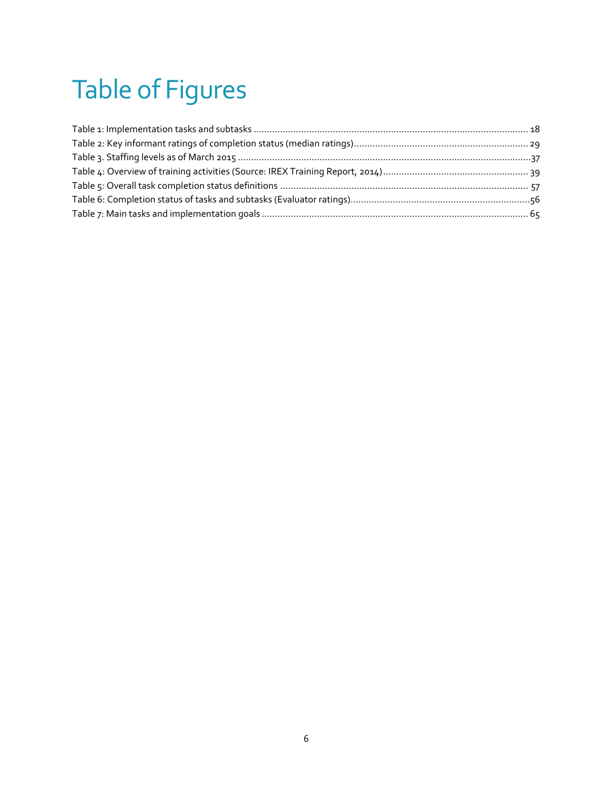# <span id="page-5-0"></span>Table of Figures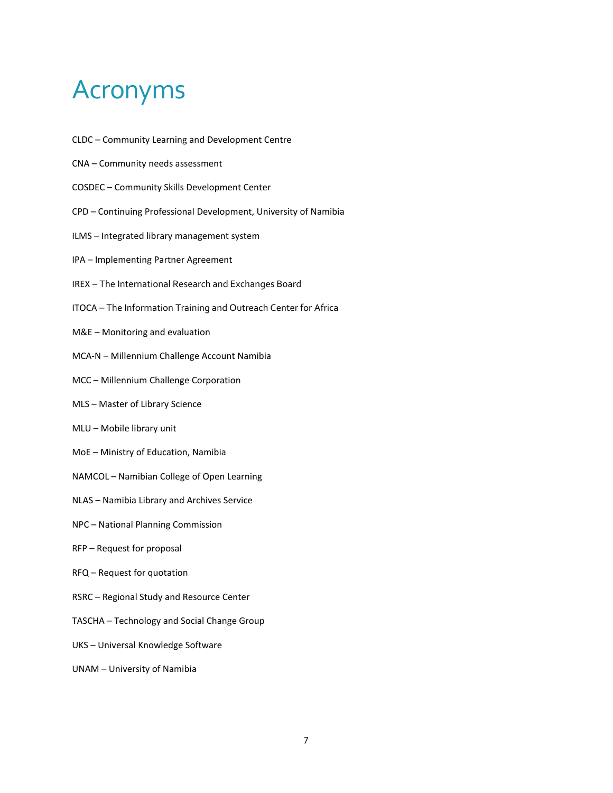## <span id="page-6-0"></span>Acronyms

- CLDC Community Learning and Development Centre
- CNA Community needs assessment
- COSDEC Community Skills Development Center
- CPD Continuing Professional Development, University of Namibia
- ILMS Integrated library management system
- IPA Implementing Partner Agreement
- IREX The International Research and Exchanges Board
- ITOCA The Information Training and Outreach Center for Africa
- M&E Monitoring and evaluation
- MCA-N Millennium Challenge Account Namibia
- MCC Millennium Challenge Corporation
- MLS Master of Library Science
- MLU Mobile library unit
- MoE Ministry of Education, Namibia
- NAMCOL Namibian College of Open Learning
- NLAS Namibia Library and Archives Service
- NPC National Planning Commission
- RFP Request for proposal
- RFQ Request for quotation
- RSRC Regional Study and Resource Center
- TASCHA Technology and Social Change Group
- UKS Universal Knowledge Software
- UNAM University of Namibia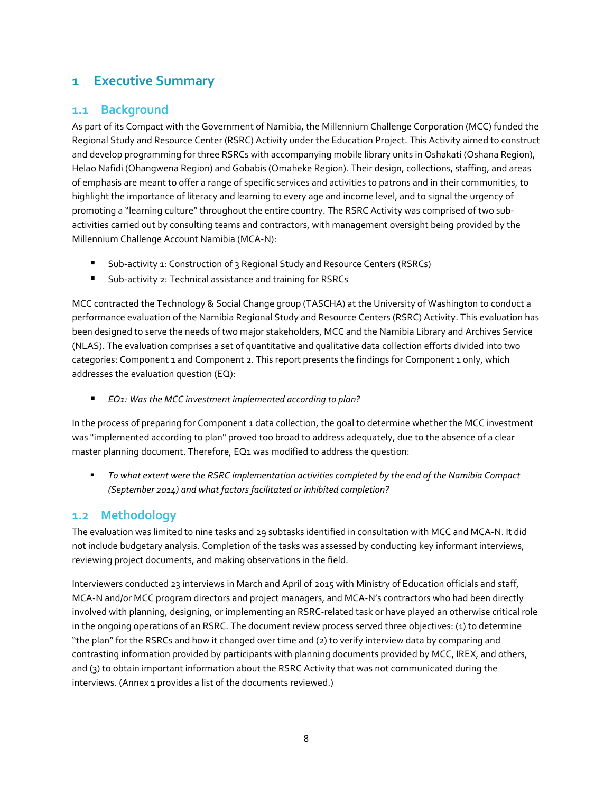## <span id="page-7-0"></span>**1 Executive Summary**

## <span id="page-7-1"></span>**1.1 Background**

As part of its Compact with the Government of Namibia, the Millennium Challenge Corporation (MCC) funded the Regional Study and Resource Center (RSRC) Activity under the Education Project. This Activity aimed to construct and develop programming for three RSRCs with accompanying mobile library units in Oshakati (Oshana Region), Helao Nafidi (Ohangwena Region) and Gobabis (Omaheke Region). Their design, collections, staffing, and areas of emphasis are meant to offer a range of specific services and activities to patrons and in their communities, to highlight the importance of literacy and learning to every age and income level, and to signal the urgency of promoting a "learning culture" throughout the entire country. The RSRC Activity was comprised of two subactivities carried out by consulting teams and contractors, with management oversight being provided by the Millennium Challenge Account Namibia (MCA-N):

- Sub-activity 1: Construction of 3 Regional Study and Resource Centers (RSRCs)
- Sub-activity 2: Technical assistance and training for RSRCs

MCC contracted the Technology & Social Change group (TASCHA) at the University of Washington to conduct a performance evaluation of the Namibia Regional Study and Resource Centers (RSRC) Activity. This evaluation has been designed to serve the needs of two major stakeholders, MCC and the Namibia Library and Archives Service (NLAS). The evaluation comprises a set of quantitative and qualitative data collection efforts divided into two categories: Component 1 and Component 2. This report presents the findings for Component 1 only, which addresses the evaluation question (EQ):

*EQ1: Was the MCC investment implemented according to plan?* 

In the process of preparing for Component 1 data collection, the goal to determine whether the MCC investment was "implemented according to plan" proved too broad to address adequately, due to the absence of a clear master planning document. Therefore, EQ1 was modified to address the question:

 *To what extent were the RSRC implementation activities completed by the end of the Namibia Compact (September 2014) and what factors facilitated or inhibited completion?*

## <span id="page-7-2"></span>**1.2 Methodology**

The evaluation was limited to nine tasks and 29 subtasks identified in consultation with MCC and MCA-N. It did not include budgetary analysis. Completion of the tasks was assessed by conducting key informant interviews, reviewing project documents, and making observations in the field.

Interviewers conducted 23 interviews in March and April of 2015 with Ministry of Education officials and staff, MCA-N and/or MCC program directors and project managers, and MCA-N's contractors who had been directly involved with planning, designing, or implementing an RSRC-related task or have played an otherwise critical role in the ongoing operations of an RSRC. The document review process served three objectives: (1) to determine "the plan" for the RSRCs and how it changed over time and (2) to verify interview data by comparing and contrasting information provided by participants with planning documents provided by MCC, IREX, and others, and (3) to obtain important information about the RSRC Activity that was not communicated during the interviews. (Annex 1 provides a list of the documents reviewed.)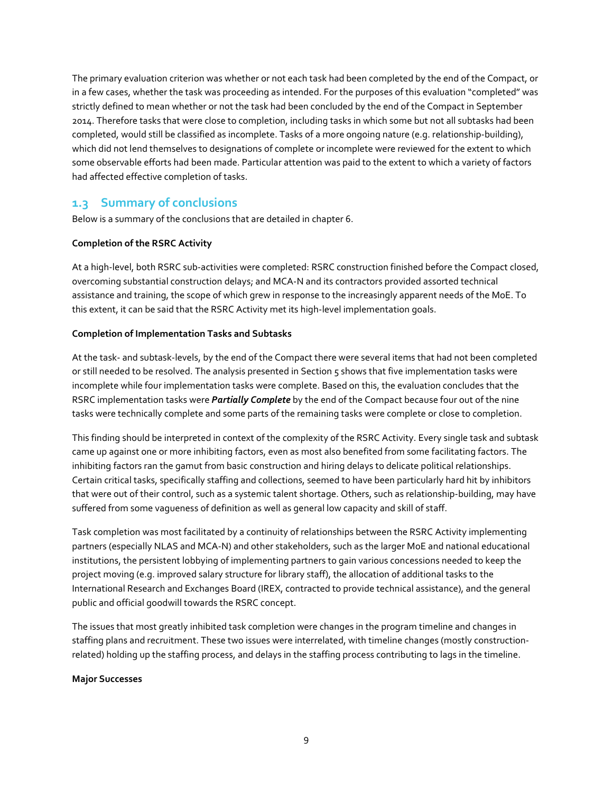The primary evaluation criterion was whether or not each task had been completed by the end of the Compact, or in a few cases, whether the task was proceeding as intended. For the purposes of this evaluation "completed" was strictly defined to mean whether or not the task had been concluded by the end of the Compact in September 2014. Therefore tasks that were close to completion, including tasks in which some but not all subtasks had been completed, would still be classified as incomplete. Tasks of a more ongoing nature (e.g. relationship-building), which did not lend themselves to designations of complete or incomplete were reviewed for the extent to which some observable efforts had been made. Particular attention was paid to the extent to which a variety of factors had affected effective completion of tasks.

## <span id="page-8-0"></span>**1.3 Summary of conclusions**

Below is a summary of the conclusions that are detailed in chapter 6.

## **Completion of the RSRC Activity**

At a high-level, both RSRC sub-activities were completed: RSRC construction finished before the Compact closed, overcoming substantial construction delays; and MCA-N and its contractors provided assorted technical assistance and training, the scope of which grew in response to the increasingly apparent needs of the MoE. To this extent, it can be said that the RSRC Activity met its high-level implementation goals.

## **Completion of Implementation Tasks and Subtasks**

At the task- and subtask-levels, by the end of the Compact there were several items that had not been completed or still needed to be resolved. The analysis presented in Section 5 shows that five implementation tasks were incomplete while four implementation tasks were complete. Based on this, the evaluation concludes that the RSRC implementation tasks were *Partially Complete* by the end of the Compact because four out of the nine tasks were technically complete and some parts of the remaining tasks were complete or close to completion.

This finding should be interpreted in context of the complexity of the RSRC Activity. Every single task and subtask came up against one or more inhibiting factors, even as most also benefited from some facilitating factors. The inhibiting factors ran the gamut from basic construction and hiring delays to delicate political relationships. Certain critical tasks, specifically staffing and collections, seemed to have been particularly hard hit by inhibitors that were out of their control, such as a systemic talent shortage. Others, such as relationship-building, may have suffered from some vagueness of definition as well as general low capacity and skill of staff.

Task completion was most facilitated by a continuity of relationships between the RSRC Activity implementing partners (especially NLAS and MCA-N) and other stakeholders, such as the larger MoE and national educational institutions, the persistent lobbying of implementing partners to gain various concessions needed to keep the project moving (e.g. improved salary structure for library staff), the allocation of additional tasks to the International Research and Exchanges Board (IREX, contracted to provide technical assistance), and the general public and official goodwill towards the RSRC concept.

The issues that most greatly inhibited task completion were changes in the program timeline and changes in staffing plans and recruitment. These two issues were interrelated, with timeline changes (mostly constructionrelated) holding up the staffing process, and delays in the staffing process contributing to lags in the timeline.

## **Major Successes**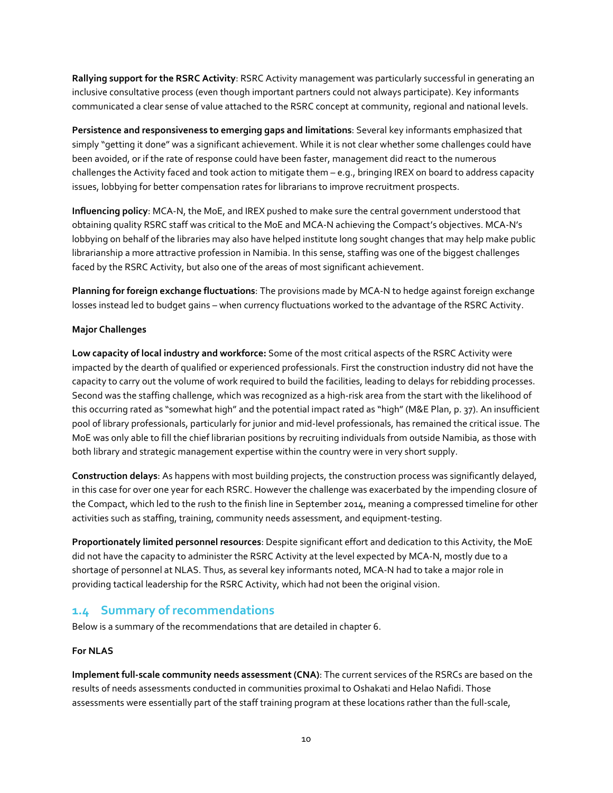**Rallying support for the RSRC Activity**: RSRC Activity management was particularly successful in generating an inclusive consultative process (even though important partners could not always participate). Key informants communicated a clear sense of value attached to the RSRC concept at community, regional and national levels.

**Persistence and responsiveness to emerging gaps and limitations**: Several key informants emphasized that simply "getting it done" was a significant achievement. While it is not clear whether some challenges could have been avoided, or if the rate of response could have been faster, management did react to the numerous challenges the Activity faced and took action to mitigate them – e.g., bringing IREX on board to address capacity issues, lobbying for better compensation rates for librarians to improve recruitment prospects.

**Influencing policy**: MCA-N, the MoE, and IREX pushed to make sure the central government understood that obtaining quality RSRC staff was critical to the MoE and MCA-N achieving the Compact's objectives. MCA-N's lobbying on behalf of the libraries may also have helped institute long sought changes that may help make public librarianship a more attractive profession in Namibia. In this sense, staffing was one of the biggest challenges faced by the RSRC Activity, but also one of the areas of most significant achievement.

**Planning for foreign exchange fluctuations**: The provisions made by MCA-N to hedge against foreign exchange losses instead led to budget gains – when currency fluctuations worked to the advantage of the RSRC Activity.

## **Major Challenges**

**Low capacity of local industry and workforce:** Some of the most critical aspects of the RSRC Activity were impacted by the dearth of qualified or experienced professionals. First the construction industry did not have the capacity to carry out the volume of work required to build the facilities, leading to delays for rebidding processes. Second was the staffing challenge, which was recognized as a high-risk area from the start with the likelihood of this occurring rated as "somewhat high" and the potential impact rated as "high" (M&E Plan, p. 37). An insufficient pool of library professionals, particularly for junior and mid-level professionals, has remained the critical issue. The MoE was only able to fill the chief librarian positions by recruiting individuals from outside Namibia, as those with both library and strategic management expertise within the country were in very short supply.

**Construction delays**: As happens with most building projects, the construction process was significantly delayed, in this case for over one year for each RSRC. However the challenge was exacerbated by the impending closure of the Compact, which led to the rush to the finish line in September 2014, meaning a compressed timeline for other activities such as staffing, training, community needs assessment, and equipment-testing.

**Proportionately limited personnel resources**: Despite significant effort and dedication to this Activity, the MoE did not have the capacity to administer the RSRC Activity at the level expected by MCA-N, mostly due to a shortage of personnel at NLAS. Thus, as several key informants noted, MCA-N had to take a major role in providing tactical leadership for the RSRC Activity, which had not been the original vision.

## <span id="page-9-0"></span>**1.4 Summary of recommendations**

Below is a summary of the recommendations that are detailed in chapter 6.

## **For NLAS**

**Implement full-scale community needs assessment (CNA)**: The current services of the RSRCs are based on the results of needs assessments conducted in communities proximal to Oshakati and Helao Nafidi. Those assessments were essentially part of the staff training program at these locations rather than the full-scale,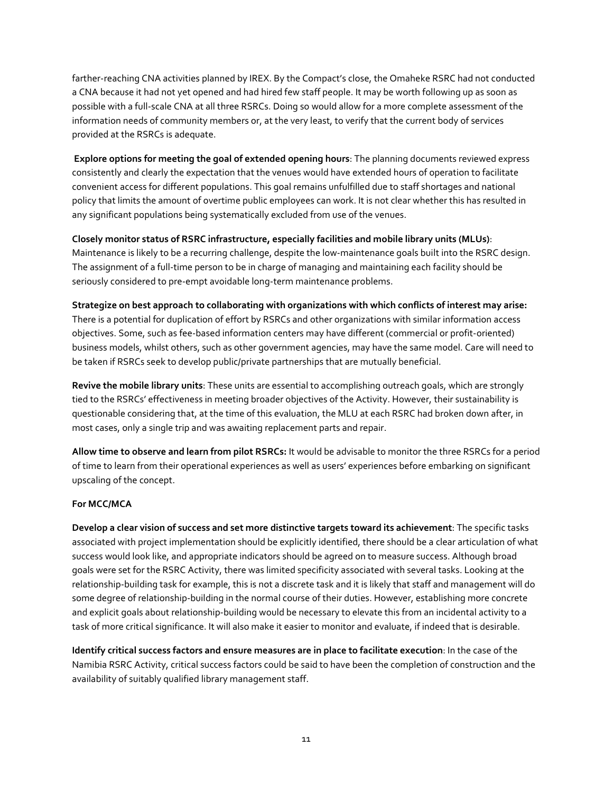farther-reaching CNA activities planned by IREX. By the Compact's close, the Omaheke RSRC had not conducted a CNA because it had not yet opened and had hired few staff people. It may be worth following up as soon as possible with a full-scale CNA at all three RSRCs. Doing so would allow for a more complete assessment of the information needs of community members or, at the very least, to verify that the current body of services provided at the RSRCs is adequate.

**Explore options for meeting the goal of extended opening hours**: The planning documents reviewed express consistently and clearly the expectation that the venues would have extended hours of operation to facilitate convenient access for different populations. This goal remains unfulfilled due to staff shortages and national policy that limits the amount of overtime public employees can work. It is not clear whether this has resulted in any significant populations being systematically excluded from use of the venues.

**Closely monitor status of RSRC infrastructure, especially facilities and mobile library units (MLUs)**: Maintenance is likely to be a recurring challenge, despite the low-maintenance goals built into the RSRC design. The assignment of a full-time person to be in charge of managing and maintaining each facility should be seriously considered to pre-empt avoidable long-term maintenance problems.

**Strategize on best approach to collaborating with organizations with which conflicts of interest may arise:**  There is a potential for duplication of effort by RSRCs and other organizations with similar information access objectives. Some, such as fee-based information centers may have different (commercial or profit-oriented) business models, whilst others, such as other government agencies, may have the same model. Care will need to be taken if RSRCs seek to develop public/private partnerships that are mutually beneficial.

**Revive the mobile library units**: These units are essential to accomplishing outreach goals, which are strongly tied to the RSRCs' effectiveness in meeting broader objectives of the Activity. However, their sustainability is questionable considering that, at the time of this evaluation, the MLU at each RSRC had broken down after, in most cases, only a single trip and was awaiting replacement parts and repair.

**Allow time to observe and learn from pilot RSRCs:** It would be advisable to monitor the three RSRCs for a period of time to learn from their operational experiences as well as users' experiences before embarking on significant upscaling of the concept.

## **For MCC/MCA**

**Develop a clear vision of success and set more distinctive targets toward its achievement**: The specific tasks associated with project implementation should be explicitly identified, there should be a clear articulation of what success would look like, and appropriate indicators should be agreed on to measure success. Although broad goals were set for the RSRC Activity, there was limited specificity associated with several tasks. Looking at the relationship-building task for example, this is not a discrete task and it is likely that staff and management will do some degree of relationship-building in the normal course of their duties. However, establishing more concrete and explicit goals about relationship-building would be necessary to elevate this from an incidental activity to a task of more critical significance. It will also make it easier to monitor and evaluate, if indeed that is desirable.

**Identify critical success factors and ensure measures are in place to facilitate execution**: In the case of the Namibia RSRC Activity, critical success factors could be said to have been the completion of construction and the availability of suitably qualified library management staff.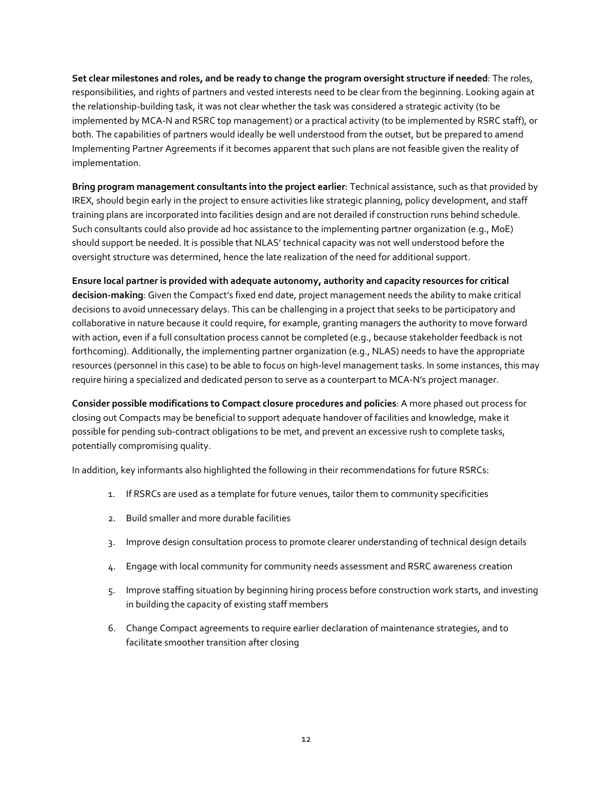**Set clear milestones and roles, and be ready to change the program oversight structure if needed**: The roles, responsibilities, and rights of partners and vested interests need to be clear from the beginning. Looking again at the relationship-building task, it was not clear whether the task was considered a strategic activity (to be implemented by MCA-N and RSRC top management) or a practical activity (to be implemented by RSRC staff), or both. The capabilities of partners would ideally be well understood from the outset, but be prepared to amend Implementing Partner Agreements if it becomes apparent that such plans are not feasible given the reality of implementation.

**Bring program management consultants into the project earlier**: Technical assistance, such as that provided by IREX, should begin early in the project to ensure activities like strategic planning, policy development, and staff training plans are incorporated into facilities design and are not derailed if construction runs behind schedule. Such consultants could also provide ad hoc assistance to the implementing partner organization (e.g., MoE) should support be needed. It is possible that NLAS' technical capacity was not well understood before the oversight structure was determined, hence the late realization of the need for additional support.

**Ensure local partner is provided with adequate autonomy, authority and capacity resources for critical decision-making**: Given the Compact's fixed end date, project management needs the ability to make critical decisions to avoid unnecessary delays. This can be challenging in a project that seeks to be participatory and collaborative in nature because it could require, for example, granting managers the authority to move forward with action, even if a full consultation process cannot be completed (e.g., because stakeholder feedback is not forthcoming). Additionally, the implementing partner organization (e.g., NLAS) needs to have the appropriate resources (personnel in this case) to be able to focus on high-level management tasks. In some instances, this may require hiring a specialized and dedicated person to serve as a counterpart to MCA-N's project manager.

**Consider possible modifications to Compact closure procedures and policies**: A more phased out process for closing out Compacts may be beneficial to support adequate handover of facilities and knowledge, make it possible for pending sub-contract obligations to be met, and prevent an excessive rush to complete tasks, potentially compromising quality.

In addition, key informants also highlighted the following in their recommendations for future RSRCs:

- 1. If RSRCs are used as a template for future venues, tailor them to community specificities
- 2. Build smaller and more durable facilities
- 3. Improve design consultation process to promote clearer understanding of technical design details
- 4. Engage with local community for community needs assessment and RSRC awareness creation
- 5. Improve staffing situation by beginning hiring process before construction work starts, and investing in building the capacity of existing staff members
- 6. Change Compact agreements to require earlier declaration of maintenance strategies, and to facilitate smoother transition after closing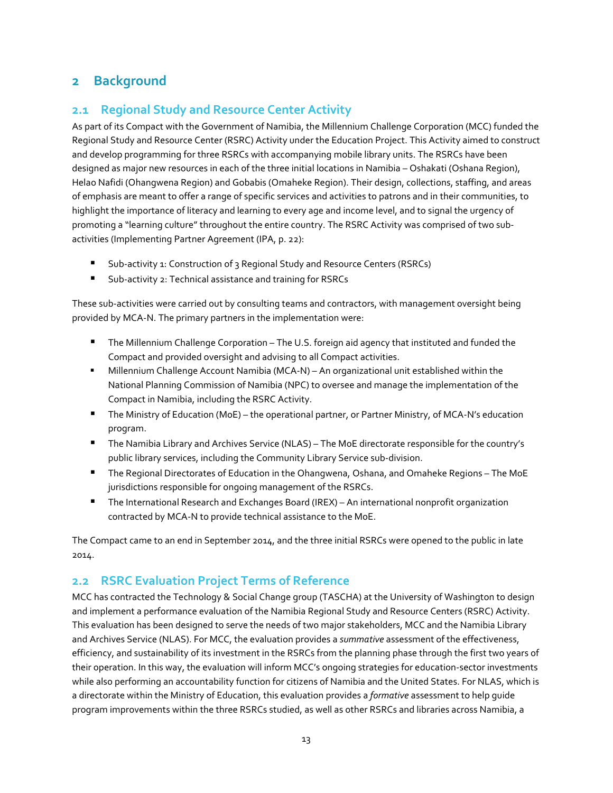## <span id="page-12-0"></span>**2 Background**

## <span id="page-12-1"></span>**2.1 Regional Study and Resource Center Activity**

As part of its Compact with the Government of Namibia, the Millennium Challenge Corporation (MCC) funded the Regional Study and Resource Center (RSRC) Activity under the Education Project. This Activity aimed to construct and develop programming for three RSRCs with accompanying mobile library units. The RSRCs have been designed as major new resources in each of the three initial locations in Namibia – Oshakati (Oshana Region), Helao Nafidi (Ohangwena Region) and Gobabis (Omaheke Region). Their design, collections, staffing, and areas of emphasis are meant to offer a range of specific services and activities to patrons and in their communities, to highlight the importance of literacy and learning to every age and income level, and to signal the urgency of promoting a "learning culture" throughout the entire country. The RSRC Activity was comprised of two subactivities (Implementing Partner Agreement (IPA, p. 22):

- Sub-activity 1: Construction of 3 Regional Study and Resource Centers (RSRCs)
- Sub-activity 2: Technical assistance and training for RSRCs

These sub-activities were carried out by consulting teams and contractors, with management oversight being provided by MCA-N. The primary partners in the implementation were:

- The Millennium Challenge Corporation The U.S. foreign aid agency that instituted and funded the Compact and provided oversight and advising to all Compact activities.
- Millennium Challenge Account Namibia (MCA-N) An organizational unit established within the National Planning Commission of Namibia (NPC) to oversee and manage the implementation of the Compact in Namibia, including the RSRC Activity.
- The Ministry of Education (MoE) the operational partner, or Partner Ministry, of MCA-N's education program.
- The Namibia Library and Archives Service (NLAS) The MoE directorate responsible for the country's public library services, including the Community Library Service sub-division.
- The Regional Directorates of Education in the Ohangwena, Oshana, and Omaheke Regions The MoE jurisdictions responsible for ongoing management of the RSRCs.
- The International Research and Exchanges Board (IREX) An international nonprofit organization contracted by MCA-N to provide technical assistance to the MoE.

The Compact came to an end in September 2014, and the three initial RSRCs were opened to the public in late 2014.

## <span id="page-12-2"></span>**2.2 RSRC Evaluation Project Terms of Reference**

MCC has contracted the Technology & Social Change group (TASCHA) at the University of Washington to design and implement a performance evaluation of the Namibia Regional Study and Resource Centers (RSRC) Activity. This evaluation has been designed to serve the needs of two major stakeholders, MCC and the Namibia Library and Archives Service (NLAS). For MCC, the evaluation provides a *summative* assessment of the effectiveness, efficiency, and sustainability of its investment in the RSRCs from the planning phase through the first two years of their operation. In this way, the evaluation will inform MCC's ongoing strategies for education-sector investments while also performing an accountability function for citizens of Namibia and the United States. For NLAS, which is a directorate within the Ministry of Education, this evaluation provides a *formative* assessment to help guide program improvements within the three RSRCs studied, as well as other RSRCs and libraries across Namibia, a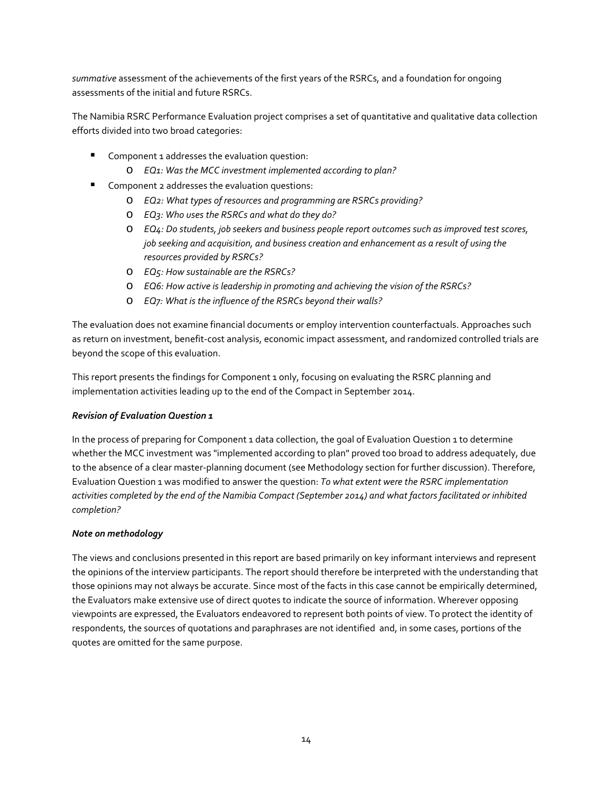*summative* assessment of the achievements of the first years of the RSRCs, and a foundation for ongoing assessments of the initial and future RSRCs.

The Namibia RSRC Performance Evaluation project comprises a set of quantitative and qualitative data collection efforts divided into two broad categories:

- Component 1 addresses the evaluation question:
	- o *EQ1: Was the MCC investment implemented according to plan?*
- **Component 2 addresses the evaluation questions:** 
	- o *EQ2: What types of resources and programming are RSRCs providing?*
	- o *EQ3: Who uses the RSRCs and what do they do?*
	- o *EQ4: Do students, job seekers and business people report outcomes such as improved test scores, job seeking and acquisition, and business creation and enhancement as a result of using the resources provided by RSRCs?*
	- o *EQ5: How sustainable are the RSRCs?*
	- o *EQ6: How active is leadership in promoting and achieving the vision of the RSRCs?*
	- o *EQ7: What is the influence of the RSRCs beyond their walls?*

The evaluation does not examine financial documents or employ intervention counterfactuals. Approaches such as return on investment, benefit-cost analysis, economic impact assessment, and randomized controlled trials are beyond the scope of this evaluation.

This report presents the findings for Component 1 only, focusing on evaluating the RSRC planning and implementation activities leading up to the end of the Compact in September 2014.

## *Revision of Evaluation Question 1*

In the process of preparing for Component 1 data collection, the goal of Evaluation Question 1 to determine whether the MCC investment was "implemented according to plan" proved too broad to address adequately, due to the absence of a clear master-planning document (see Methodology section for further discussion). Therefore, Evaluation Question 1 was modified to answer the question: *To what extent were the RSRC implementation activities completed by the end of the Namibia Compact (September 2014) and what factors facilitated or inhibited completion?*

## *Note on methodology*

The views and conclusions presented in this report are based primarily on key informant interviews and represent the opinions of the interview participants. The report should therefore be interpreted with the understanding that those opinions may not always be accurate. Since most of the facts in this case cannot be empirically determined, the Evaluators make extensive use of direct quotes to indicate the source of information. Wherever opposing viewpoints are expressed, the Evaluators endeavored to represent both points of view. To protect the identity of respondents, the sources of quotations and paraphrases are not identified and, in some cases, portions of the quotes are omitted for the same purpose.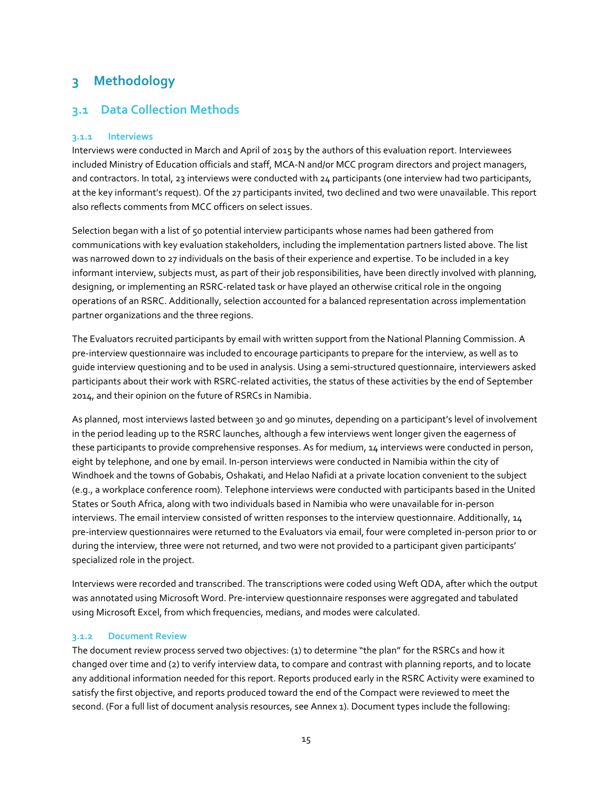## <span id="page-14-0"></span>**3 Methodology**

## <span id="page-14-1"></span>**3.1 Data Collection Methods**

## <span id="page-14-2"></span>**3.1.1 Interviews**

Interviews were conducted in March and April of 2015 by the authors of this evaluation report. Interviewees included Ministry of Education officials and staff, MCA-N and/or MCC program directors and project managers, and contractors. In total, 23 interviews were conducted with 24 participants (one interview had two participants, at the key informant's request). Of the 27 participants invited, two declined and two were unavailable. This report also reflects comments from MCC officers on select issues.

Selection began with a list of 50 potential interview participants whose names had been gathered from communications with key evaluation stakeholders, including the implementation partners listed above. The list was narrowed down to 27 individuals on the basis of their experience and expertise. To be included in a key informant interview, subjects must, as part of their job responsibilities, have been directly involved with planning, designing, or implementing an RSRC-related task or have played an otherwise critical role in the ongoing operations of an RSRC. Additionally, selection accounted for a balanced representation across implementation partner organizations and the three regions.

The Evaluators recruited participants by email with written support from the National Planning Commission. A pre-interview questionnaire was included to encourage participants to prepare for the interview, as well as to guide interview questioning and to be used in analysis. Using a semi-structured questionnaire, interviewers asked participants about their work with RSRC-related activities, the status of these activities by the end of September 2014, and their opinion on the future of RSRCs in Namibia.

As planned, most interviews lasted between 30 and 90 minutes, depending on a participant's level of involvement in the period leading up to the RSRC launches, although a few interviews went longer given the eagerness of these participants to provide comprehensive responses. As for medium, 14 interviews were conducted in person, eight by telephone, and one by email. In-person interviews were conducted in Namibia within the city of Windhoek and the towns of Gobabis, Oshakati, and Helao Nafidi at a private location convenient to the subject (e.g., a workplace conference room). Telephone interviews were conducted with participants based in the United States or South Africa, along with two individuals based in Namibia who were unavailable for in-person interviews. The email interview consisted of written responses to the interview questionnaire. Additionally, 14 pre-interview questionnaires were returned to the Evaluators via email, four were completed in-person prior to or during the interview, three were not returned, and two were not provided to a participant given participants' specialized role in the project.

Interviews were recorded and transcribed. The transcriptions were coded using Weft QDA, after which the output was annotated using Microsoft Word. Pre-interview questionnaire responses were aggregated and tabulated using Microsoft Excel, from which frequencies, medians, and modes were calculated.

## <span id="page-14-3"></span>**3.1.2 Document Review**

The document review process served two objectives: (1) to determine "the plan" for the RSRCs and how it changed over time and (2) to verify interview data, to compare and contrast with planning reports, and to locate any additional information needed for this report. Reports produced early in the RSRC Activity were examined to satisfy the first objective, and reports produced toward the end of the Compact were reviewed to meet the second. (For a full list of document analysis resources, see Annex 1). Document types include the following: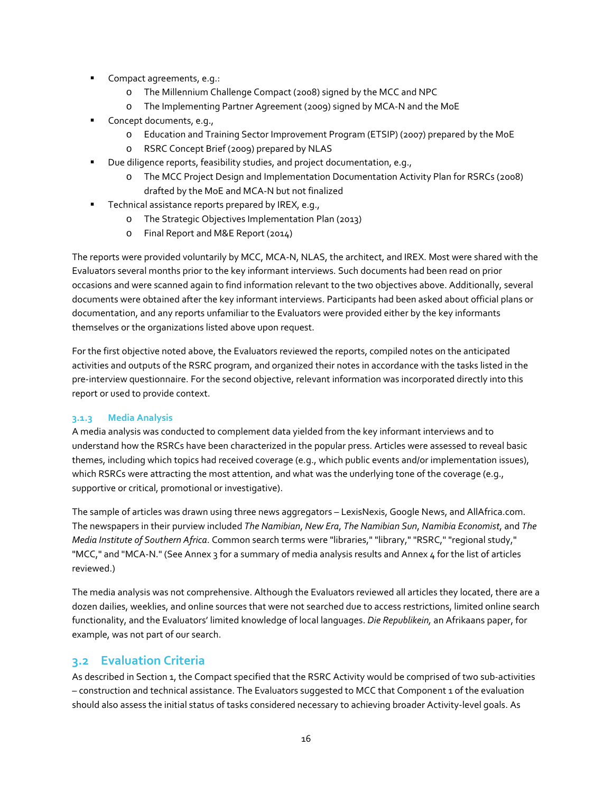- Compact agreements, e.g.:
	- o The Millennium Challenge Compact (2008) signed by the MCC and NPC
	- o The Implementing Partner Agreement (2009) signed by MCA-N and the MoE
- Concept documents, e.g.,
	- o [Education and Training Sector Improvement Program](http://www.worldbank.org/projects/P086875/education-training-sector-improvement-program-etsip?lang=en) (ETSIP) (2007) prepared by the MoE
	- o RSRC Concept Brief (2009) prepared by NLAS
- Due diligence reports, feasibility studies, and project documentation, e.g.,
	- o The MCC Project Design and Implementation Documentation Activity Plan for RSRCs (2008) drafted by the MoE and MCA-N but not finalized
- Technical assistance reports prepared by IREX, e.g.,
	- o The Strategic Objectives Implementation Plan (2013)
	- o Final Report and M&E Report (2014)

The reports were provided voluntarily by MCC, MCA-N, NLAS, the architect, and IREX. Most were shared with the Evaluators several months prior to the key informant interviews. Such documents had been read on prior occasions and were scanned again to find information relevant to the two objectives above. Additionally, several documents were obtained after the key informant interviews. Participants had been asked about official plans or documentation, and any reports unfamiliar to the Evaluators were provided either by the key informants themselves or the organizations listed above upon request.

For the first objective noted above, the Evaluators reviewed the reports, compiled notes on the anticipated activities and outputs of the RSRC program, and organized their notes in accordance with the tasks listed in the pre-interview questionnaire. For the second objective, relevant information was incorporated directly into this report or used to provide context.

## <span id="page-15-0"></span>**3.1.3 Media Analysis**

A media analysis was conducted to complement data yielded from the key informant interviews and to understand how the RSRCs have been characterized in the popular press. Articles were assessed to reveal basic themes, including which topics had received coverage (e.g., which public events and/or implementation issues), which RSRCs were attracting the most attention, and what was the underlying tone of the coverage (e.g., supportive or critical, promotional or investigative).

The sample of articles was drawn using three news aggregators – LexisNexis, Google News, and AllAfrica.com. The newspapers in their purview included *The Namibian*, *New Era*, *The Namibian Sun*, *Namibia Economist*, and *The Media Institute of Southern Africa*. Common search terms were "libraries," "library," "RSRC," "regional study," "MCC," and "MCA-N." (See Annex 3 for a summary of media analysis results and Annex 4 for the list of articles reviewed.)

The media analysis was not comprehensive. Although the Evaluators reviewed all articles they located, there are a dozen dailies, weeklies, and online sources that were not searched due to access restrictions, limited online search functionality, and the Evaluators' limited knowledge of local languages. *Die Republikein,* an Afrikaans paper, for example, was not part of our search.

## <span id="page-15-1"></span>**3.2 Evaluation Criteria**

As described in Section 1, the Compact specified that the RSRC Activity would be comprised of two sub-activities – construction and technical assistance. The Evaluators suggested to MCC that Component 1 of the evaluation should also assess the initial status of tasks considered necessary to achieving broader Activity-level goals. As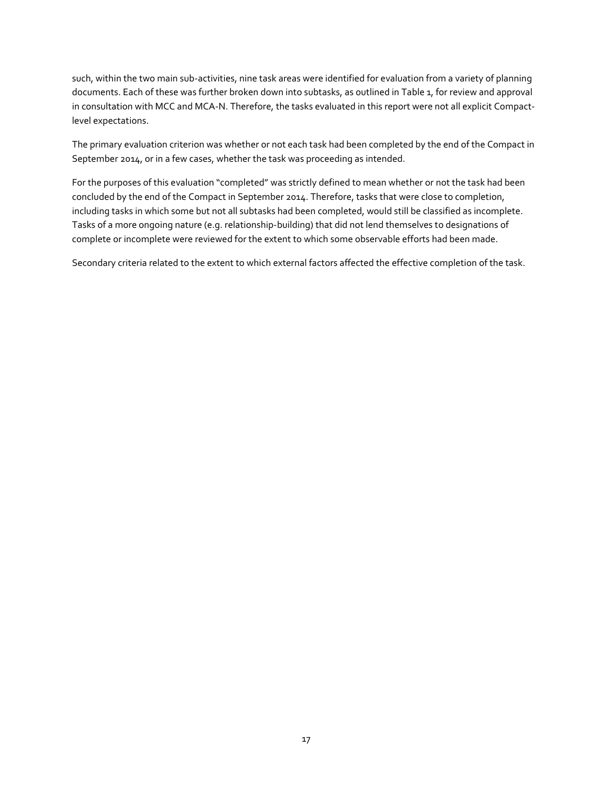such, within the two main sub-activities, nine task areas were identified for evaluation from a variety of planning documents. Each of these was further broken down into subtasks, as outlined in Table 1, for review and approval in consultation with MCC and MCA-N. Therefore, the tasks evaluated in this report were not all explicit Compactlevel expectations.

The primary evaluation criterion was whether or not each task had been completed by the end of the Compact in September 2014, or in a few cases, whether the task was proceeding as intended.

For the purposes of this evaluation "completed" was strictly defined to mean whether or not the task had been concluded by the end of the Compact in September 2014. Therefore, tasks that were close to completion, including tasks in which some but not all subtasks had been completed, would still be classified as incomplete. Tasks of a more ongoing nature (e.g. relationship-building) that did not lend themselves to designations of complete or incomplete were reviewed for the extent to which some observable efforts had been made.

Secondary criteria related to the extent to which external factors affected the effective completion of the task.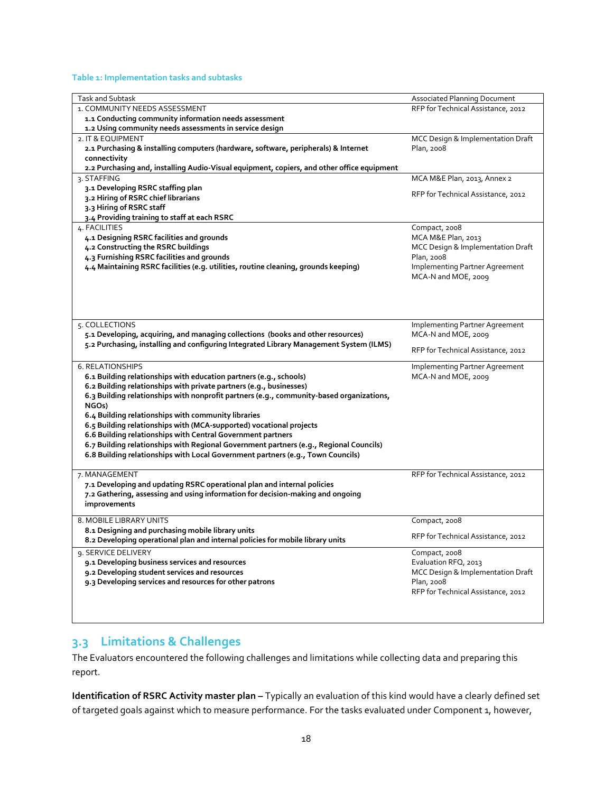## **Table 1: Implementation tasks and subtasks**

| <b>Task and Subtask</b>                                                                    | <b>Associated Planning Document</b> |
|--------------------------------------------------------------------------------------------|-------------------------------------|
| 1. COMMUNITY NEEDS ASSESSMENT                                                              | RFP for Technical Assistance, 2012  |
| 1.1 Conducting community information needs assessment                                      |                                     |
| 1.2 Using community needs assessments in service design                                    |                                     |
| 2. IT & EQUIPMENT                                                                          | MCC Design & Implementation Draft   |
| 2.1 Purchasing & installing computers (hardware, software, peripherals) & Internet         | Plan, 2008                          |
| connectivity                                                                               |                                     |
| 2.2 Purchasing and, installing Audio-Visual equipment, copiers, and other office equipment |                                     |
| 3. STAFFING                                                                                | MCA M&E Plan, 2013, Annex 2         |
| 3.1 Developing RSRC staffing plan                                                          |                                     |
| 3.2 Hiring of RSRC chief librarians                                                        | RFP for Technical Assistance, 2012  |
| 3.3 Hiring of RSRC staff                                                                   |                                     |
| 3.4 Providing training to staff at each RSRC                                               |                                     |
| 4. FACILITIES                                                                              | Compact, 2008                       |
| 4.1 Designing RSRC facilities and grounds                                                  | MCA M&E Plan, 2013                  |
| 4.2 Constructing the RSRC buildings                                                        | MCC Design & Implementation Draft   |
| 4.3 Furnishing RSRC facilities and grounds                                                 | Plan, 2008                          |
| 4.4 Maintaining RSRC facilities (e.g. utilities, routine cleaning, grounds keeping)        | Implementing Partner Agreement      |
|                                                                                            | MCA-N and MOE, 2009                 |
|                                                                                            |                                     |
|                                                                                            |                                     |
|                                                                                            |                                     |
|                                                                                            |                                     |
| 5. COLLECTIONS                                                                             | Implementing Partner Agreement      |
| 5.1 Developing, acquiring, and managing collections (books and other resources)            | MCA-N and MOE, 2009                 |
|                                                                                            |                                     |
| 5.2 Purchasing, installing and configuring Integrated Library Management System (ILMS)     | RFP for Technical Assistance, 2012  |
|                                                                                            |                                     |
| <b>6. RELATIONSHIPS</b>                                                                    | Implementing Partner Agreement      |
| 6.1 Building relationships with education partners (e.g., schools)                         | MCA-N and MOE, 2009                 |
| 6.2 Building relationships with private partners (e.g., businesses)                        |                                     |
| 6.3 Building relationships with nonprofit partners (e.g., community-based organizations,   |                                     |
| NGOs)                                                                                      |                                     |
| 6.4 Building relationships with community libraries                                        |                                     |
| 6.5 Building relationships with (MCA-supported) vocational projects                        |                                     |
| 6.6 Building relationships with Central Government partners                                |                                     |
| 6.7 Building relationships with Regional Government partners (e.g., Regional Councils)     |                                     |
| 6.8 Building relationships with Local Government partners (e.g., Town Councils)            |                                     |
|                                                                                            |                                     |
| 7. MANAGEMENT                                                                              | RFP for Technical Assistance, 2012  |
| 7.1 Developing and updating RSRC operational plan and internal policies                    |                                     |
| 7.2 Gathering, assessing and using information for decision-making and ongoing             |                                     |
| improvements                                                                               |                                     |
|                                                                                            |                                     |
| 8. MOBILE LIBRARY UNITS                                                                    | Compact, 2008                       |
| 8.1 Designing and purchasing mobile library units                                          | RFP for Technical Assistance, 2012  |
| 8.2 Developing operational plan and internal policies for mobile library units             |                                     |
| 9. SERVICE DELIVERY                                                                        | Compact, 2008                       |
| 9.1 Developing business services and resources                                             | Evaluation RFQ, 2013                |
| 9.2 Developing student services and resources                                              | MCC Design & Implementation Draft   |
| 9.3 Developing services and resources for other patrons                                    | Plan, 2008                          |
|                                                                                            | RFP for Technical Assistance, 2012  |
|                                                                                            |                                     |
|                                                                                            |                                     |

## <span id="page-17-0"></span>**3.3 Limitations & Challenges**

The Evaluators encountered the following challenges and limitations while collecting data and preparing this report.

**Identification of RSRC Activity master plan –** Typically an evaluation of this kind would have a clearly defined set of targeted goals against which to measure performance. For the tasks evaluated under Component 1, however,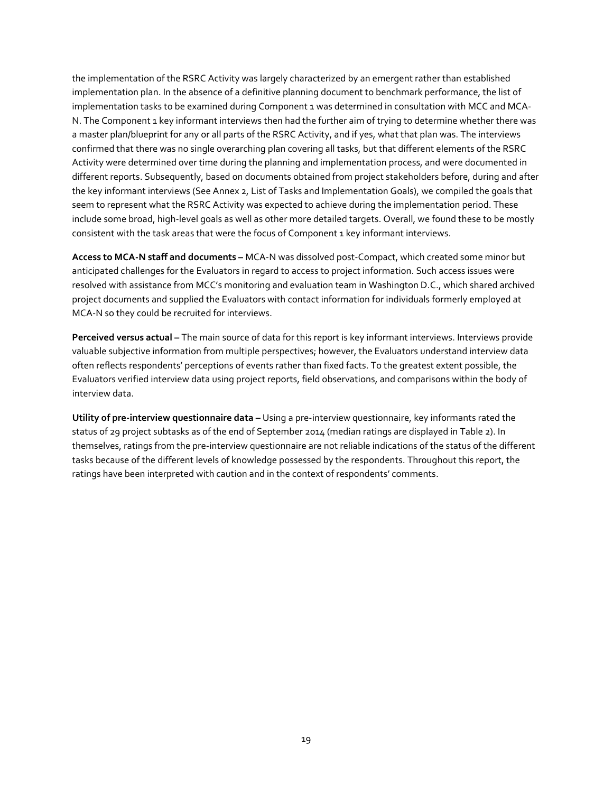the implementation of the RSRC Activity was largely characterized by an emergent rather than established implementation plan. In the absence of a definitive planning document to benchmark performance, the list of implementation tasks to be examined during Component 1 was determined in consultation with MCC and MCA-N. The Component 1 key informant interviews then had the further aim of trying to determine whether there was a master plan/blueprint for any or all parts of the RSRC Activity, and if yes, what that plan was. The interviews confirmed that there was no single overarching plan covering all tasks, but that different elements of the RSRC Activity were determined over time during the planning and implementation process, and were documented in different reports. Subsequently, based on documents obtained from project stakeholders before, during and after the key informant interviews (See Annex 2, List of Tasks and Implementation Goals), we compiled the goals that seem to represent what the RSRC Activity was expected to achieve during the implementation period. These include some broad, high-level goals as well as other more detailed targets. Overall, we found these to be mostly consistent with the task areas that were the focus of Component 1 key informant interviews.

**Access to MCA-N staff and documents –** MCA-N was dissolved post-Compact, which created some minor but anticipated challenges for the Evaluators in regard to access to project information. Such access issues were resolved with assistance from MCC's monitoring and evaluation team in Washington D.C., which shared archived project documents and supplied the Evaluators with contact information for individuals formerly employed at MCA-N so they could be recruited for interviews.

**Perceived versus actual –** The main source of data for this report is key informant interviews. Interviews provide valuable subjective information from multiple perspectives; however, the Evaluators understand interview data often reflects respondents' perceptions of events rather than fixed facts. To the greatest extent possible, the Evaluators verified interview data using project reports, field observations, and comparisons within the body of interview data.

**Utility of pre-interview questionnaire data –** Using a pre-interview questionnaire, key informants rated the status of 29 project subtasks as of the end of September 2014 (median ratings are displayed in Table 2). In themselves, ratings from the pre-interview questionnaire are not reliable indications of the status of the different tasks because of the different levels of knowledge possessed by the respondents. Throughout this report, the ratings have been interpreted with caution and in the context of respondents' comments.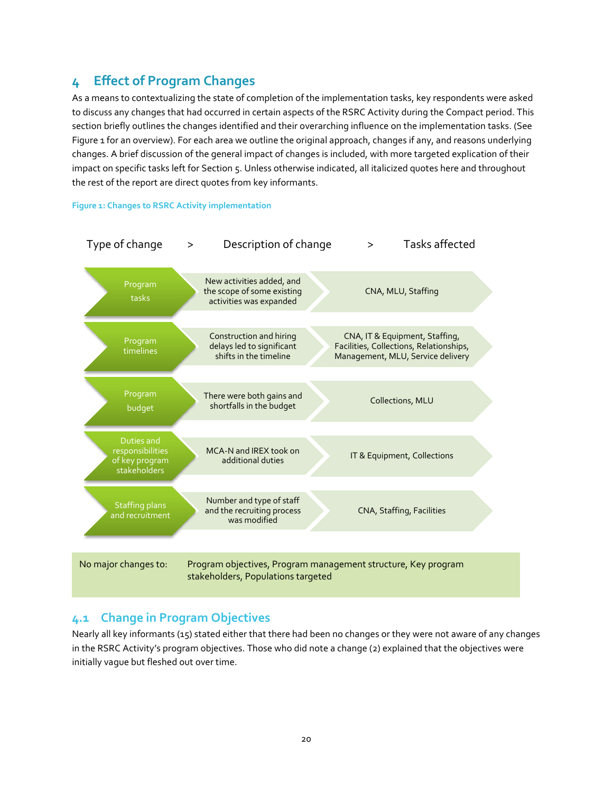## <span id="page-19-0"></span>**4 Effect of Program Changes**

As a means to contextualizing the state of completion of the implementation tasks, key respondents were asked to discuss any changes that had occurred in certain aspects of the RSRC Activity during the Compact period. This section briefly outlines the changes identified and their overarching influence on the implementation tasks. (See Figure 1 for an overview). For each area we outline the original approach, changes if any, and reasons underlying changes. A brief discussion of the general impact of changes is included, with more targeted explication of their impact on specific tasks left for Section 5. Unless otherwise indicated, all italicized quotes here and throughout the rest of the report are direct quotes from key informants.





## <span id="page-19-1"></span>**4.1 Change in Program Objectives**

Nearly all key informants (15) stated either that there had been no changes or they were not aware of any changes in the RSRC Activity's program objectives. Those who did note a change (2) explained that the objectives were initially vague but fleshed out over time.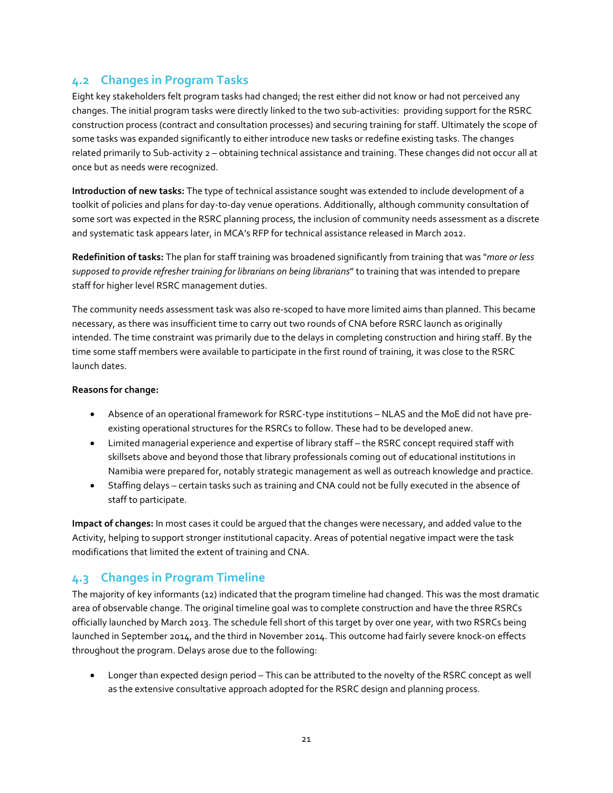## <span id="page-20-0"></span>**4.2 Changes in Program Tasks**

Eight key stakeholders felt program tasks had changed; the rest either did not know or had not perceived any changes. The initial program tasks were directly linked to the two sub-activities: providing support for the RSRC construction process (contract and consultation processes) and securing training for staff. Ultimately the scope of some tasks was expanded significantly to either introduce new tasks or redefine existing tasks. The changes related primarily to Sub-activity 2 – obtaining technical assistance and training. These changes did not occur all at once but as needs were recognized.

**Introduction of new tasks:** The type of technical assistance sought was extended to include development of a toolkit of policies and plans for day-to-day venue operations. Additionally, although community consultation of some sort was expected in the RSRC planning process, the inclusion of community needs assessment as a discrete and systematic task appears later, in MCA's RFP for technical assistance released in March 2012.

**Redefinition of tasks:** The plan for staff training was broadened significantly from training that was "*more or less supposed to provide refresher training for librarians on being librarians*" to training that was intended to prepare staff for higher level RSRC management duties.

The community needs assessment task was also re-scoped to have more limited aims than planned. This became necessary, as there was insufficient time to carry out two rounds of CNA before RSRC launch as originally intended. The time constraint was primarily due to the delays in completing construction and hiring staff. By the time some staff members were available to participate in the first round of training, it was close to the RSRC launch dates.

## **Reasons for change:**

- Absence of an operational framework for RSRC-type institutions NLAS and the MoE did not have preexisting operational structures for the RSRCs to follow. These had to be developed anew.
- Limited managerial experience and expertise of library staff the RSRC concept required staff with skillsets above and beyond those that library professionals coming out of educational institutions in Namibia were prepared for, notably strategic management as well as outreach knowledge and practice.
- Staffing delays certain tasks such as training and CNA could not be fully executed in the absence of staff to participate.

**Impact of changes:** In most cases it could be argued that the changes were necessary, and added value to the Activity, helping to support stronger institutional capacity. Areas of potential negative impact were the task modifications that limited the extent of training and CNA.

## <span id="page-20-1"></span>**4.3 Changes in Program Timeline**

The majority of key informants (12) indicated that the program timeline had changed. This was the most dramatic area of observable change. The original timeline goal was to complete construction and have the three RSRCs officially launched by March 2013. The schedule fell short of this target by over one year, with two RSRCs being launched in September 2014, and the third in November 2014. This outcome had fairly severe knock-on effects throughout the program. Delays arose due to the following:

• Longer than expected design period – This can be attributed to the novelty of the RSRC concept as well as the extensive consultative approach adopted for the RSRC design and planning process.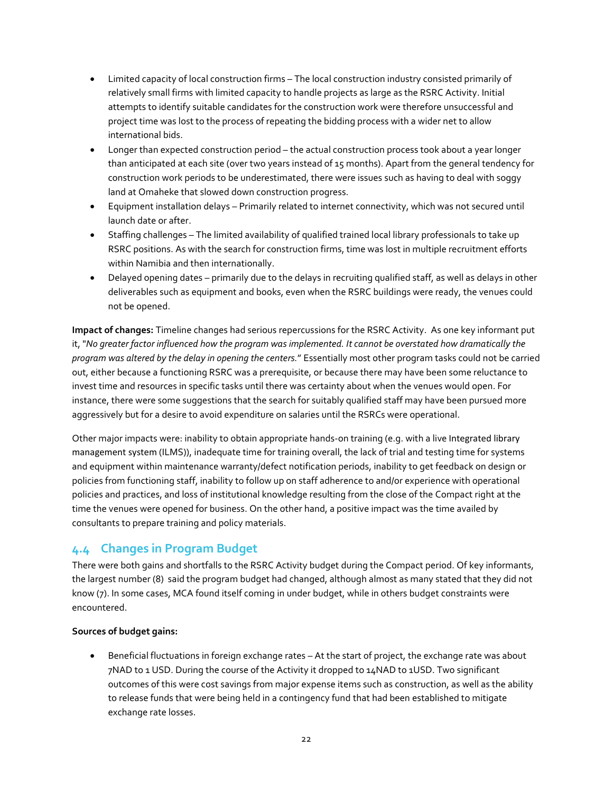- Limited capacity of local construction firms The local construction industry consisted primarily of relatively small firms with limited capacity to handle projects as large as the RSRC Activity. Initial attempts to identify suitable candidates for the construction work were therefore unsuccessful and project time was lost to the process of repeating the bidding process with a wider net to allow international bids.
- Longer than expected construction period the actual construction process took about a year longer than anticipated at each site (over two years instead of 15 months). Apart from the general tendency for construction work periods to be underestimated, there were issues such as having to deal with soggy land at Omaheke that slowed down construction progress.
- Equipment installation delays Primarily related to internet connectivity, which was not secured until launch date or after.
- Staffing challenges The limited availability of qualified trained local library professionals to take up RSRC positions. As with the search for construction firms, time was lost in multiple recruitment efforts within Namibia and then internationally.
- Delayed opening dates primarily due to the delays in recruiting qualified staff, as well as delays in other deliverables such as equipment and books, even when the RSRC buildings were ready, the venues could not be opened.

**Impact of changes:** Timeline changes had serious repercussions for the RSRC Activity. As one key informant put it, "*No greater factor influenced how the program was implemented. It cannot be overstated how dramatically the program was altered by the delay in opening the centers.*" Essentially most other program tasks could not be carried out, either because a functioning RSRC was a prerequisite, or because there may have been some reluctance to invest time and resources in specific tasks until there was certainty about when the venues would open. For instance, there were some suggestions that the search for suitably qualified staff may have been pursued more aggressively but for a desire to avoid expenditure on salaries until the RSRCs were operational.

Other major impacts were: inability to obtain appropriate hands-on training (e.g. with a live Integrated library management system (ILMS)), inadequate time for training overall, the lack of trial and testing time for systems and equipment within maintenance warranty/defect notification periods, inability to get feedback on design or policies from functioning staff, inability to follow up on staff adherence to and/or experience with operational policies and practices, and loss of institutional knowledge resulting from the close of the Compact right at the time the venues were opened for business. On the other hand, a positive impact was the time availed by consultants to prepare training and policy materials.

## <span id="page-21-0"></span>**4.4 Changes in Program Budget**

There were both gains and shortfalls to the RSRC Activity budget during the Compact period. Of key informants, the largest number (8) said the program budget had changed, although almost as many stated that they did not know (7). In some cases, MCA found itself coming in under budget, while in others budget constraints were encountered.

## **Sources of budget gains:**

• Beneficial fluctuations in foreign exchange rates – At the start of project, the exchange rate was about 7NAD to 1 USD. During the course of the Activity it dropped to 14NAD to 1USD. Two significant outcomes of this were cost savings from major expense items such as construction, as well as the ability to release funds that were being held in a contingency fund that had been established to mitigate exchange rate losses.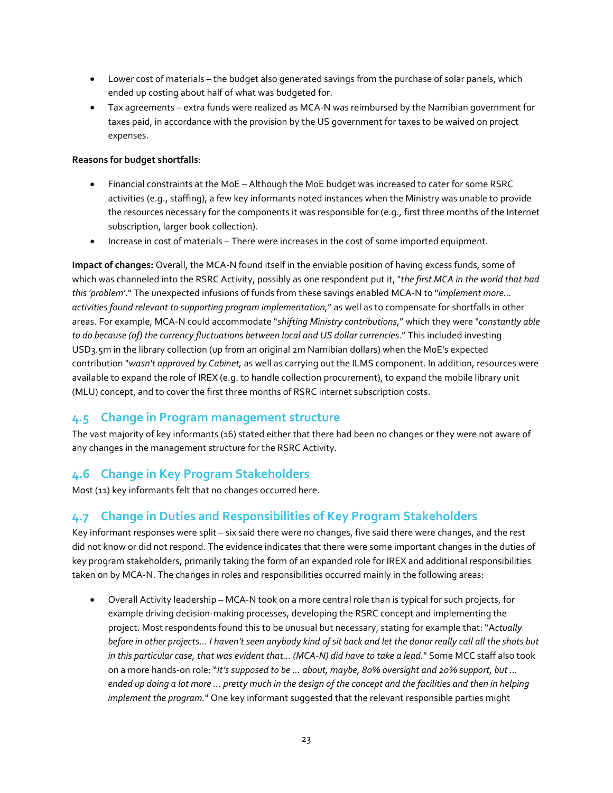- Lower cost of materials the budget also generated savings from the purchase of solar panels, which ended up costing about half of what was budgeted for.
- Tax agreements extra funds were realized as MCA-N was reimbursed by the Namibian government for taxes paid, in accordance with the provision by the US government for taxes to be waived on project expenses.

## **Reasons for budget shortfalls**:

- Financial constraints at the MoE Although the MoE budget was increased to cater for some RSRC activities (e.g., staffing), a few key informants noted instances when the Ministry was unable to provide the resources necessary for the components it was responsible for (e.g., first three months of the Internet subscription, larger book collection).
- Increase in cost of materials There were increases in the cost of some imported equipment.

**Impact of changes:** Overall, the MCA-N found itself in the enviable position of having excess funds, some of which was channeled into the RSRC Activity, possibly as one respondent put it, "*the first MCA in the world that had this 'problem'*." The unexpected infusions of funds from these savings enabled MCA-N to "*implement more... activities found relevant to supporting program implementation,*" as well as to compensate for shortfalls in other areas. For example, MCA-N could accommodate "*shifting Ministry contributions*," which they were "*constantly able to do because (of) the currency fluctuations between local and US dollar currencies*." This included investing USD3.5m in the library collection (up from an original 2m Namibian dollars) when the MoE's expected contribution "*wasn't approved by Cabinet,* as well as carrying out the ILMS component. In addition, resources were available to expand the role of IREX (e.g. to handle collection procurement), to expand the mobile library unit (MLU) concept, and to cover the first three months of RSRC internet subscription costs.

## <span id="page-22-0"></span>**4.5 Change in Program management structure**

The vast majority of key informants (16) stated either that there had been no changes or they were not aware of any changes in the management structure for the RSRC Activity.

## <span id="page-22-1"></span>**4.6 Change in Key Program Stakeholders**

Most (11) key informants felt that no changes occurred here.

## <span id="page-22-2"></span>**4.7 Change in Duties and Responsibilities of Key Program Stakeholders**

Key informant responses were split – six said there were no changes, five said there were changes, and the rest did not know or did not respond. The evidence indicates that there were some important changes in the duties of key program stakeholders, primarily taking the form of an expanded role for IREX and additional responsibilities taken on by MCA-N. The changes in roles and responsibilities occurred mainly in the following areas:

• Overall Activity leadership – MCA-N took on a more central role than is typical for such projects, for example driving decision-making processes, developing the RSRC concept and implementing the project. Most respondents found this to be unusual but necessary, stating for example that: "A*ctually before in other projects... I haven't seen anybody kind of sit back and let the donor really call all the shots but in this particular case, that was evident that… (MCA-N) did have to take a lead.*" Some MCC staff also took on a more hands-on role: "*It's supposed to be … about, maybe, 80% oversight and 20% support, but ... ended up doing a lot more ... pretty much in the design of the concept and the facilities and then in helping implement the program.*" One key informant suggested that the relevant responsible parties might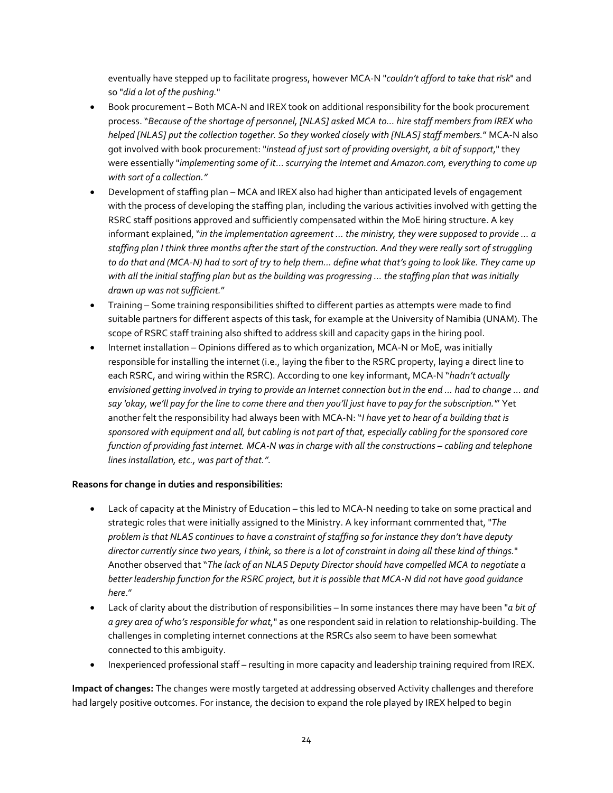eventually have stepped up to facilitate progress, however MCA-N "*couldn't afford to take that risk*" and so "*did a lot of the pushing.*"

- Book procurement Both MCA-N and IREX took on additional responsibility for the book procurement process. "*Because of the shortage of personnel, [NLAS] asked MCA to… hire staff members from IREX who helped [NLAS] put the collection together. So they worked closely with [NLAS] staff members.*" MCA-N also got involved with book procurement: "*instead of just sort of providing oversight, a bit of support*," they were essentially "*implementing some of it*… *scurrying the Internet and Amazon.com, everything to come up with sort of a collection."*
- Development of staffing plan MCA and IREX also had higher than anticipated levels of engagement with the process of developing the staffing plan, including the various activities involved with getting the RSRC staff positions approved and sufficiently compensated within the MoE hiring structure. A key informant explained, "*in the implementation agreement ... the ministry, they were supposed to provide ... a staffing plan I think three months after the start of the construction. And they were really sort of struggling to do that and (MCA-N) had to sort of try to help them... define what that's going to look like. They came up with all the initial staffing plan but as the building was progressing … the staffing plan that was initially drawn up was not sufficient.*"
- Training Some training responsibilities shifted to different parties as attempts were made to find suitable partners for different aspects of this task, for example at the University of Namibia (UNAM). The scope of RSRC staff training also shifted to address skill and capacity gaps in the hiring pool.
- Internet installation Opinions differed as to which organization, MCA-N or MoE, was initially responsible for installing the internet (i.e., laying the fiber to the RSRC property, laying a direct line to each RSRC, and wiring within the RSRC). According to one key informant, MCA-N "*hadn't actually envisioned getting involved in trying to provide an Internet connection but in the end ... had to change ... and say 'okay, we'll pay for the line to come there and then you'll just have to pay for the subscription.'*" Yet another felt the responsibility had always been with MCA-N: "*I have yet to hear of a building that is sponsored with equipment and all, but cabling is not part of that, especially cabling for the sponsored core function of providing fast internet. MCA-N was in charge with all the constructions – cabling and telephone lines installation, etc., was part of that.".*

## **Reasons for change in duties and responsibilities:**

- Lack of capacity at the Ministry of Education this led to MCA-N needing to take on some practical and strategic roles that were initially assigned to the Ministry. A key informant commented that, "*The problem is that NLAS continues to have a constraint of staffing so for instance they don't have deputy director currently since two years, I think, so there is a lot of constraint in doing all these kind of things.*" Another observed that "*The lack of an NLAS Deputy Director should have compelled MCA to negotiate a better leadership function for the RSRC project, but it is possible that MCA-N did not have good guidance here*."
- Lack of clarity about the distribution of responsibilities In some instances there may have been "*a bit of a grey area of who's responsible for what,*" as one respondent said in relation to relationship-building. The challenges in completing internet connections at the RSRCs also seem to have been somewhat connected to this ambiguity.
- Inexperienced professional staff resulting in more capacity and leadership training required from IREX.

**Impact of changes:** The changes were mostly targeted at addressing observed Activity challenges and therefore had largely positive outcomes. For instance, the decision to expand the role played by IREX helped to begin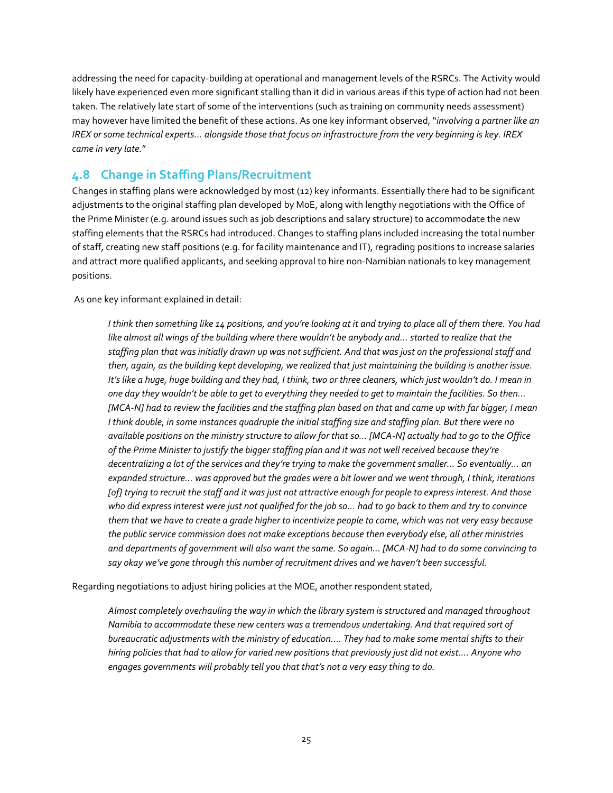addressing the need for capacity-building at operational and management levels of the RSRCs. The Activity would likely have experienced even more significant stalling than it did in various areas if this type of action had not been taken. The relatively late start of some of the interventions (such as training on community needs assessment) may however have limited the benefit of these actions. As one key informant observed, "*involving a partner like an IREX or some technical experts... alongside those that focus on infrastructure from the very beginning is key. IREX came in very late.*"

## <span id="page-24-0"></span>**4.8 Change in Staffing Plans/Recruitment**

Changes in staffing plans were acknowledged by most (12) key informants. Essentially there had to be significant adjustments to the original staffing plan developed by MoE, along with lengthy negotiations with the Office of the Prime Minister (e.g. around issues such as job descriptions and salary structure) to accommodate the new staffing elements that the RSRCs had introduced. Changes to staffing plans included increasing the total number of staff, creating new staff positions (e.g. for facility maintenance and IT), regrading positions to increase salaries and attract more qualified applicants, and seeking approval to hire non-Namibian nationals to key management positions.

As one key informant explained in detail:

*I think then something like 14 positions, and you're looking at it and trying to place all of them there. You had like almost all wings of the building where there wouldn't be anybody and… started to realize that the staffing plan that was initially drawn up was not sufficient. And that was just on the professional staff and then, again, as the building kept developing, we realized that just maintaining the building is another issue. It's like a huge, huge building and they had, I think, two or three cleaners, which just wouldn't do. I mean in one day they wouldn't be able to get to everything they needed to get to maintain the facilities. So then… [MCA-N] had to review the facilities and the staffing plan based on that and came up with far bigger, I mean I think double, in some instances quadruple the initial staffing size and staffing plan. But there were no available positions on the ministry structure to allow for that so… [MCA-N] actually had to go to the Office of the Prime Minister to justify the bigger staffing plan and it was not well received because they're decentralizing a lot of the services and they're trying to make the government smaller… So eventually… an expanded structure… was approved but the grades were a bit lower and we went through, I think, iterations [of] trying to recruit the staff and it was just not attractive enough for people to express interest. And those who did express interest were just not qualified for the job so… had to go back to them and try to convince them that we have to create a grade higher to incentivize people to come, which was not very easy because the public service commission does not make exceptions because then everybody else, all other ministries and departments of government will also want the same. So again… [MCA-N] had to do some convincing to say okay we've gone through this number of recruitment drives and we haven't been successful.*

Regarding negotiations to adjust hiring policies at the MOE, another respondent stated,

*Almost completely overhauling the way in which the library system is structured and managed throughout Namibia to accommodate these new centers was a tremendous undertaking. And that required sort of bureaucratic adjustments with the ministry of education.… They had to make some mental shifts to their hiring policies that had to allow for varied new positions that previously just did not exist…. Anyone who engages governments will probably tell you that that's not a very easy thing to do.*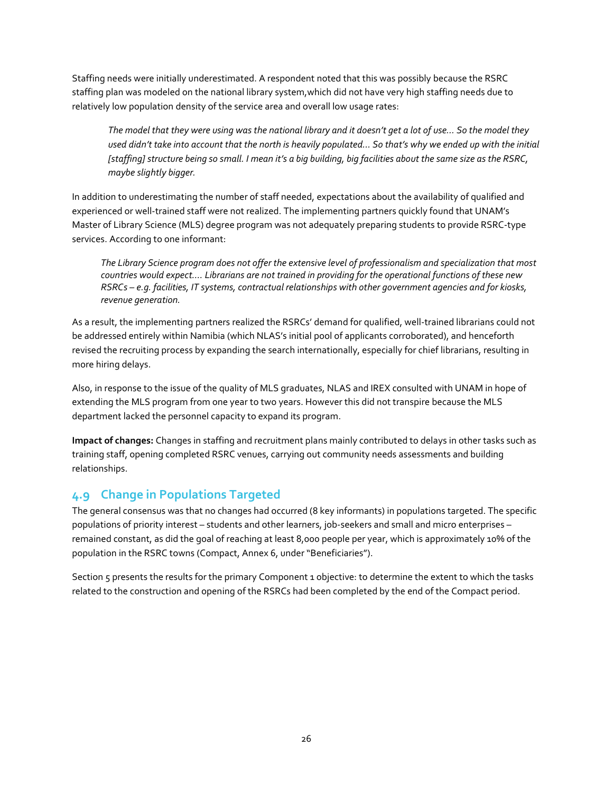Staffing needs were initially underestimated. A respondent noted that this was possibly because the RSRC staffing plan was modeled on the national library system,which did not have very high staffing needs due to relatively low population density of the service area and overall low usage rates:

*The model that they were using was the national library and it doesn't get a lot of use… So the model they used didn't take into account that the north is heavily populated… So that's why we ended up with the initial [staffing] structure being so small. I mean it's a big building, big facilities about the same size as the RSRC, maybe slightly bigger.*

In addition to underestimating the number of staff needed, expectations about the availability of qualified and experienced or well-trained staff were not realized. The implementing partners quickly found that UNAM's Master of Library Science (MLS) degree program was not adequately preparing students to provide RSRC-type services. According to one informant:

*The Library Science program does not offer the extensive level of professionalism and specialization that most countries would expect…. Librarians are not trained in providing for the operational functions of these new RSRCs – e.g. facilities, IT systems, contractual relationships with other government agencies and for kiosks, revenue generation.* 

As a result, the implementing partners realized the RSRCs' demand for qualified, well-trained librarians could not be addressed entirely within Namibia (which NLAS's initial pool of applicants corroborated), and henceforth revised the recruiting process by expanding the search internationally, especially for chief librarians, resulting in more hiring delays.

Also, in response to the issue of the quality of MLS graduates, NLAS and IREX consulted with UNAM in hope of extending the MLS program from one year to two years. However this did not transpire because the MLS department lacked the personnel capacity to expand its program.

**Impact of changes:** Changes in staffing and recruitment plans mainly contributed to delays in other tasks such as training staff, opening completed RSRC venues, carrying out community needs assessments and building relationships.

## <span id="page-25-0"></span>**4.9 Change in Populations Targeted**

The general consensus was that no changes had occurred (8 key informants) in populations targeted. The specific populations of priority interest – students and other learners, job-seekers and small and micro enterprises – remained constant, as did the goal of reaching at least 8,000 people per year, which is approximately 10% of the population in the RSRC towns (Compact, Annex 6, under "Beneficiaries").

Section 5 presents the results for the primary Component 1 objective: to determine the extent to which the tasks related to the construction and opening of the RSRCs had been completed by the end of the Compact period.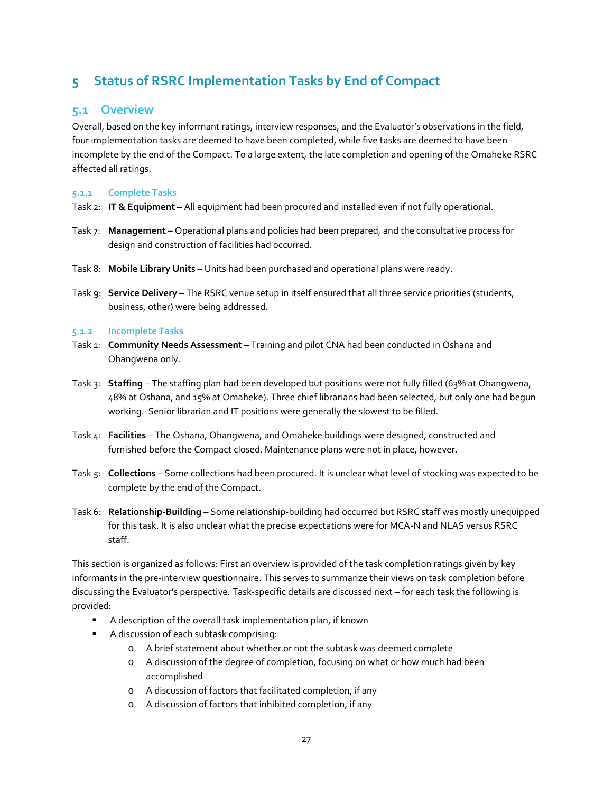## <span id="page-26-0"></span>**5 Status of RSRC Implementation Tasks by End of Compact**

## <span id="page-26-1"></span>**5.1 Overview**

Overall, based on the key informant ratings, interview responses, and the Evaluator's observations in the field, four implementation tasks are deemed to have been completed, while five tasks are deemed to have been incomplete by the end of the Compact. To a large extent, the late completion and opening of the Omaheke RSRC affected all ratings.

## <span id="page-26-2"></span>**5.1.1 Complete Tasks**

- Task 2: **IT & Equipment** All equipment had been procured and installed even if not fully operational.
- Task 7: **Management** Operational plans and policies had been prepared, and the consultative process for design and construction of facilities had occurred.
- Task 8: **Mobile Library Units** Units had been purchased and operational plans were ready.
- Task 9: **Service Delivery** The RSRC venue setup in itself ensured that all three service priorities (students, business, other) were being addressed.

## <span id="page-26-3"></span>**5.1.2 Incomplete Tasks**

- Task 1: **Community Needs Assessment** Training and pilot CNA had been conducted in Oshana and Ohangwena only.
- Task 3: **Staffing** The staffing plan had been developed but positions were not fully filled (63% at Ohangwena, 48% at Oshana, and 15% at Omaheke). Three chief librarians had been selected, but only one had begun working. Senior librarian and IT positions were generally the slowest to be filled.
- Task 4: **Facilities** The Oshana, Ohangwena, and Omaheke buildings were designed, constructed and furnished before the Compact closed. Maintenance plans were not in place, however.
- Task 5: **Collections** Some collections had been procured. It is unclear what level of stocking was expected to be complete by the end of the Compact.
- Task 6: **Relationship-Building** Some relationship-building had occurred but RSRC staff was mostly unequipped for this task. It is also unclear what the precise expectations were for MCA-N and NLAS versus RSRC staff.

This section is organized as follows: First an overview is provided of the task completion ratings given by key informants in the pre-interview questionnaire. This serves to summarize their views on task completion before discussing the Evaluator's perspective. Task-specific details are discussed next – for each task the following is provided:

- A description of the overall task implementation plan, if known
- A discussion of each subtask comprising:
	- o A brief statement about whether or not the subtask was deemed complete
	- o A discussion of the degree of completion, focusing on what or how much had been accomplished
	- o A discussion of factors that facilitated completion, if any
	- o A discussion of factors that inhibited completion, if any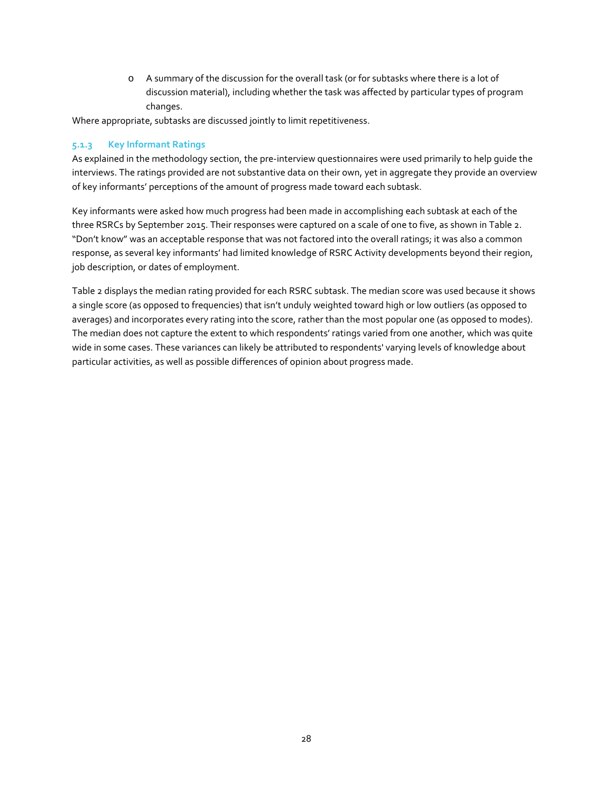o A summary of the discussion for the overall task (or for subtasks where there is a lot of discussion material), including whether the task was affected by particular types of program changes.

Where appropriate, subtasks are discussed jointly to limit repetitiveness.

## <span id="page-27-0"></span>**5.1.3 Key Informant Ratings**

As explained in the methodology section, the pre-interview questionnaires were used primarily to help guide the interviews. The ratings provided are not substantive data on their own, yet in aggregate they provide an overview of key informants' perceptions of the amount of progress made toward each subtask.

Key informants were asked how much progress had been made in accomplishing each subtask at each of the three RSRCs by September 2015. Their responses were captured on a scale of one to five, as shown in Table 2. "Don't know" was an acceptable response that was not factored into the overall ratings; it was also a common response, as several key informants' had limited knowledge of RSRC Activity developments beyond their region, job description, or dates of employment.

Table 2 displays the median rating provided for each RSRC subtask. The median score was used because it shows a single score (as opposed to frequencies) that isn't unduly weighted toward high or low outliers (as opposed to averages) and incorporates every rating into the score, rather than the most popular one (as opposed to modes). The median does not capture the extent to which respondents' ratings varied from one another, which was quite wide in some cases. These variances can likely be attributed to respondents' varying levels of knowledge about particular activities, as well as possible differences of opinion about progress made.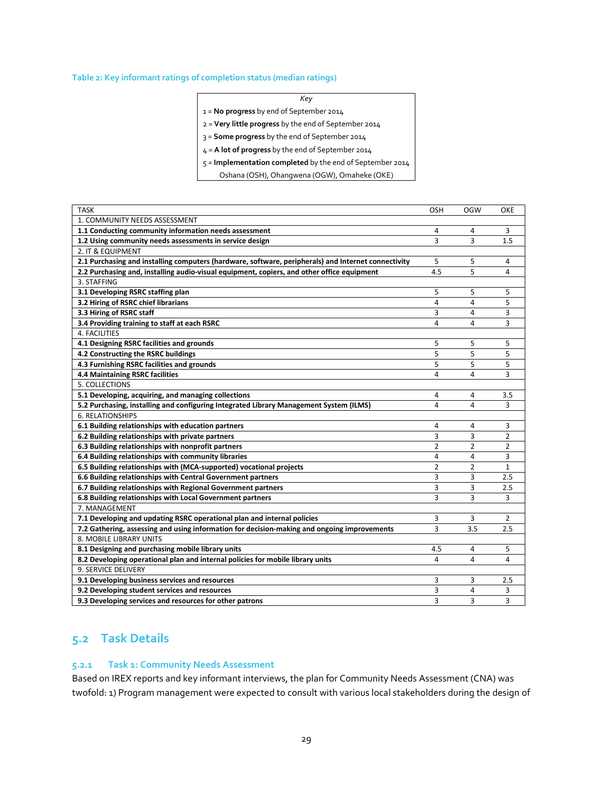#### **Table 2: Key informant ratings of completion status (median ratings)**

|--|

1 = **No progress** by end of September 2014

2 = **Very little progress** by the end of September 2014

3 = **Some progress** by the end of September 2014

4 = **A lot of progress** by the end of September 2014

5 = **Implementation completed** by the end of September 2014

Oshana (OSH), Ohangwena (OGW), Omaheke (OKE)

| <b>TASK</b>                                                                                         | <b>OSH</b>     | <b>OGW</b>     | OKE            |
|-----------------------------------------------------------------------------------------------------|----------------|----------------|----------------|
| 1. COMMUNITY NEEDS ASSESSMENT                                                                       |                |                |                |
| 1.1 Conducting community information needs assessment                                               | 4              | 4              | 3              |
| 1.2 Using community needs assessments in service design                                             | 3              | 3              | 1.5            |
| 2. IT & EQUIPMENT                                                                                   |                |                |                |
| 2.1 Purchasing and installing computers (hardware, software, peripherals) and Internet connectivity | 5              | 5              | 4              |
| 2.2 Purchasing and, installing audio-visual equipment, copiers, and other office equipment          | 4.5            | 5              | 4              |
| 3. STAFFING                                                                                         |                |                |                |
| 3.1 Developing RSRC staffing plan                                                                   | 5              | 5              | 5              |
| 3.2 Hiring of RSRC chief librarians                                                                 | 4              | 4              | 5              |
| 3.3 Hiring of RSRC staff                                                                            | 3              | 4              | 3              |
| 3.4 Providing training to staff at each RSRC                                                        | 4              | 4              | 3              |
| 4. FACILITIES                                                                                       |                |                |                |
| 4.1 Designing RSRC facilities and grounds                                                           | 5              | 5              | 5              |
| 4.2 Constructing the RSRC buildings                                                                 | 5              | 5              | 5              |
| 4.3 Furnishing RSRC facilities and grounds                                                          | 5              | 5              | 5              |
| 4.4 Maintaining RSRC facilities                                                                     | 4              | 4              | 3              |
| 5. COLLECTIONS                                                                                      |                |                |                |
| 5.1 Developing, acquiring, and managing collections                                                 | 4              | 4              | 3.5            |
| 5.2 Purchasing, installing and configuring Integrated Library Management System (ILMS)              | 4              | 4              | 3              |
| <b>6. RELATIONSHIPS</b>                                                                             |                |                |                |
| 6.1 Building relationships with education partners                                                  | 4              | 4              | 3              |
| 6.2 Building relationships with private partners                                                    | 3              | 3              | 2              |
| 6.3 Building relationships with nonprofit partners                                                  | $\overline{2}$ | $\overline{2}$ | $\overline{2}$ |
| 6.4 Building relationships with community libraries                                                 | 4              | 4              | 3              |
| 6.5 Building relationships with (MCA-supported) vocational projects                                 | $\overline{2}$ | $\overline{2}$ | $\mathbf{1}$   |
| 6.6 Building relationships with Central Government partners                                         | 3              | 3              | 2.5            |
| 6.7 Building relationships with Regional Government partners                                        | 3              | 3              | 2.5            |
| 6.8 Building relationships with Local Government partners                                           | 3              | 3              | 3              |
| 7. MANAGEMENT                                                                                       |                |                |                |
| 7.1 Developing and updating RSRC operational plan and internal policies                             | 3              | 3              | $\overline{2}$ |
| 7.2 Gathering, assessing and using information for decision-making and ongoing improvements         | 3              | 3.5            | 2.5            |
| 8. MOBILE LIBRARY UNITS                                                                             |                |                |                |
| 8.1 Designing and purchasing mobile library units                                                   | 4.5            | 4              | 5              |
| 8.2 Developing operational plan and internal policies for mobile library units                      | 4              | 4              | $\overline{4}$ |
| 9. SERVICE DELIVERY                                                                                 |                |                |                |
| 9.1 Developing business services and resources                                                      | 3              | 3              | 2.5            |
| 9.2 Developing student services and resources                                                       | 3              | 4              | 3              |
| 9.3 Developing services and resources for other patrons                                             | 3              | 3              | 3              |

## <span id="page-28-0"></span>**5.2 Task Details**

## <span id="page-28-1"></span>**5.2.1 Task 1: Community Needs Assessment**

Based on IREX reports and key informant interviews, the plan for Community Needs Assessment (CNA) was twofold: 1) Program management were expected to consult with various local stakeholders during the design of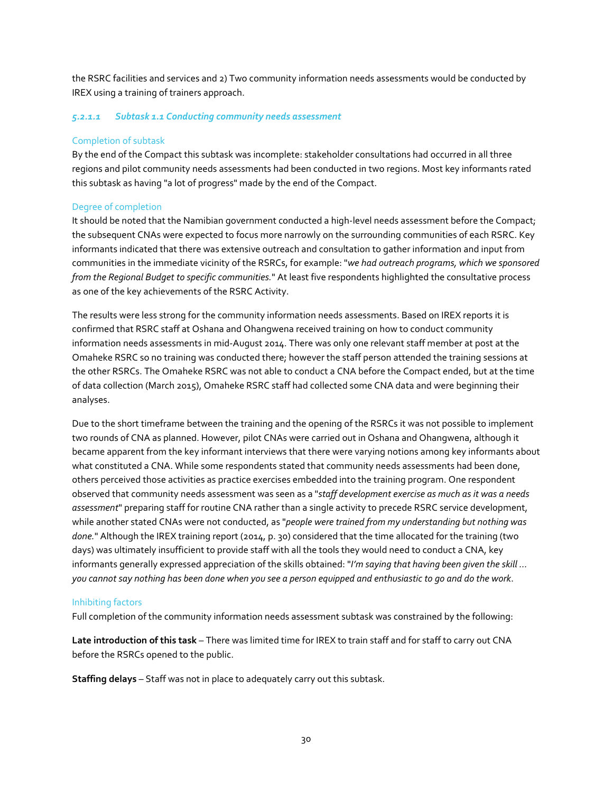the RSRC facilities and services and 2) Two community information needs assessments would be conducted by IREX using a training of trainers approach.

#### *5.2.1.1 Subtask 1.1 Conducting community needs assessment*

## Completion of subtask

By the end of the Compact this subtask was incomplete: stakeholder consultations had occurred in all three regions and pilot community needs assessments had been conducted in two regions. Most key informants rated this subtask as having "a lot of progress" made by the end of the Compact.

## Degree of completion

It should be noted that the Namibian government conducted a high-level needs assessment before the Compact; the subsequent CNAs were expected to focus more narrowly on the surrounding communities of each RSRC. Key informants indicated that there was extensive outreach and consultation to gather information and input from communities in the immediate vicinity of the RSRCs, for example: "*we had outreach programs, which we sponsored from the Regional Budget to specific communities.*" At least five respondents highlighted the consultative process as one of the key achievements of the RSRC Activity.

The results were less strong for the community information needs assessments. Based on IREX reports it is confirmed that RSRC staff at Oshana and Ohangwena received training on how to conduct community information needs assessments in mid-August 2014. There was only one relevant staff member at post at the Omaheke RSRC so no training was conducted there; however the staff person attended the training sessions at the other RSRCs. The Omaheke RSRC was not able to conduct a CNA before the Compact ended, but at the time of data collection (March 2015), Omaheke RSRC staff had collected some CNA data and were beginning their analyses.

Due to the short timeframe between the training and the opening of the RSRCs it was not possible to implement two rounds of CNA as planned. However, pilot CNAs were carried out in Oshana and Ohangwena, although it became apparent from the key informant interviews that there were varying notions among key informants about what constituted a CNA. While some respondents stated that community needs assessments had been done, others perceived those activities as practice exercises embedded into the training program. One respondent observed that community needs assessment was seen as a "*staff development exercise as much as it was a needs assessment*" preparing staff for routine CNA rather than a single activity to precede RSRC service development, while another stated CNAs were not conducted, as "*people were trained from my understanding but nothing was done.*" Although the IREX training report (2014, p. 30) considered that the time allocated for the training (two days) was ultimately insufficient to provide staff with all the tools they would need to conduct a CNA, key informants generally expressed appreciation of the skills obtained: "*I'm saying that having been given the skill ... you cannot say nothing has been done when you see a person equipped and enthusiastic to go and do the work*.

## Inhibiting factors

Full completion of the community information needs assessment subtask was constrained by the following:

**Late introduction of this task** – There was limited time for IREX to train staff and for staff to carry out CNA before the RSRCs opened to the public.

**Staffing delays** – Staff was not in place to adequately carry out this subtask.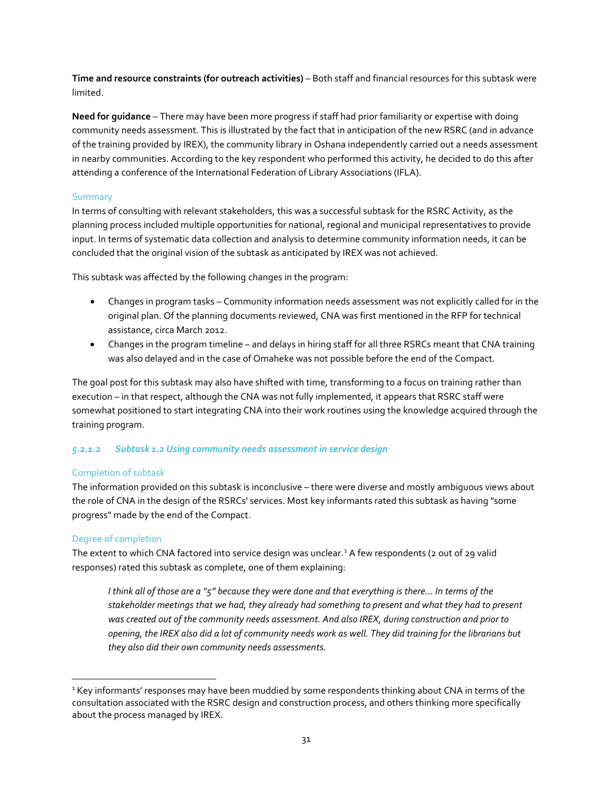**Time and resource constraints (for outreach activities)** – Both staff and financial resources for this subtask were limited.

**Need for guidance** – There may have been more progress if staff had prior familiarity or expertise with doing community needs assessment. This is illustrated by the fact that in anticipation of the new RSRC (and in advance of the training provided by IREX), the community library in Oshana independently carried out a needs assessment in nearby communities. According to the key respondent who performed this activity, he decided to do this after attending a conference of the International Federation of Library Associations (IFLA).

## Summary

In terms of consulting with relevant stakeholders, this was a successful subtask for the RSRC Activity, as the planning process included multiple opportunities for national, regional and municipal representatives to provide input. In terms of systematic data collection and analysis to determine community information needs, it can be concluded that the original vision of the subtask as anticipated by IREX was not achieved.

This subtask was affected by the following changes in the program:

- Changes in program tasks Community information needs assessment was not explicitly called for in the original plan. Of the planning documents reviewed, CNA was first mentioned in the RFP for technical assistance, circa March 2012.
- Changes in the program timeline and delays in hiring staff for all three RSRCs meant that CNA training was also delayed and in the case of Omaheke was not possible before the end of the Compact.

The goal post for this subtask may also have shifted with time, transforming to a focus on training rather than execution – in that respect, although the CNA was not fully implemented, it appears that RSRC staff were somewhat positioned to start integrating CNA into their work routines using the knowledge acquired through the training program.

## *5.2.1.2 Subtask 1.2 Using community needs assessment in service design*

## Completion of subtask

The information provided on this subtask is inconclusive – there were diverse and mostly ambiguous views about the role of CNA in the design of the RSRCs' services. Most key informants rated this subtask as having "some progress" made by the end of the Compact.

## Degree of completion

The extent to which CNA factored into service design was unclear.<sup>[1](#page-30-0)</sup> A few respondents (2 out of 29 valid responses) rated this subtask as complete, one of them explaining:

*I think all of those are a "5" because they were done and that everything is there… In terms of the stakeholder meetings that we had, they already had something to present and what they had to present was created out of the community needs assessment. And also IREX, during construction and prior to opening, the IREX also did a lot of community needs work as well. They did training for the librarians but they also did their own community needs assessments.*

<span id="page-30-0"></span><sup>&</sup>lt;sup>1</sup> Key informants' responses may have been muddied by some respondents thinking about CNA in terms of the consultation associated with the RSRC design and construction process, and others thinking more specifically about the process managed by IREX.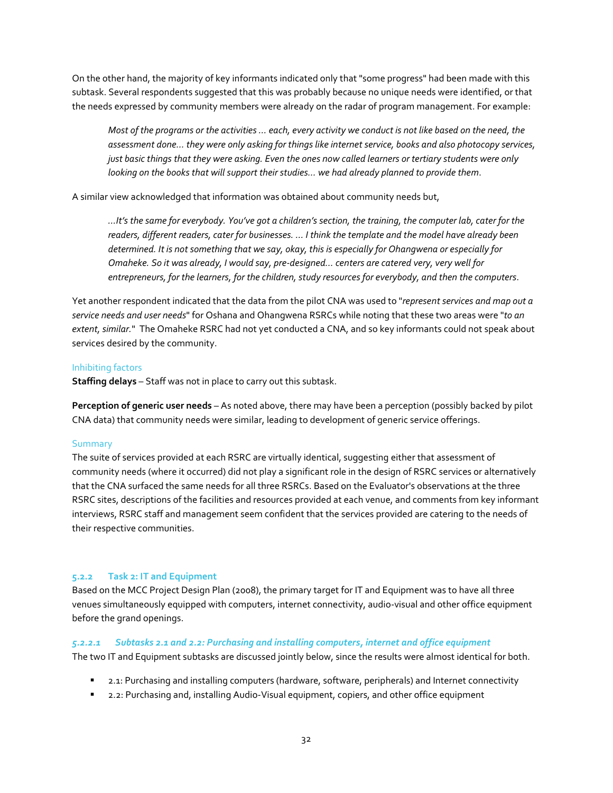On the other hand, the majority of key informants indicated only that "some progress" had been made with this subtask. Several respondents suggested that this was probably because no unique needs were identified, or that the needs expressed by community members were already on the radar of program management. For example:

*Most of the programs or the activities ... each, every activity we conduct is not like based on the need, the assessment done… they were only asking for things like internet service, books and also photocopy services, just basic things that they were asking. Even the ones now called learners or tertiary students were only looking on the books that will support their studies… we had already planned to provide them*.

A similar view acknowledged that information was obtained about community needs but,

*…It's the same for everybody. You've got a children's section, the training, the computer lab, cater for the readers, different readers, cater for businesses. ... I think the template and the model have already been determined. It is not something that we say, okay, this is especially for Ohangwena or especially for Omaheke. So it was already, I would say, pre-designed… centers are catered very, very well for entrepreneurs, for the learners, for the children, study resources for everybody, and then the computers*.

Yet another respondent indicated that the data from the pilot CNA was used to "*represent services and map out a service needs and user needs*" for Oshana and Ohangwena RSRCs while noting that these two areas were "*to an extent, similar.*" The Omaheke RSRC had not yet conducted a CNA, and so key informants could not speak about services desired by the community.

## Inhibiting factors

**Staffing delays** – Staff was not in place to carry out this subtask.

**Perception of generic user needs** – As noted above, there may have been a perception (possibly backed by pilot CNA data) that community needs were similar, leading to development of generic service offerings.

## Summary

The suite of services provided at each RSRC are virtually identical, suggesting either that assessment of community needs (where it occurred) did not play a significant role in the design of RSRC services or alternatively that the CNA surfaced the same needs for all three RSRCs. Based on the Evaluator's observations at the three RSRC sites, descriptions of the facilities and resources provided at each venue, and comments from key informant interviews, RSRC staff and management seem confident that the services provided are catering to the needs of their respective communities.

## <span id="page-31-0"></span>**5.2.2 Task 2: IT and Equipment**

Based on the MCC Project Design Plan (2008), the primary target for IT and Equipment was to have all three venues simultaneously equipped with computers, internet connectivity, audio-visual and other office equipment before the grand openings.

## *5.2.2.1 Subtasks 2.1 and 2.2: Purchasing and installing computers, internet and office equipment*

The two IT and Equipment subtasks are discussed jointly below, since the results were almost identical for both.

- 2.1: Purchasing and installing computers (hardware, software, peripherals) and Internet connectivity
- 2.2: Purchasing and, installing Audio-Visual equipment, copiers, and other office equipment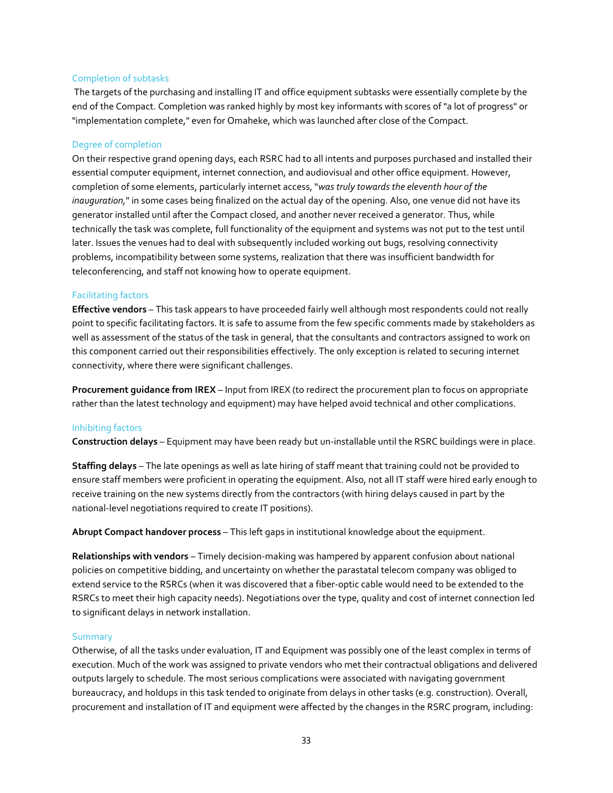#### Completion of subtasks

The targets of the purchasing and installing IT and office equipment subtasks were essentially complete by the end of the Compact. Completion was ranked highly by most key informants with scores of "a lot of progress" or "implementation complete," even for Omaheke, which was launched after close of the Compact.

#### Degree of completion

On their respective grand opening days, each RSRC had to all intents and purposes purchased and installed their essential computer equipment, internet connection, and audiovisual and other office equipment. However, completion of some elements, particularly internet access, "*was truly towards the eleventh hour of the inauguration,*" in some cases being finalized on the actual day of the opening. Also, one venue did not have its generator installed until after the Compact closed, and another never received a generator. Thus, while technically the task was complete, full functionality of the equipment and systems was not put to the test until later. Issues the venues had to deal with subsequently included working out bugs, resolving connectivity problems, incompatibility between some systems, realization that there was insufficient bandwidth for teleconferencing, and staff not knowing how to operate equipment.

#### Facilitating factors

**Effective vendors** – This task appears to have proceeded fairly well although most respondents could not really point to specific facilitating factors. It is safe to assume from the few specific comments made by stakeholders as well as assessment of the status of the task in general, that the consultants and contractors assigned to work on this component carried out their responsibilities effectively. The only exception is related to securing internet connectivity, where there were significant challenges.

**Procurement guidance from IREX** – Input from IREX (to redirect the procurement plan to focus on appropriate rather than the latest technology and equipment) may have helped avoid technical and other complications.

#### Inhibiting factors

**Construction delays** – Equipment may have been ready but un-installable until the RSRC buildings were in place.

**Staffing delays** – The late openings as well as late hiring of staff meant that training could not be provided to ensure staff members were proficient in operating the equipment. Also, not all IT staff were hired early enough to receive training on the new systems directly from the contractors (with hiring delays caused in part by the national-level negotiations required to create IT positions).

**Abrupt Compact handover process** – This left gaps in institutional knowledge about the equipment.

**Relationships with vendors** – Timely decision-making was hampered by apparent confusion about national policies on competitive bidding, and uncertainty on whether the parastatal telecom company was obliged to extend service to the RSRCs (when it was discovered that a fiber-optic cable would need to be extended to the RSRCs to meet their high capacity needs). Negotiations over the type, quality and cost of internet connection led to significant delays in network installation.

#### **Summary**

Otherwise, of all the tasks under evaluation, IT and Equipment was possibly one of the least complex in terms of execution. Much of the work was assigned to private vendors who met their contractual obligations and delivered outputs largely to schedule. The most serious complications were associated with navigating government bureaucracy, and holdups in this task tended to originate from delays in other tasks (e.g. construction). Overall, procurement and installation of IT and equipment were affected by the changes in the RSRC program, including: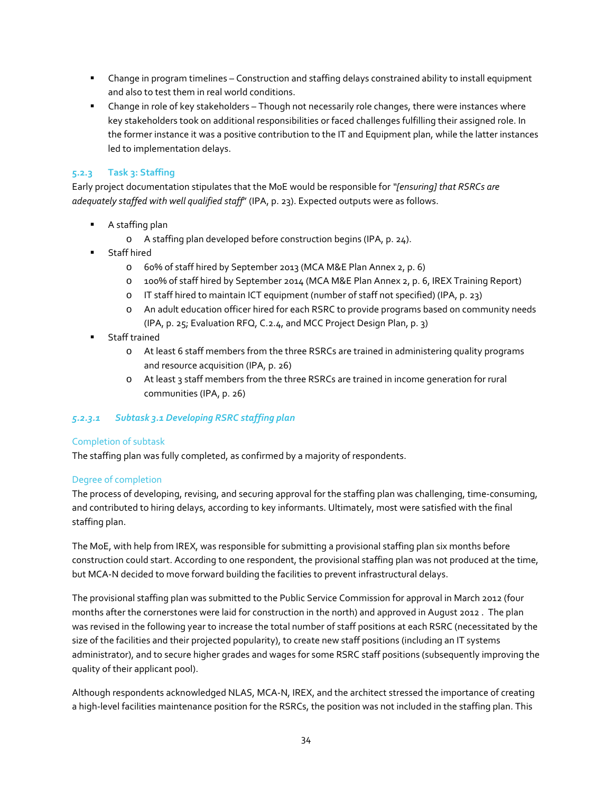- Change in program timelines Construction and staffing delays constrained ability to install equipment and also to test them in real world conditions.
- Change in role of key stakeholders Though not necessarily role changes, there were instances where key stakeholders took on additional responsibilities or faced challenges fulfilling their assigned role. In the former instance it was a positive contribution to the IT and Equipment plan, while the latter instances led to implementation delays.

## <span id="page-33-0"></span>**5.2.3 Task 3: Staffing**

Early project documentation stipulates that the MoE would be responsible for *"[ensuring] that RSRCs are adequately staffed with well qualified staff*" (IPA, p. 23). Expected outputs were as follows.

- **A** staffing plan
	- o A staffing plan developed before construction begins (IPA, p. 24).
- Staff hired
	- o 60% of staff hired by September 2013 (MCA M&E Plan Annex 2, p. 6)
	- o 100% of staff hired by September 2014 (MCA M&E Plan Annex 2, p. 6, IREX Training Report)
	- o IT staff hired to maintain ICT equipment (number of staff not specified) (IPA, p. 23)
	- o An adult education officer hired for each RSRC to provide programs based on community needs (IPA, p. 25; Evaluation RFQ, C.2.4, and MCC Project Design Plan, p. 3)
- **Staff trained** 
	- o At least 6 staff members from the three RSRCs are trained in administering quality programs and resource acquisition (IPA, p. 26)
	- o At least 3 staff members from the three RSRCs are trained in income generation for rural communities (IPA, p. 26)

## *5.2.3.1 Subtask 3.1 Developing RSRC staffing plan*

## Completion of subtask

The staffing plan was fully completed, as confirmed by a majority of respondents.

## Degree of completion

The process of developing, revising, and securing approval for the staffing plan was challenging, time-consuming, and contributed to hiring delays, according to key informants. Ultimately, most were satisfied with the final staffing plan.

The MoE, with help from IREX, was responsible for submitting a provisional staffing plan six months before construction could start. According to one respondent, the provisional staffing plan was not produced at the time, but MCA-N decided to move forward building the facilities to prevent infrastructural delays.

The provisional staffing plan was submitted to the Public Service Commission for approval in March 2012 (four months after the cornerstones were laid for construction in the north) and approved in August 2012 . The plan was revised in the following year to increase the total number of staff positions at each RSRC (necessitated by the size of the facilities and their projected popularity), to create new staff positions (including an IT systems administrator), and to secure higher grades and wages for some RSRC staff positions (subsequently improving the quality of their applicant pool).

Although respondents acknowledged NLAS, MCA-N, IREX, and the architect stressed the importance of creating a high-level facilities maintenance position for the RSRCs, the position was not included in the staffing plan. This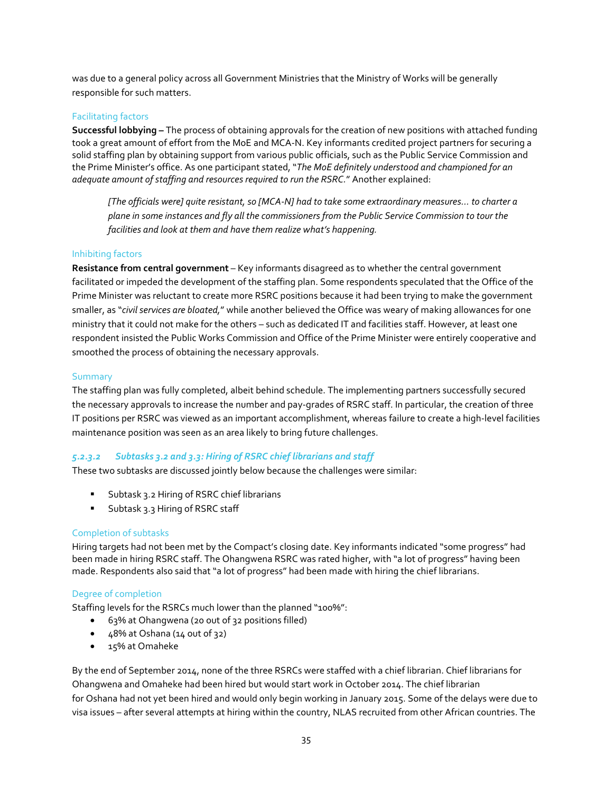was due to a general policy across all Government Ministries that the Ministry of Works will be generally responsible for such matters.

## Facilitating factors

**Successful lobbying –** The process of obtaining approvals for the creation of new positions with attached funding took a great amount of effort from the MoE and MCA-N. Key informants credited project partners for securing a solid staffing plan by obtaining support from various public officials, such as the Public Service Commission and the Prime Minister's office. As one participant stated, "*The MoE definitely understood and championed for an adequate amount of staffing and resources required to run the RSRC.*" Another explained:

*[The officials were] quite resistant, so [MCA-N] had to take some extraordinary measures… to charter a plane in some instances and fly all the commissioners from the Public Service Commission to tour the facilities and look at them and have them realize what's happening.*

## Inhibiting factors

**Resistance from central government** – Key informants disagreed as to whether the central government facilitated or impeded the development of the staffing plan. Some respondents speculated that the Office of the Prime Minister was reluctant to create more RSRC positions because it had been trying to make the government smaller, as "*civil services are bloated,*" while another believed the Office was weary of making allowances for one ministry that it could not make for the others – such as dedicated IT and facilities staff. However, at least one respondent insisted the Public Works Commission and Office of the Prime Minister were entirely cooperative and smoothed the process of obtaining the necessary approvals.

## **Summary**

The staffing plan was fully completed, albeit behind schedule. The implementing partners successfully secured the necessary approvals to increase the number and pay-grades of RSRC staff. In particular, the creation of three IT positions per RSRC was viewed as an important accomplishment, whereas failure to create a high-level facilities maintenance position was seen as an area likely to bring future challenges.

## *5.2.3.2 Subtasks 3.2 and 3.3: Hiring of RSRC chief librarians and staff*

These two subtasks are discussed jointly below because the challenges were similar:

- **Subtask 3.2 Hiring of RSRC chief librarians**
- **Subtask 3.3 Hiring of RSRC staff**

## Completion of subtasks

Hiring targets had not been met by the Compact's closing date. Key informants indicated "some progress" had been made in hiring RSRC staff. The Ohangwena RSRC was rated higher, with "a lot of progress" having been made. Respondents also said that "a lot of progress" had been made with hiring the chief librarians.

## Degree of completion

Staffing levels for the RSRCs much lower than the planned "100%":

- 63% at Ohangwena (20 out of 32 positions filled)
- 48% at Oshana (14 out of 32)
- 15% at Omaheke

By the end of September 2014, none of the three RSRCs were staffed with a chief librarian. Chief librarians for Ohangwena and Omaheke had been hired but would start work in October 2014. The chief librarian for Oshana had not yet been hired and would only begin working in January 2015. Some of the delays were due to visa issues – after several attempts at hiring within the country, NLAS recruited from other African countries. The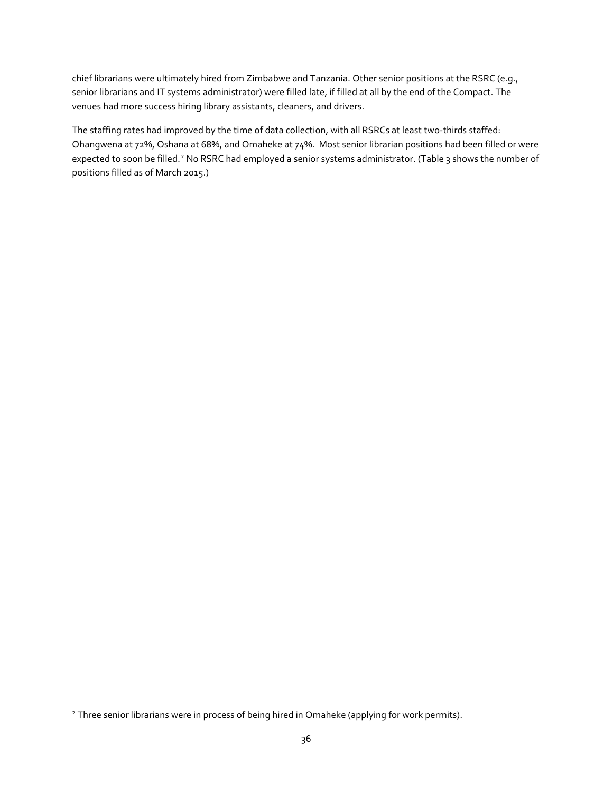chief librarians were ultimately hired from Zimbabwe and Tanzania. Other senior positions at the RSRC (e.g., senior librarians and IT systems administrator) were filled late, if filled at all by the end of the Compact. The venues had more success hiring library assistants, cleaners, and drivers.

The staffing rates had improved by the time of data collection, with all RSRCs at least two-thirds staffed: Ohangwena at 72%, Oshana at 68%, and Omaheke at 74%. Most senior librarian positions had been filled or were expected to soon be filled.<sup>[2](#page-35-0)</sup> No RSRC had employed a senior systems administrator. (Table 3 shows the number of positions filled as of March 2015.)

<span id="page-35-0"></span><sup>&</sup>lt;sup>2</sup> Three senior librarians were in process of being hired in Omaheke (applying for work permits).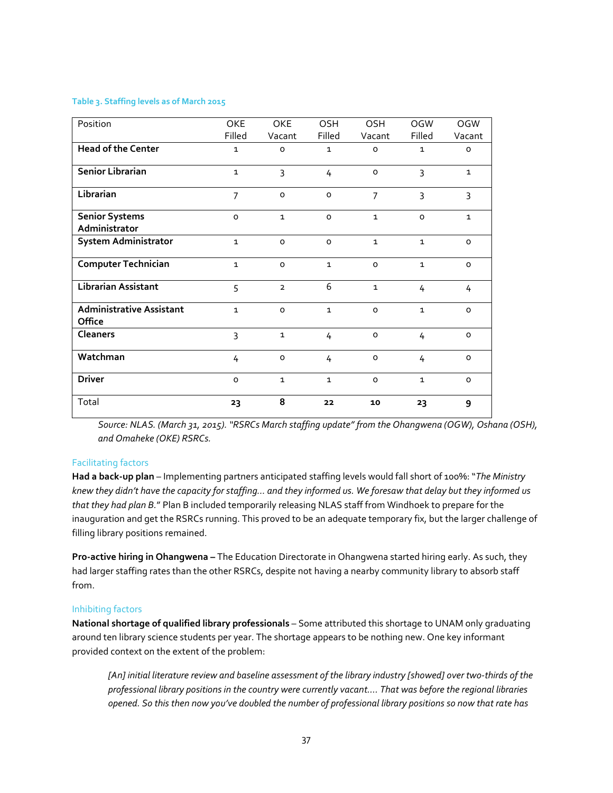#### **Table 3. Staffing levels as of March 2015**

| Position                                         | OKE<br>Filled  | OKE<br>Vacant       | <b>OSH</b><br>Filled | OSH<br>Vacant       | <b>OGW</b><br>Filled | <b>OGW</b><br>Vacant |
|--------------------------------------------------|----------------|---------------------|----------------------|---------------------|----------------------|----------------------|
| <b>Head of the Center</b>                        | $\mathbf{1}$   | O                   | $\mathbf{1}$         | $\mathsf{o}\xspace$ | $\mathbf{1}$         | $\circ$              |
| Senior Librarian                                 | $\mathbf{1}$   | 3                   | 4                    | $\circ$             | 3                    | $\mathbf{1}$         |
| Librarian                                        | $\overline{7}$ | $\mathsf{o}$        | $\mathsf{o}$         | $\overline{7}$      | 3                    | 3                    |
| <b>Senior Systems</b><br>Administrator           | $\circ$        | $\mathbf{1}$        | $\circ$              | $\mathbf{1}$        | $\mathsf{o}\xspace$  | $\mathbf{1}$         |
| <b>System Administrator</b>                      | $\mathbf{1}$   | $\circ$             | $\circ$              | $\mathbf{1}$        | $\mathbf{1}$         | $\mathsf{o}\xspace$  |
| <b>Computer Technician</b>                       | $\mathbf{1}$   | $\mathsf{o}\xspace$ | $\mathbf{1}$         | $\mathsf{o}\xspace$ | $\mathbf{1}$         | $\mathsf{o}\xspace$  |
| <b>Librarian Assistant</b>                       | 5              | $\overline{2}$      | 6                    | $\mathbf{1}$        | 4                    | 4                    |
| <b>Administrative Assistant</b><br><b>Office</b> | $\mathbf{1}$   | $\circ$             | $\mathbf{1}$         | $\Omega$            | $\mathbf{1}$         | $\circ$              |
| <b>Cleaners</b>                                  | $\overline{3}$ | $\mathbf{1}$        | 4                    | $\mathsf{o}\xspace$ | 4                    | $\mathsf{o}\xspace$  |
| Watchman                                         | 4              | $\mathsf{o}\xspace$ | 4                    | $\mathsf{o}\xspace$ | 4                    | $\circ$              |
| <b>Driver</b>                                    | $\circ$        | $\mathbf{1}$        | $\mathbf{1}$         | $\circ$             | $\mathbf{1}$         | $\circ$              |
| Total                                            | 23             | 8                   | 22                   | 10                  | 23                   | 9                    |

*Source: NLAS. (March 31, 2015). "RSRCs March staffing update" from the Ohangwena (OGW), Oshana (OSH), and Omaheke (OKE) RSRCs.*

## Facilitating factors

**Had a back-up plan** – Implementing partners anticipated staffing levels would fall short of 100%: "*The Ministry knew they didn't have the capacity for staffing… and they informed us. We foresaw that delay but they informed us that they had plan B.*" Plan B included temporarily releasing NLAS staff from Windhoek to prepare for the inauguration and get the RSRCs running. This proved to be an adequate temporary fix, but the larger challenge of filling library positions remained.

**Pro-active hiring in Ohangwena –** The Education Directorate in Ohangwena started hiring early. As such, they had larger staffing rates than the other RSRCs, despite not having a nearby community library to absorb staff from.

## Inhibiting factors

**National shortage of qualified library professionals** – Some attributed this shortage to UNAM only graduating around ten library science students per year. The shortage appears to be nothing new. One key informant provided context on the extent of the problem:

*[An] initial literature review and baseline assessment of the library industry [showed] over two-thirds of the professional library positions in the country were currently vacant…. That was before the regional libraries opened. So this then now you've doubled the number of professional library positions so now that rate has*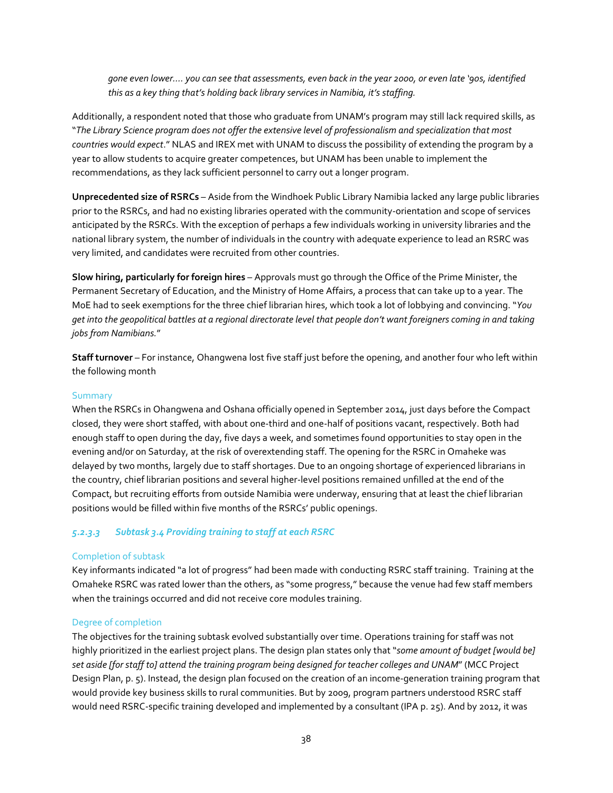*gone even lower…. you can see that assessments, even back in the year 2000, or even late '90s, identified this as a key thing that's holding back library services in Namibia, it's staffing.*

Additionally, a respondent noted that those who graduate from UNAM's program may still lack required skills, as "*The Library Science program does not offer the extensive level of professionalism and specialization that most countries would expect*." NLAS and IREX met with UNAM to discuss the possibility of extending the program by a year to allow students to acquire greater competences, but UNAM has been unable to implement the recommendations, as they lack sufficient personnel to carry out a longer program.

**Unprecedented size of RSRCs** – Aside from the Windhoek Public Library Namibia lacked any large public libraries prior to the RSRCs, and had no existing libraries operated with the community-orientation and scope of services anticipated by the RSRCs. With the exception of perhaps a few individuals working in university libraries and the national library system, the number of individuals in the country with adequate experience to lead an RSRC was very limited, and candidates were recruited from other countries.

**Slow hiring, particularly for foreign hires** – Approvals must go through the Office of the Prime Minister, the Permanent Secretary of Education, and the Ministry of Home Affairs, a process that can take up to a year. The MoE had to seek exemptions for the three chief librarian hires, which took a lot of lobbying and convincing. "*You get into the geopolitical battles at a regional directorate level that people don't want foreigners coming in and taking jobs from Namibians.*"

**Staff turnover** – For instance, Ohangwena lost five staff just before the opening, and another four who left within the following month

# **Summary**

When the RSRCs in Ohangwena and Oshana officially opened in September 2014, just days before the Compact closed, they were short staffed, with about one-third and one-half of positions vacant, respectively. Both had enough staff to open during the day, five days a week, and sometimes found opportunities to stay open in the evening and/or on Saturday, at the risk of overextending staff. The opening for the RSRC in Omaheke was delayed by two months, largely due to staff shortages. Due to an ongoing shortage of experienced librarians in the country, chief librarian positions and several higher-level positions remained unfilled at the end of the Compact, but recruiting efforts from outside Namibia were underway, ensuring that at least the chief librarian positions would be filled within five months of the RSRCs' public openings.

## *5.2.3.3 Subtask 3.4 Providing training to staff at each RSRC*

## Completion of subtask

Key informants indicated "a lot of progress" had been made with conducting RSRC staff training. Training at the Omaheke RSRC was rated lower than the others, as "some progress," because the venue had few staff members when the trainings occurred and did not receive core modules training.

## Degree of completion

The objectives for the training subtask evolved substantially over time. Operations training for staff was not highly prioritized in the earliest project plans. The design plan states only that "*some amount of budget [would be] set aside [for staff to] attend the training program being designed for teacher colleges and UNAM*" (MCC Project Design Plan, p. 5). Instead, the design plan focused on the creation of an income-generation training program that would provide key business skills to rural communities. But by 2009, program partners understood RSRC staff would need RSRC-specific training developed and implemented by a consultant (IPA p. 25). And by 2012, it was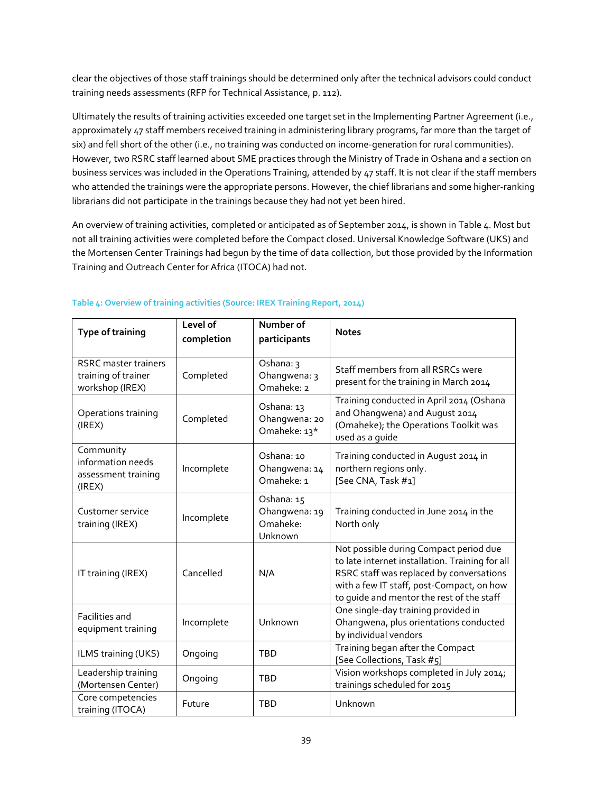clear the objectives of those staff trainings should be determined only after the technical advisors could conduct training needs assessments (RFP for Technical Assistance, p. 112).

Ultimately the results of training activities exceeded one target set in the Implementing Partner Agreement (i.e., approximately 47 staff members received training in administering library programs, far more than the target of six) and fell short of the other (i.e., no training was conducted on income-generation for rural communities). However, two RSRC staff learned about SME practices through the Ministry of Trade in Oshana and a section on business services was included in the Operations Training, attended by 47 staff. It is not clear if the staff members who attended the trainings were the appropriate persons. However, the chief librarians and some higher-ranking librarians did not participate in the trainings because they had not yet been hired.

An overview of training activities, completed or anticipated as of September 2014, is shown in Table 4. Most but not all training activities were completed before the Compact closed. Universal Knowledge Software (UKS) and the Mortensen Center Trainings had begun by the time of data collection, but those provided by the Information Training and Outreach Center for Africa (ITOCA) had not.

| <b>Type of training</b>                                               | Level of<br>completion | Number of<br>participants                          | <b>Notes</b>                                                                                                                                                                                                                    |
|-----------------------------------------------------------------------|------------------------|----------------------------------------------------|---------------------------------------------------------------------------------------------------------------------------------------------------------------------------------------------------------------------------------|
| <b>RSRC</b> master trainers<br>training of trainer<br>workshop (IREX) | Completed              | Oshana: 3<br>Ohangwena: 3<br>Omaheke: 2            | Staff members from all RSRCs were<br>present for the training in March 2014                                                                                                                                                     |
| Operations training<br>(IREX)                                         | Completed              | Oshana: 13<br>Ohangwena: 20<br>Omaheke: 13*        | Training conducted in April 2014 (Oshana<br>and Ohangwena) and August 2014<br>(Omaheke); the Operations Toolkit was<br>used as a quide                                                                                          |
| Community<br>information needs<br>assessment training<br>(IREX)       | Incomplete             | Oshana: 10<br>Ohangwena: 14<br>Omaheke: 1          | Training conducted in August 2014 in<br>northern regions only.<br>[See CNA, Task #1]                                                                                                                                            |
| Customer service<br>training (IREX)                                   | Incomplete             | Oshana: 15<br>Ohangwena: 19<br>Omaheke:<br>Unknown | Training conducted in June 2014 in the<br>North only                                                                                                                                                                            |
| IT training (IREX)                                                    | Cancelled              | N/A                                                | Not possible during Compact period due<br>to late internet installation. Training for all<br>RSRC staff was replaced by conversations<br>with a few IT staff, post-Compact, on how<br>to quide and mentor the rest of the staff |
| Facilities and<br>equipment training                                  | Incomplete             | Unknown                                            | One single-day training provided in<br>Ohangwena, plus orientations conducted<br>by individual vendors                                                                                                                          |
| ILMS training (UKS)                                                   | Ongoing                | <b>TBD</b>                                         | Training began after the Compact<br>[See Collections, Task #5]                                                                                                                                                                  |
| Leadership training<br>(Mortensen Center)                             | Ongoing                | <b>TBD</b>                                         | Vision workshops completed in July 2014;<br>trainings scheduled for 2015                                                                                                                                                        |
| Core competencies<br>training (ITOCA)                                 | Future                 | <b>TBD</b>                                         | Unknown                                                                                                                                                                                                                         |

# **Table 4: Overview of training activities (Source: IREX Training Report, 2014)**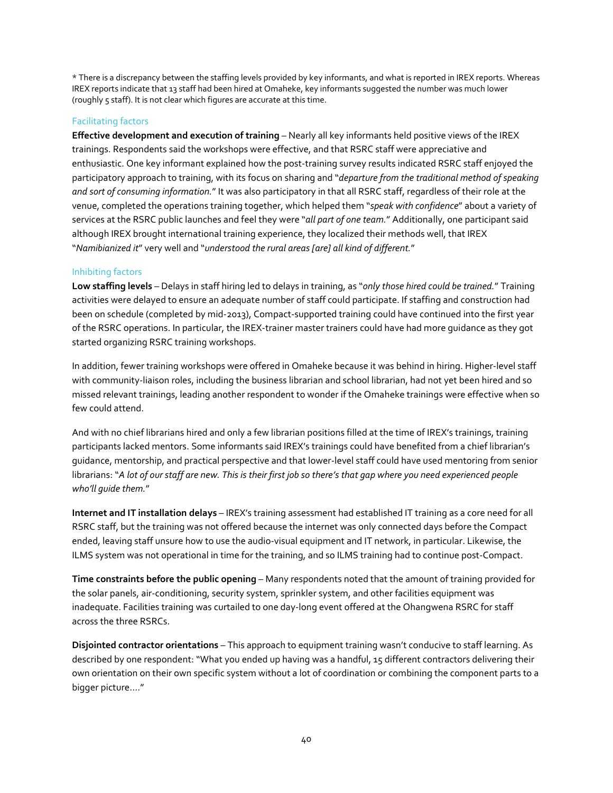\* There is a discrepancy between the staffing levels provided by key informants, and what is reported in IREX reports. Whereas IREX reports indicate that 13 staff had been hired at Omaheke, key informants suggested the number was much lower (roughly 5 staff). It is not clear which figures are accurate at this time.

# Facilitating factors

**Effective development and execution of training - Nearly all key informants held positive views of the IREX** trainings. Respondents said the workshops were effective, and that RSRC staff were appreciative and enthusiastic. One key informant explained how the post-training survey results indicated RSRC staff enjoyed the participatory approach to training, with its focus on sharing and "*departure from the traditional method of speaking and sort of consuming information.*" It was also participatory in that all RSRC staff, regardless of their role at the venue, completed the operations training together, which helped them "*speak with confidence*" about a variety of services at the RSRC public launches and feel they were "*all part of one team.*" Additionally, one participant said although IREX brought international training experience, they localized their methods well, that IREX "*Namibianized it*" very well and "*understood the rural areas [are] all kind of different.*"

# Inhibiting factors

**Low staffing levels** – Delays in staff hiring led to delays in training, as "*only those hired could be trained.*" Training activities were delayed to ensure an adequate number of staff could participate. If staffing and construction had been on schedule (completed by mid-2013), Compact-supported training could have continued into the first year of the RSRC operations. In particular, the IREX-trainer master trainers could have had more guidance as they got started organizing RSRC training workshops.

In addition, fewer training workshops were offered in Omaheke because it was behind in hiring. Higher-level staff with community-liaison roles, including the business librarian and school librarian, had not yet been hired and so missed relevant trainings, leading another respondent to wonder if the Omaheke trainings were effective when so few could attend.

And with no chief librarians hired and only a few librarian positions filled at the time of IREX's trainings, training participants lacked mentors. Some informants said IREX's trainings could have benefited from a chief librarian's guidance, mentorship, and practical perspective and that lower-level staff could have used mentoring from senior librarians: "*A lot of our staff are new. This is their first job so there's that gap where you need experienced people who'll guide them.*"

**Internet and IT installation delays** – IREX's training assessment had established IT training as a core need for all RSRC staff, but the training was not offered because the internet was only connected days before the Compact ended, leaving staff unsure how to use the audio-visual equipment and IT network, in particular. Likewise, the ILMS system was not operational in time for the training, and so ILMS training had to continue post-Compact.

**Time constraints before the public opening** – Many respondents noted that the amount of training provided for the solar panels, air-conditioning, security system, sprinkler system, and other facilities equipment was inadequate. Facilities training was curtailed to one day-long event offered at the Ohangwena RSRC for staff across the three RSRCs.

**Disjointed contractor orientations** – This approach to equipment training wasn't conducive to staff learning. As described by one respondent: "What you ended up having was a handful, 15 different contractors delivering their own orientation on their own specific system without a lot of coordination or combining the component parts to a bigger picture...."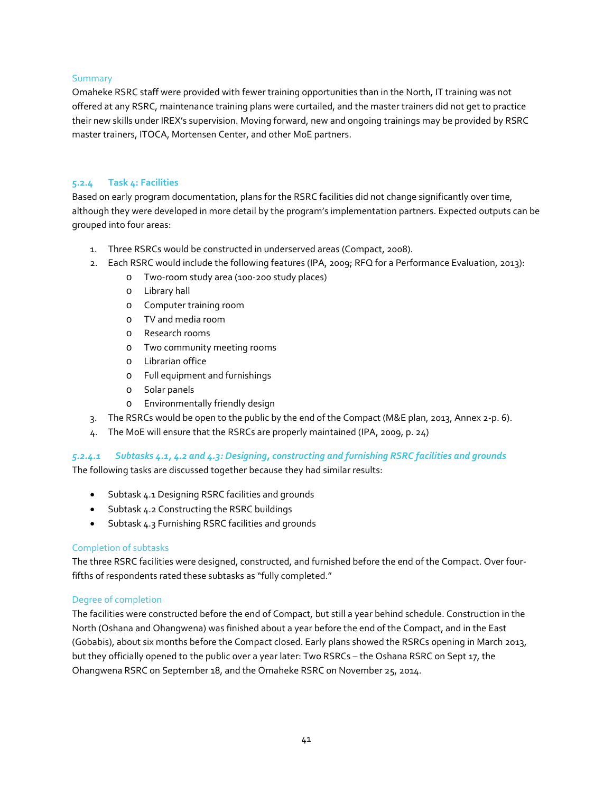# Summary

Omaheke RSRC staff were provided with fewer training opportunities than in the North, IT training was not offered at any RSRC, maintenance training plans were curtailed, and the master trainers did not get to practice their new skills under IREX's supervision. Moving forward, new and ongoing trainings may be provided by RSRC master trainers, ITOCA, Mortensen Center, and other MoE partners.

# **5.2.4 Task 4: Facilities**

Based on early program documentation, plans for the RSRC facilities did not change significantly over time, although they were developed in more detail by the program's implementation partners. Expected outputs can be grouped into four areas:

- 1. Three RSRCs would be constructed in underserved areas (Compact, 2008).
- 2. Each RSRC would include the following features (IPA, 2009; RFQ for a Performance Evaluation, 2013):
	- o Two-room study area (100-200 study places)
	- o Library hall
	- o Computer training room
	- o TV and media room
	- o Research rooms
	- o Two community meeting rooms
	- o Librarian office
	- o Full equipment and furnishings
	- o Solar panels
	- o Environmentally friendly design
- 3. The RSRCs would be open to the public by the end of the Compact (M&E plan, 2013, Annex 2-p. 6).
- 4. The MoE will ensure that the RSRCs are properly maintained (IPA, 2009, p. 24)

# *5.2.4.1 Subtasks 4.1, 4.2 and 4.3: Designing, constructing and furnishing RSRC facilities and grounds*

The following tasks are discussed together because they had similar results:

- Subtask 4.1 Designing RSRC facilities and grounds
- Subtask 4.2 Constructing the RSRC buildings
- Subtask 4.3 Furnishing RSRC facilities and grounds

# Completion of subtasks

The three RSRC facilities were designed, constructed, and furnished before the end of the Compact. Over fourfifths of respondents rated these subtasks as "fully completed."

# Degree of completion

The facilities were constructed before the end of Compact, but still a year behind schedule. Construction in the North (Oshana and Ohangwena) was finished about a year before the end of the Compact, and in the East (Gobabis), about six months before the Compact closed. Early plans showed the RSRCs opening in March 2013, but they officially opened to the public over a year later: Two RSRCs – the Oshana RSRC on Sept 17, the Ohangwena RSRC on September 18, and the Omaheke RSRC on November 25, 2014.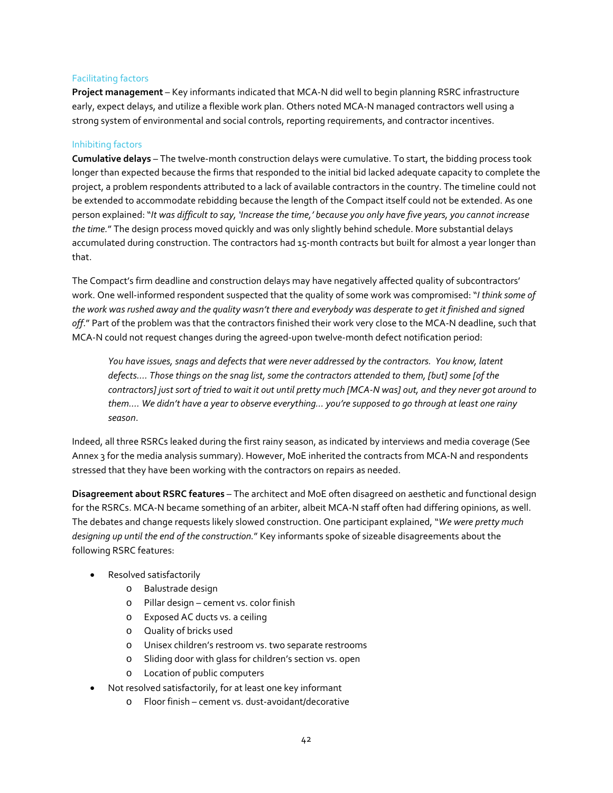# Facilitating factors

**Project management** – Key informants indicated that MCA-N did well to begin planning RSRC infrastructure early, expect delays, and utilize a flexible work plan. Others noted MCA-N managed contractors well using a strong system of environmental and social controls, reporting requirements, and contractor incentives.

# Inhibiting factors

**Cumulative delays** – The twelve-month construction delays were cumulative. To start, the bidding process took longer than expected because the firms that responded to the initial bid lacked adequate capacity to complete the project, a problem respondents attributed to a lack of available contractors in the country. The timeline could not be extended to accommodate rebidding because the length of the Compact itself could not be extended. As one person explained: "*It was difficult to say, 'Increase the time,' because you only have five years, you cannot increase the time.*" The design process moved quickly and was only slightly behind schedule. More substantial delays accumulated during construction. The contractors had 15-month contracts but built for almost a year longer than that.

The Compact's firm deadline and construction delays may have negatively affected quality of subcontractors' work. One well-informed respondent suspected that the quality of some work was compromised: "*I think some of the work was rushed away and the quality wasn't there and everybody was desperate to get it finished and signed off*." Part of the problem was that the contractors finished their work very close to the MCA-N deadline, such that MCA-N could not request changes during the agreed-upon twelve-month defect notification period:

*You have issues, snags and defects that were never addressed by the contractors. You know, latent defects…. Those things on the snag list, some the contractors attended to them, [but] some [of the contractors] just sort of tried to wait it out until pretty much [MCA-N was] out, and they never got around to them…. We didn't have a year to observe everything… you're supposed to go through at least one rainy season*.

Indeed, all three RSRCs leaked during the first rainy season, as indicated by interviews and media coverage (See Annex 3 for the media analysis summary). However, MoE inherited the contracts from MCA-N and respondents stressed that they have been working with the contractors on repairs as needed.

**Disagreement about RSRC features** – The architect and MoE often disagreed on aesthetic and functional design for the RSRCs. MCA-N became something of an arbiter, albeit MCA-N staff often had differing opinions, as well. The debates and change requests likely slowed construction. One participant explained, "*We were pretty much designing up until the end of the construction.*" Key informants spoke of sizeable disagreements about the following RSRC features:

- Resolved satisfactorily
	- o Balustrade design
	- o Pillar design cement vs. color finish
	- o Exposed AC ducts vs. a ceiling
	- o Quality of bricks used
	- o Unisex children's restroom vs. two separate restrooms
	- o Sliding door with glass for children's section vs. open
	- o Location of public computers
- Not resolved satisfactorily, for at least one key informant
	- o Floor finish cement vs. dust-avoidant/decorative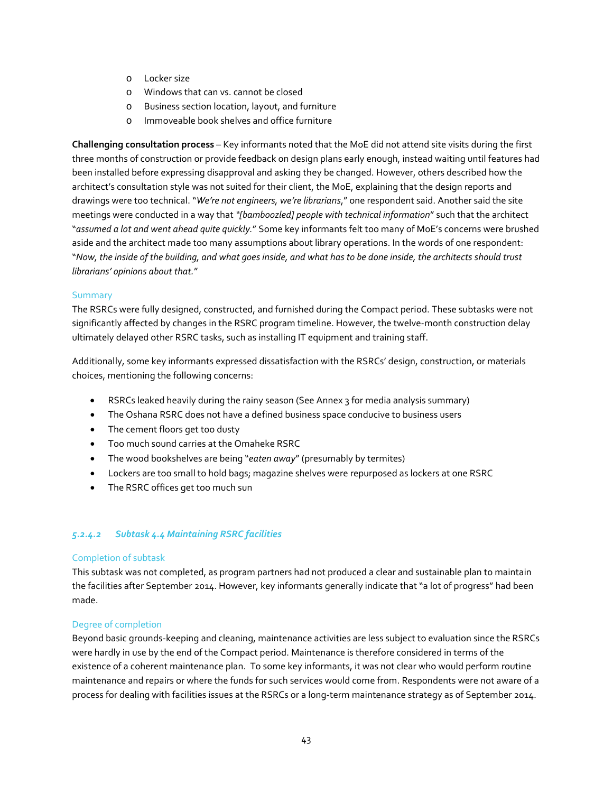- o Locker size
- o Windows that can vs. cannot be closed
- o Business section location, layout, and furniture
- o Immoveable book shelves and office furniture

**Challenging consultation process** – Key informants noted that the MoE did not attend site visits during the first three months of construction or provide feedback on design plans early enough, instead waiting until features had been installed before expressing disapproval and asking they be changed. However, others described how the architect's consultation style was not suited for their client, the MoE, explaining that the design reports and drawings were too technical. "*We're not engineers, we're librarians*," one respondent said. Another said the site meetings were conducted in a way that *"[bamboozled] people with technical information*" such that the architect "*assumed a lot and went ahead quite quickly.*" Some key informants felt too many of MoE's concerns were brushed aside and the architect made too many assumptions about library operations. In the words of one respondent: "*Now, the inside of the building, and what goes inside, and what has to be done inside, the architects should trust librarians' opinions about that.*"

# **Summary**

The RSRCs were fully designed, constructed, and furnished during the Compact period. These subtasks were not significantly affected by changes in the RSRC program timeline. However, the twelve-month construction delay ultimately delayed other RSRC tasks, such as installing IT equipment and training staff.

Additionally, some key informants expressed dissatisfaction with the RSRCs' design, construction, or materials choices, mentioning the following concerns:

- RSRCs leaked heavily during the rainy season (See Annex 3 for media analysis summary)
- The Oshana RSRC does not have a defined business space conducive to business users
- The cement floors get too dusty
- Too much sound carries at the Omaheke RSRC
- The wood bookshelves are being "*eaten away*" (presumably by termites)
- Lockers are too small to hold bags; magazine shelves were repurposed as lockers at one RSRC
- The RSRC offices get too much sun

# *5.2.4.2 Subtask 4.4 Maintaining RSRC facilities*

## Completion of subtask

This subtask was not completed, as program partners had not produced a clear and sustainable plan to maintain the facilities after September 2014. However, key informants generally indicate that "a lot of progress" had been made.

## Degree of completion

Beyond basic grounds-keeping and cleaning, maintenance activities are less subject to evaluation since the RSRCs were hardly in use by the end of the Compact period. Maintenance is therefore considered in terms of the existence of a coherent maintenance plan. To some key informants, it was not clear who would perform routine maintenance and repairs or where the funds for such services would come from. Respondents were not aware of a process for dealing with facilities issues at the RSRCs or a long-term maintenance strategy as of September 2014.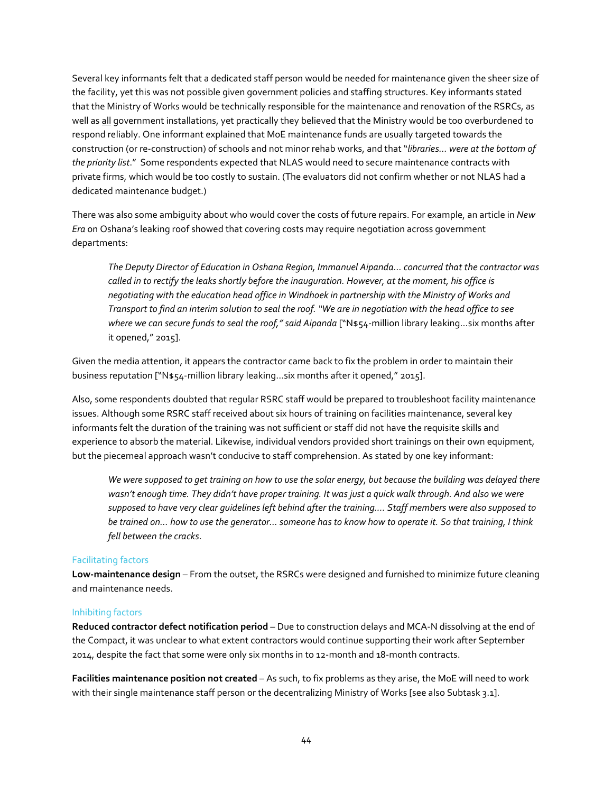Several key informants felt that a dedicated staff person would be needed for maintenance given the sheer size of the facility, yet this was not possible given government policies and staffing structures. Key informants stated that the Ministry of Works would be technically responsible for the maintenance and renovation of the RSRCs, as well as all government installations, yet practically they believed that the Ministry would be too overburdened to respond reliably. One informant explained that MoE maintenance funds are usually targeted towards the construction (or re-construction) of schools and not minor rehab works, and that "*libraries… were at the bottom of the priority list*." Some respondents expected that NLAS would need to secure maintenance contracts with private firms, which would be too costly to sustain. (The evaluators did not confirm whether or not NLAS had a dedicated maintenance budget.)

There was also some ambiguity about who would cover the costs of future repairs. For example, an article in *New Era* on Oshana's leaking roof showed that covering costs may require negotiation across government departments:

*The Deputy Director of Education in Oshana Region, Immanuel Aipanda… concurred that the contractor was called in to rectify the leaks shortly before the inauguration. However, at the moment, his office is negotiating with the education head office in Windhoek in partnership with the Ministry of Works and Transport to find an interim solution to seal the roof. "We are in negotiation with the head office to see where we can secure funds to seal the roof," said Aipanda* ["N\$54-million library leaking…six months after it opened," 2015].

Given the media attention, it appears the contractor came back to fix the problem in order to maintain their business reputation ["N\$54-million library leaking…six months after it opened," 2015].

Also, some respondents doubted that regular RSRC staff would be prepared to troubleshoot facility maintenance issues. Although some RSRC staff received about six hours of training on facilities maintenance, several key informants felt the duration of the training was not sufficient or staff did not have the requisite skills and experience to absorb the material. Likewise, individual vendors provided short trainings on their own equipment, but the piecemeal approach wasn't conducive to staff comprehension. As stated by one key informant:

*We were supposed to get training on how to use the solar energy, but because the building was delayed there wasn't enough time. They didn't have proper training. It was just a quick walk through. And also we were supposed to have very clear guidelines left behind after the training…. Staff members were also supposed to be trained on… how to use the generator… someone has to know how to operate it. So that training, I think fell between the cracks*.

## Facilitating factors

**Low-maintenance design** – From the outset, the RSRCs were designed and furnished to minimize future cleaning and maintenance needs.

#### Inhibiting factors

**Reduced contractor defect notification period** – Due to construction delays and MCA-N dissolving at the end of the Compact, it was unclear to what extent contractors would continue supporting their work after September 2014, despite the fact that some were only six months in to 12-month and 18-month contracts.

**Facilities maintenance position not created** – As such, to fix problems as they arise, the MoE will need to work with their single maintenance staff person or the decentralizing Ministry of Works [see also Subtask 3.1].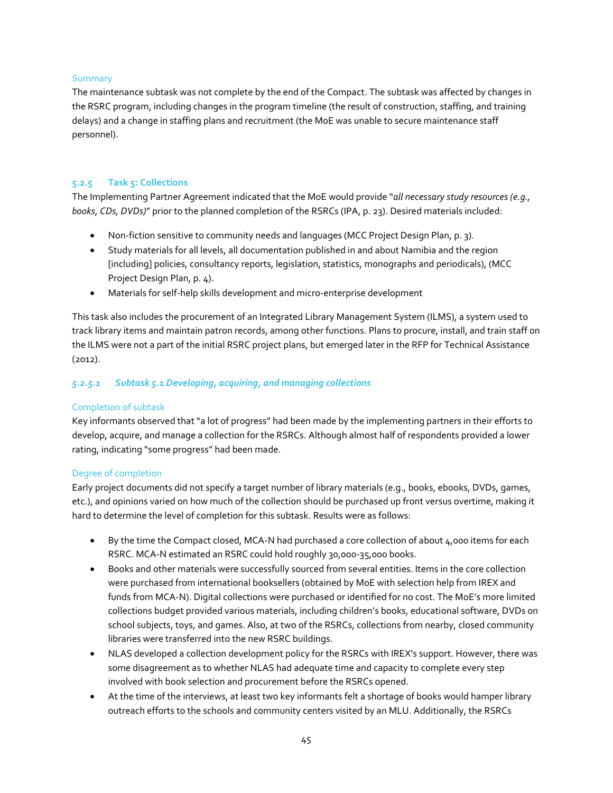# Summary

The maintenance subtask was not complete by the end of the Compact. The subtask was affected by changes in the RSRC program, including changes in the program timeline (the result of construction, staffing, and training delays) and a change in staffing plans and recruitment (the MoE was unable to secure maintenance staff personnel).

# **5.2.5 Task 5: Collections**

The Implementing Partner Agreement indicated that the MoE would provide "*all necessary study resources (e.g., books, CDs, DVDs)*" prior to the planned completion of the RSRCs (IPA, p. 23). Desired materials included:

- Non-fiction sensitive to community needs and languages (MCC Project Design Plan, p. 3).
- Study materials for all levels, all documentation published in and about Namibia and the region [including] policies, consultancy reports, legislation, statistics, monographs and periodicals), (MCC Project Design Plan, p. 4).
- Materials for self-help skills development and micro-enterprise development

This task also includes the procurement of an Integrated Library Management System (ILMS), a system used to track library items and maintain patron records, among other functions. Plans to procure, install, and train staff on the ILMS were not a part of the initial RSRC project plans, but emerged later in the RFP for Technical Assistance (2012).

# *5.2.5.1 Subtask 5.1 Developing, acquiring, and managing collections*

# Completion of subtask

Key informants observed that "a lot of progress" had been made by the implementing partners in their efforts to develop, acquire, and manage a collection for the RSRCs. Although almost half of respondents provided a lower rating, indicating "some progress" had been made.

# Degree of completion

Early project documents did not specify a target number of library materials (e.g., books, ebooks, DVDs, games, etc.), and opinions varied on how much of the collection should be purchased up front versus overtime, making it hard to determine the level of completion for this subtask. Results were as follows:

- By the time the Compact closed, MCA-N had purchased a core collection of about 4,000 items for each RSRC. MCA-N estimated an RSRC could hold roughly 30,000-35,000 books.
- Books and other materials were successfully sourced from several entities. Items in the core collection were purchased from international booksellers (obtained by MoE with selection help from IREX and funds from MCA-N). Digital collections were purchased or identified for no cost. The MoE's more limited collections budget provided various materials, including children's books, educational software, DVDs on school subjects, toys, and games. Also, at two of the RSRCs, collections from nearby, closed community libraries were transferred into the new RSRC buildings.
- NLAS developed a collection development policy for the RSRCs with IREX's support. However, there was some disagreement as to whether NLAS had adequate time and capacity to complete every step involved with book selection and procurement before the RSRCs opened.
- At the time of the interviews, at least two key informants felt a shortage of books would hamper library outreach efforts to the schools and community centers visited by an MLU. Additionally, the RSRCs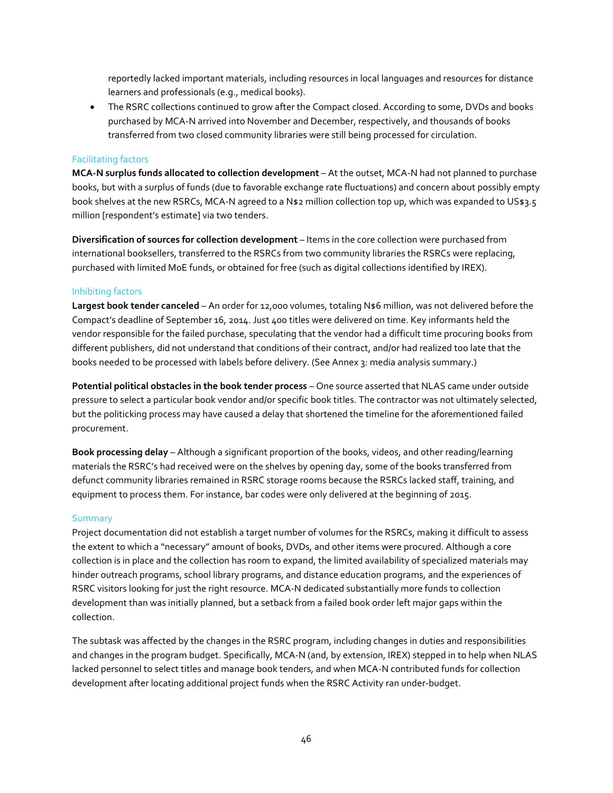reportedly lacked important materials, including resources in local languages and resources for distance learners and professionals (e.g., medical books).

• The RSRC collections continued to grow after the Compact closed. According to some, DVDs and books purchased by MCA-N arrived into November and December, respectively, and thousands of books transferred from two closed community libraries were still being processed for circulation.

#### Facilitating factors

**MCA-N surplus funds allocated to collection development** – At the outset, MCA-N had not planned to purchase books, but with a surplus of funds (due to favorable exchange rate fluctuations) and concern about possibly empty book shelves at the new RSRCs, MCA-N agreed to a N\$2 million collection top up, which was expanded to US\$3.5 million [respondent's estimate] via two tenders.

**Diversification of sources for collection development** – Items in the core collection were purchased from international booksellers, transferred to the RSRCs from two community libraries the RSRCs were replacing, purchased with limited MoE funds, or obtained for free (such as digital collections identified by IREX).

#### Inhibiting factors

**Largest book tender canceled** – An order for 12,000 volumes, totaling N\$6 million, was not delivered before the Compact's deadline of September 16, 2014. Just 400 titles were delivered on time. Key informants held the vendor responsible for the failed purchase, speculating that the vendor had a difficult time procuring books from different publishers, did not understand that conditions of their contract, and/or had realized too late that the books needed to be processed with labels before delivery. (See Annex 3: media analysis summary.)

**Potential political obstacles in the book tender process** – One source asserted that NLAS came under outside pressure to select a particular book vendor and/or specific book titles. The contractor was not ultimately selected, but the politicking process may have caused a delay that shortened the timeline for the aforementioned failed procurement.

**Book processing delay** – Although a significant proportion of the books, videos, and other reading/learning materials the RSRC's had received were on the shelves by opening day, some of the books transferred from defunct community libraries remained in RSRC storage rooms because the RSRCs lacked staff, training, and equipment to process them. For instance, bar codes were only delivered at the beginning of 2015.

#### **Summary**

Project documentation did not establish a target number of volumes for the RSRCs, making it difficult to assess the extent to which a "necessary" amount of books, DVDs, and other items were procured. Although a core collection is in place and the collection has room to expand, the limited availability of specialized materials may hinder outreach programs, school library programs, and distance education programs, and the experiences of RSRC visitors looking for just the right resource. MCA-N dedicated substantially more funds to collection development than was initially planned, but a setback from a failed book order left major gaps within the collection.

The subtask was affected by the changes in the RSRC program, including changes in duties and responsibilities and changes in the program budget. Specifically, MCA-N (and, by extension, IREX) stepped in to help when NLAS lacked personnel to select titles and manage book tenders, and when MCA-N contributed funds for collection development after locating additional project funds when the RSRC Activity ran under-budget.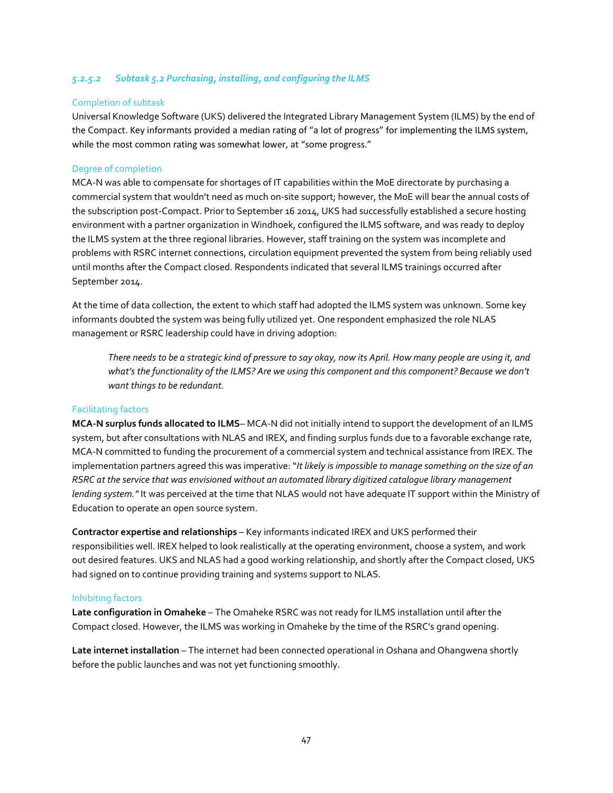# *5.2.5.2 Subtask 5.2 Purchasing, installing, and configuring the ILMS*

#### Completion of subtask

Universal Knowledge Software (UKS) delivered the Integrated Library Management System (ILMS) by the end of the Compact. Key informants provided a median rating of "a lot of progress" for implementing the ILMS system, while the most common rating was somewhat lower, at "some progress."

#### Degree of completion

MCA-N was able to compensate for shortages of IT capabilities within the MoE directorate by purchasing a commercial system that wouldn't need as much on-site support; however, the MoE will bear the annual costs of the subscription post-Compact. Prior to September 16 2014, UKS had successfully established a secure hosting environment with a partner organization in Windhoek, configured the ILMS software, and was ready to deploy the ILMS system at the three regional libraries. However, staff training on the system was incomplete and problems with RSRC internet connections, circulation equipment prevented the system from being reliably used until months after the Compact closed. Respondents indicated that several ILMS trainings occurred after September 2014.

At the time of data collection, the extent to which staff had adopted the ILMS system was unknown. Some key informants doubted the system was being fully utilized yet. One respondent emphasized the role NLAS management or RSRC leadership could have in driving adoption:

*There needs to be a strategic kind of pressure to say okay, now its April. How many people are using it, and*  what's the functionality of the ILMS? Are we using this component and this component? Because we don't *want things to be redundant.*

## Facilitating factors

**MCA-N surplus funds allocated to ILMS**– MCA-N did not initially intend to support the development of an ILMS system, but after consultations with NLAS and IREX, and finding surplus funds due to a favorable exchange rate, MCA-N committed to funding the procurement of a commercial system and technical assistance from IREX. The implementation partners agreed this was imperative: "*It likely is impossible to manage something on the size of an RSRC at the service that was envisioned without an automated library digitized catalogue library management lending system."* It was perceived at the time that NLAS would not have adequate IT support within the Ministry of Education to operate an open source system.

**Contractor expertise and relationships** – Key informants indicated IREX and UKS performed their responsibilities well. IREX helped to look realistically at the operating environment, choose a system, and work out desired features. UKS and NLAS had a good working relationship, and shortly after the Compact closed, UKS had signed on to continue providing training and systems support to NLAS.

#### Inhibiting factors

**Late configuration in Omaheke** – The Omaheke RSRC was not ready for ILMS installation until after the Compact closed. However, the ILMS was working in Omaheke by the time of the RSRC's grand opening.

**Late internet installation** – The internet had been connected operational in Oshana and Ohangwena shortly before the public launches and was not yet functioning smoothly.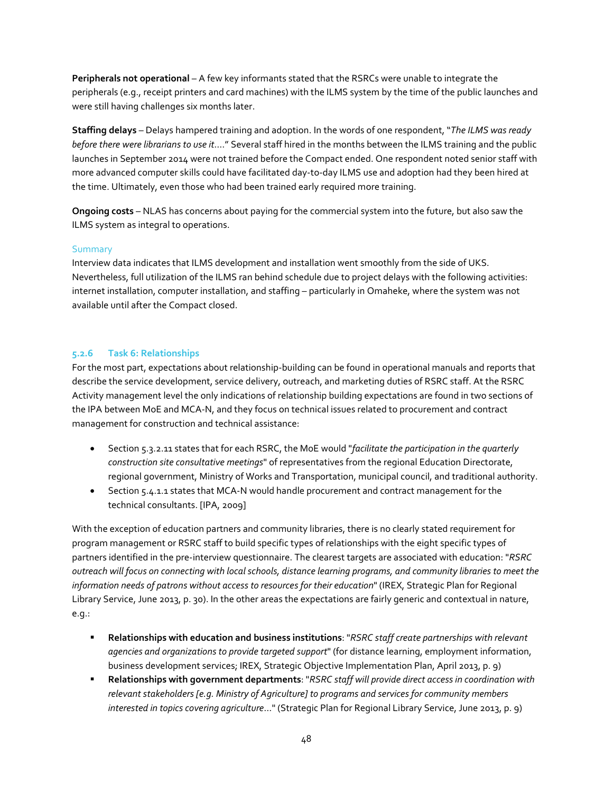**Peripherals not operational** – A few key informants stated that the RSRCs were unable to integrate the peripherals (e.g., receipt printers and card machines) with the ILMS system by the time of the public launches and were still having challenges six months later.

**Staffing delays** – Delays hampered training and adoption. In the words of one respondent, "*The ILMS was ready before there were librarians to use it*…." Several staff hired in the months between the ILMS training and the public launches in September 2014 were not trained before the Compact ended. One respondent noted senior staff with more advanced computer skills could have facilitated day-to-day ILMS use and adoption had they been hired at the time. Ultimately, even those who had been trained early required more training.

**Ongoing costs** – NLAS has concerns about paying for the commercial system into the future, but also saw the ILMS system as integral to operations.

## Summary

Interview data indicates that ILMS development and installation went smoothly from the side of UKS. Nevertheless, full utilization of the ILMS ran behind schedule due to project delays with the following activities: internet installation, computer installation, and staffing – particularly in Omaheke, where the system was not available until after the Compact closed.

## **5.2.6 Task 6: Relationships**

For the most part, expectations about relationship-building can be found in operational manuals and reports that describe the service development, service delivery, outreach, and marketing duties of RSRC staff. At the RSRC Activity management level the only indications of relationship building expectations are found in two sections of the IPA between MoE and MCA-N, and they focus on technical issues related to procurement and contract management for construction and technical assistance:

- Section 5.3.2.11 states that for each RSRC, the MoE would "*facilitate the participation in the quarterly construction site consultative meetings*" of representatives from the regional Education Directorate, regional government, Ministry of Works and Transportation, municipal council, and traditional authority.
- Section 5.4.1.1 states that MCA-N would handle procurement and contract management for the technical consultants. [IPA, 2009]

With the exception of education partners and community libraries, there is no clearly stated requirement for program management or RSRC staff to build specific types of relationships with the eight specific types of partners identified in the pre-interview questionnaire. The clearest targets are associated with education: "*RSRC outreach will focus on connecting with local schools, distance learning programs, and community libraries to meet the information needs of patrons without access to resources for their education*" (IREX, Strategic Plan for Regional Library Service, June 2013, p. 30). In the other areas the expectations are fairly generic and contextual in nature, e.g.:

- **Relationships with education and business institutions**: "*RSRC staff create partnerships with relevant agencies and organizations to provide targeted support*" (for distance learning, employment information, business development services; IREX, Strategic Objective Implementation Plan, April 2013, p. 9)
- **Relationships with government departments**: "*RSRC staff will provide direct access in coordination with relevant stakeholders [e.g. Ministry of Agriculture] to programs and services for community members interested in topics covering agriculture*…" (Strategic Plan for Regional Library Service, June 2013, p. 9)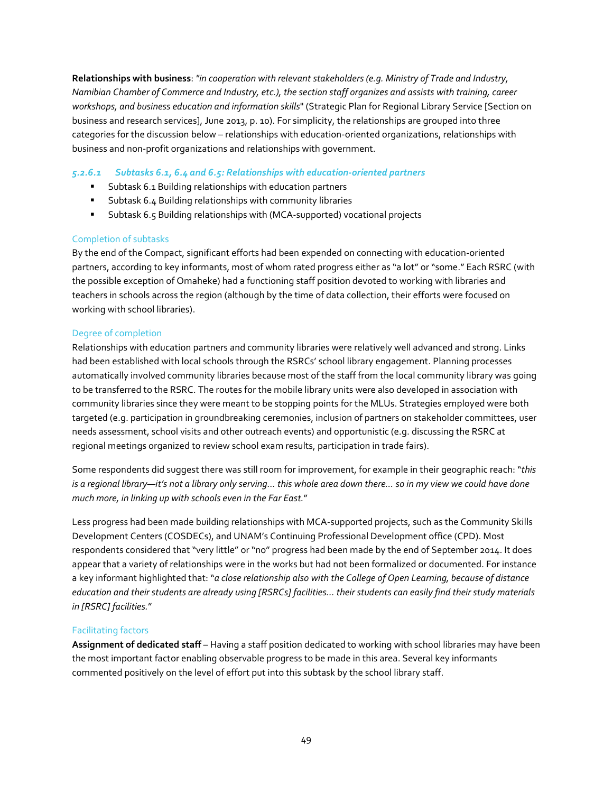**Relationships with business**: *"in cooperation with relevant stakeholders (e.g. Ministry of Trade and Industry, Namibian Chamber of Commerce and Industry, etc.), the section staff organizes and assists with training, career workshops, and business education and information skills*" (Strategic Plan for Regional Library Service [Section on business and research services], June 2013, p. 10). For simplicity, the relationships are grouped into three categories for the discussion below – relationships with education-oriented organizations, relationships with business and non-profit organizations and relationships with government.

# *5.2.6.1 Subtasks 6.1, 6.4 and 6.5: Relationships with education-oriented partners*

- Subtask 6.1 Building relationships with education partners
- Subtask 6.4 Building relationships with community libraries
- Subtask 6.5 Building relationships with (MCA-supported) vocational projects

## Completion of subtasks

By the end of the Compact, significant efforts had been expended on connecting with education-oriented partners, according to key informants, most of whom rated progress either as "a lot" or "some." Each RSRC (with the possible exception of Omaheke) had a functioning staff position devoted to working with libraries and teachers in schools across the region (although by the time of data collection, their efforts were focused on working with school libraries).

# Degree of completion

Relationships with education partners and community libraries were relatively well advanced and strong. Links had been established with local schools through the RSRCs' school library engagement. Planning processes automatically involved community libraries because most of the staff from the local community library was going to be transferred to the RSRC. The routes for the mobile library units were also developed in association with community libraries since they were meant to be stopping points for the MLUs. Strategies employed were both targeted (e.g. participation in groundbreaking ceremonies, inclusion of partners on stakeholder committees, user needs assessment, school visits and other outreach events) and opportunistic (e.g. discussing the RSRC at regional meetings organized to review school exam results, participation in trade fairs).

Some respondents did suggest there was still room for improvement, for example in their geographic reach: "*this*  is a regional library—it's not a library only serving... this whole area down there... so in my view we could have done *much more, in linking up with schools even in the Far East.*"

Less progress had been made building relationships with MCA-supported projects, such as the Community Skills Development Centers (COSDECs), and UNAM's Continuing Professional Development office (CPD). Most respondents considered that "very little" or "no" progress had been made by the end of September 2014. It does appear that a variety of relationships were in the works but had not been formalized or documented. For instance a key informant highlighted that: "*a close relationship also with the College of Open Learning, because of distance education and their students are already using [RSRCs] facilities… their students can easily find their study materials in [RSRC] facilities.*"

## Facilitating factors

**Assignment of dedicated staff** – Having a staff position dedicated to working with school libraries may have been the most important factor enabling observable progress to be made in this area. Several key informants commented positively on the level of effort put into this subtask by the school library staff.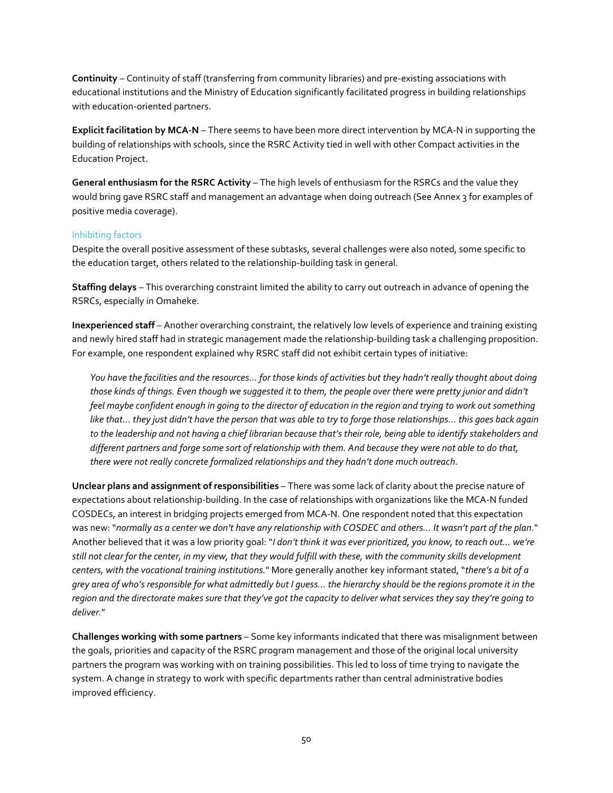**Continuity** – Continuity of staff (transferring from community libraries) and pre-existing associations with educational institutions and the Ministry of Education significantly facilitated progress in building relationships with education-oriented partners.

**Explicit facilitation by MCA-N** – There seems to have been more direct intervention by MCA-N in supporting the building of relationships with schools, since the RSRC Activity tied in well with other Compact activities in the Education Project.

**General enthusiasm for the RSRC Activity** – The high levels of enthusiasm for the RSRCs and the value they would bring gave RSRC staff and management an advantage when doing outreach (See Annex 3 for examples of positive media coverage).

# Inhibiting factors

Despite the overall positive assessment of these subtasks, several challenges were also noted, some specific to the education target, others related to the relationship-building task in general.

**Staffing delays** – This overarching constraint limited the ability to carry out outreach in advance of opening the RSRCs, especially in Omaheke.

**Inexperienced staff** – Another overarching constraint, the relatively low levels of experience and training existing and newly hired staff had in strategic management made the relationship-building task a challenging proposition. For example, one respondent explained why RSRC staff did not exhibit certain types of initiative:

*You have the facilities and the resources… for those kinds of activities but they hadn't really thought about doing those kinds of things. Even though we suggested it to them, the people over there were pretty junior and didn't feel maybe confident enough in going to the director of education in the region and trying to work out something like that… they just didn't have the person that was able to try to forge those relationships… this goes back again*  to the leadership and not having a chief librarian because that's their role, being able to identify stakeholders and *different partners and forge some sort of relationship with them. And because they were not able to do that, there were not really concrete formalized relationships and they hadn't done much outreach*.

**Unclear plans and assignment of responsibilities** – There was some lack of clarity about the precise nature of expectations about relationship-building. In the case of relationships with organizations like the MCA-N funded COSDECs, an interest in bridging projects emerged from MCA-N. One respondent noted that this expectation was new: "*normally as a center we don't have any relationship with COSDEC and others… It wasn't part of the plan.*" Another believed that it was a low priority goal: "*I don't think it was ever prioritized, you know, to reach out… we're still not clear for the center, in my view, that they would fulfill with these, with the community skills development centers, with the vocational training institutions.*" More generally another key informant stated, "*there's a bit of a grey area of who's responsible for what admittedly but I guess… the hierarchy should be the regions promote it in the region and the directorate makes sure that they've got the capacity to deliver what services they say they're going to deliver.*"

**Challenges working with some partners** – Some key informants indicated that there was misalignment between the goals, priorities and capacity of the RSRC program management and those of the original local university partners the program was working with on training possibilities. This led to loss of time trying to navigate the system. A change in strategy to work with specific departments rather than central administrative bodies improved efficiency.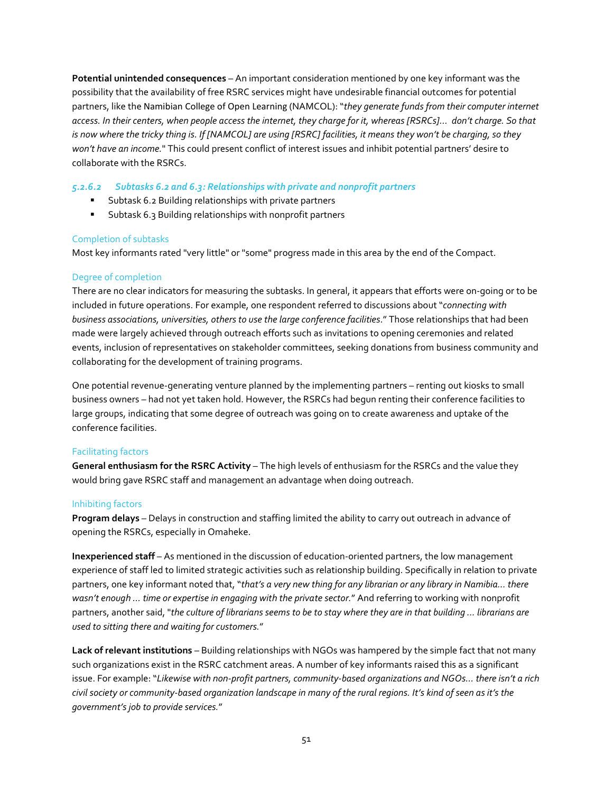**Potential unintended consequences** – An important consideration mentioned by one key informant was the possibility that the availability of free RSRC services might have undesirable financial outcomes for potential partners, like the Namibian College of Open Learning (NAMCOL): "*they generate funds from their computer internet access. In their centers, when people access the internet, they charge for it, whereas [RSRCs]… don't charge. So that is now where the tricky thing is. If [NAMCOL] are using [RSRC] facilities, it means they won't be charging, so they won't have an income.*" This could present conflict of interest issues and inhibit potential partners' desire to collaborate with the RSRCs.

# *5.2.6.2 Subtasks 6.2 and 6.3: Relationships with private and nonprofit partners*

- Subtask 6.2 Building relationships with private partners
- **Subtask 6.3 Building relationships with nonprofit partners**

## Completion of subtasks

Most key informants rated "very little" or "some" progress made in this area by the end of the Compact.

# Degree of completion

There are no clear indicators for measuring the subtasks. In general, it appears that efforts were on-going or to be included in future operations. For example, one respondent referred to discussions about "*connecting with business associations, universities, others to use the large conference facilities*." Those relationships that had been made were largely achieved through outreach efforts such as invitations to opening ceremonies and related events, inclusion of representatives on stakeholder committees, seeking donations from business community and collaborating for the development of training programs.

One potential revenue-generating venture planned by the implementing partners – renting out kiosks to small business owners – had not yet taken hold. However, the RSRCs had begun renting their conference facilities to large groups, indicating that some degree of outreach was going on to create awareness and uptake of the conference facilities.

## Facilitating factors

**General enthusiasm for the RSRC Activity** – The high levels of enthusiasm for the RSRCs and the value they would bring gave RSRC staff and management an advantage when doing outreach.

## Inhibiting factors

**Program delays** – Delays in construction and staffing limited the ability to carry out outreach in advance of opening the RSRCs, especially in Omaheke.

**Inexperienced staff** – As mentioned in the discussion of education-oriented partners, the low management experience of staff led to limited strategic activities such as relationship building. Specifically in relation to private partners, one key informant noted that, "*that's a very new thing for any librarian or any library in Namibia… there wasn't enough … time or expertise in engaging with the private sector.*" And referring to working with nonprofit partners, another said, "*the culture of librarians seems to be to stay where they are in that building ... librarians are used to sitting there and waiting for customers.*"

**Lack of relevant institutions** – Building relationships with NGOs was hampered by the simple fact that not many such organizations exist in the RSRC catchment areas. A number of key informants raised this as a significant issue. For example: "*Likewise with non-profit partners, community-based organizations and NGOs... there isn't a rich civil society or community-based organization landscape in many of the rural regions. It's kind of seen as it's the government's job to provide services.*"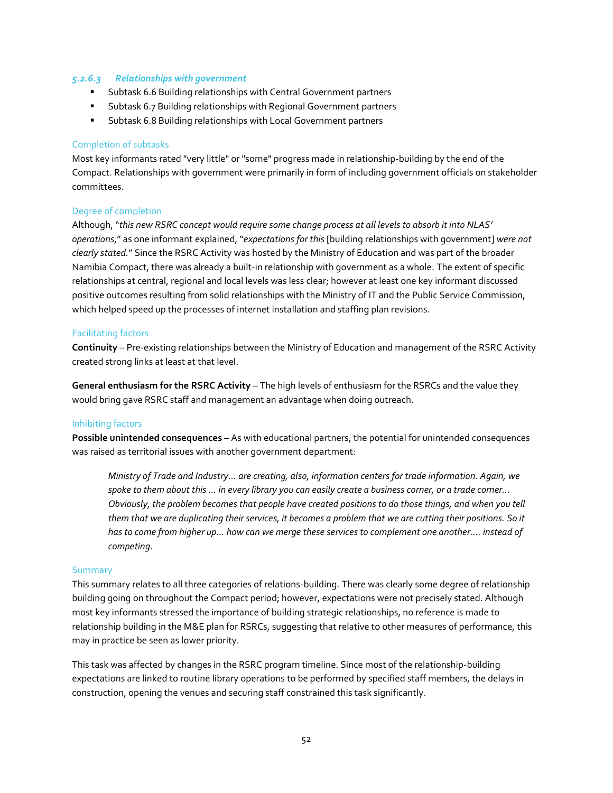#### *5.2.6.3 Relationships with government*

- Subtask 6.6 Building relationships with Central Government partners
- Subtask 6.7 Building relationships with Regional Government partners
- Subtask 6.8 Building relationships with Local Government partners

#### Completion of subtasks

Most key informants rated "very little" or "some" progress made in relationship-building by the end of the Compact. Relationships with government were primarily in form of including government officials on stakeholder committees.

# Degree of completion

Although, "*this new RSRC concept would require some change process at all levels to absorb it into NLAS' operations*," as one informant explained, "*expectations for this* [building relationships with government] *were not clearly stated.*" Since the RSRC Activity was hosted by the Ministry of Education and was part of the broader Namibia Compact, there was already a built-in relationship with government as a whole. The extent of specific relationships at central, regional and local levels was less clear; however at least one key informant discussed positive outcomes resulting from solid relationships with the Ministry of IT and the Public Service Commission, which helped speed up the processes of internet installation and staffing plan revisions.

#### Facilitating factors

**Continuity** – Pre-existing relationships between the Ministry of Education and management of the RSRC Activity created strong links at least at that level.

**General enthusiasm for the RSRC Activity** – The high levels of enthusiasm for the RSRCs and the value they would bring gave RSRC staff and management an advantage when doing outreach.

#### Inhibiting factors

**Possible unintended consequences** – As with educational partners, the potential for unintended consequences was raised as territorial issues with another government department:

*Ministry of Trade and Industry... are creating, also, information centers for trade information. Again, we spoke to them about this ... in every library you can easily create a business corner, or a trade corner... Obviously, the problem becomes that people have created positions to do those things, and when you tell them that we are duplicating their services, it becomes a problem that we are cutting their positions. So it has to come from higher up… how can we merge these services to complement one another…. instead of competing*.

#### Summary

This summary relates to all three categories of relations-building. There was clearly some degree of relationship building going on throughout the Compact period; however, expectations were not precisely stated. Although most key informants stressed the importance of building strategic relationships, no reference is made to relationship building in the M&E plan for RSRCs, suggesting that relative to other measures of performance, this may in practice be seen as lower priority.

This task was affected by changes in the RSRC program timeline. Since most of the relationship-building expectations are linked to routine library operations to be performed by specified staff members, the delays in construction, opening the venues and securing staff constrained this task significantly.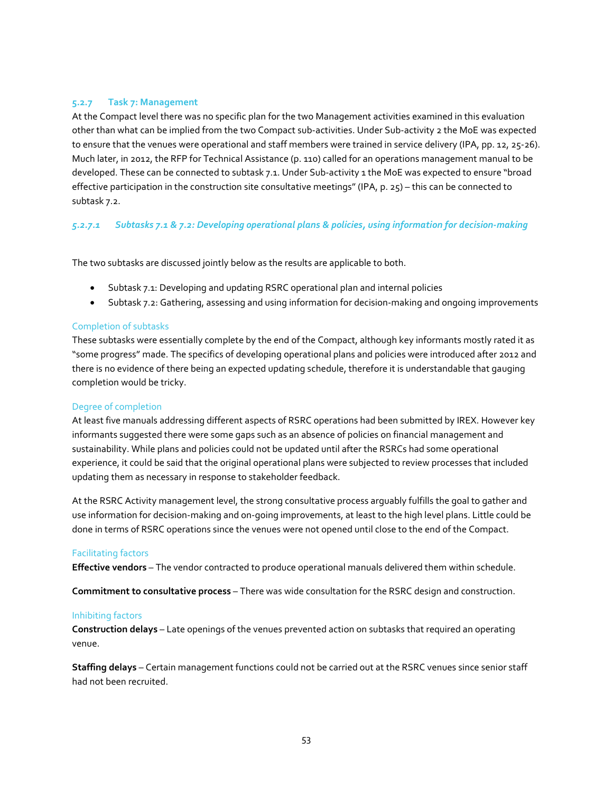# **5.2.7 Task 7: Management**

At the Compact level there was no specific plan for the two Management activities examined in this evaluation other than what can be implied from the two Compact sub-activities. Under Sub-activity 2 the MoE was expected to ensure that the venues were operational and staff members were trained in service delivery (IPA, pp. 12, 25-26). Much later, in 2012, the RFP for Technical Assistance (p. 110) called for an operations management manual to be developed. These can be connected to subtask 7.1. Under Sub-activity 1 the MoE was expected to ensure "broad effective participation in the construction site consultative meetings" (IPA, p. 25) – this can be connected to subtask 7.2.

# *5.2.7.1 Subtasks 7.1 & 7.2: Developing operational plans & policies, using information for decision-making*

The two subtasks are discussed jointly below as the results are applicable to both.

- Subtask 7.1: Developing and updating RSRC operational plan and internal policies
- Subtask 7.2: Gathering, assessing and using information for decision-making and ongoing improvements

#### Completion of subtasks

These subtasks were essentially complete by the end of the Compact, although key informants mostly rated it as "some progress" made. The specifics of developing operational plans and policies were introduced after 2012 and there is no evidence of there being an expected updating schedule, therefore it is understandable that gauging completion would be tricky.

## Degree of completion

At least five manuals addressing different aspects of RSRC operations had been submitted by IREX. However key informants suggested there were some gaps such as an absence of policies on financial management and sustainability. While plans and policies could not be updated until after the RSRCs had some operational experience, it could be said that the original operational plans were subjected to review processes that included updating them as necessary in response to stakeholder feedback.

At the RSRC Activity management level, the strong consultative process arguably fulfills the goal to gather and use information for decision-making and on-going improvements, at least to the high level plans. Little could be done in terms of RSRC operations since the venues were not opened until close to the end of the Compact.

#### Facilitating factors

**Effective vendors** – The vendor contracted to produce operational manuals delivered them within schedule.

**Commitment to consultative process** – There was wide consultation for the RSRC design and construction.

#### Inhibiting factors

**Construction delays** – Late openings of the venues prevented action on subtasks that required an operating venue.

**Staffing delays** – Certain management functions could not be carried out at the RSRC venues since senior staff had not been recruited.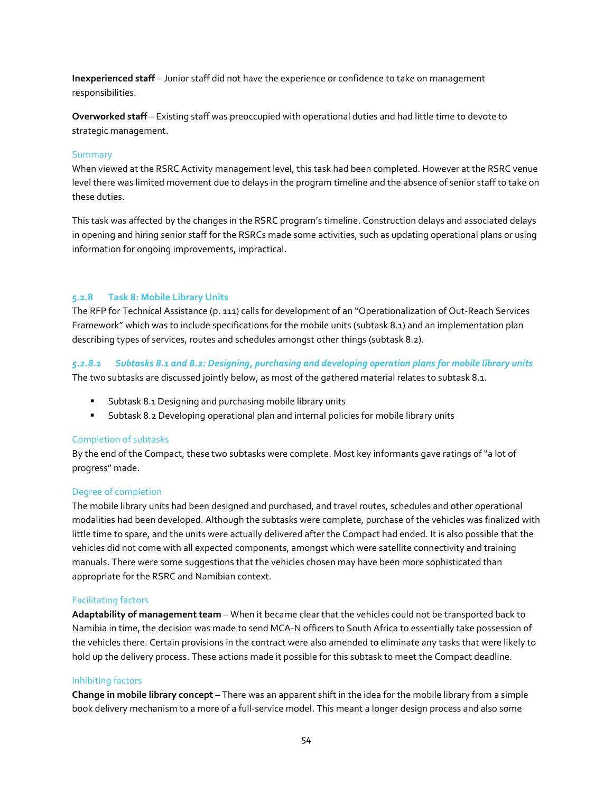**Inexperienced staff** – Junior staff did not have the experience or confidence to take on management responsibilities.

**Overworked staff** – Existing staff was preoccupied with operational duties and had little time to devote to strategic management.

#### Summary

When viewed at the RSRC Activity management level, this task had been completed. However at the RSRC venue level there was limited movement due to delays in the program timeline and the absence of senior staff to take on these duties.

This task was affected by the changes in the RSRC program's timeline. Construction delays and associated delays in opening and hiring senior staff for the RSRCs made some activities, such as updating operational plans or using information for ongoing improvements, impractical.

# **5.2.8 Task 8: Mobile Library Units**

The RFP for Technical Assistance (p. 111) calls for development of an "Operationalization of Out-Reach Services Framework" which was to include specifications for the mobile units (subtask 8.1) and an implementation plan describing types of services, routes and schedules amongst other things (subtask 8.2).

*5.2.8.1 Subtasks 8.1 and 8.2: Designing, purchasing and developing operation plans for mobile library units* The two subtasks are discussed jointly below, as most of the gathered material relates to subtask 8.1.

- **Subtask 8.1 Designing and purchasing mobile library units**
- Subtask 8.2 Developing operational plan and internal policies for mobile library units

#### Completion of subtasks

By the end of the Compact, these two subtasks were complete. Most key informants gave ratings of "a lot of progress" made.

#### Degree of completion

The mobile library units had been designed and purchased, and travel routes, schedules and other operational modalities had been developed. Although the subtasks were complete, purchase of the vehicles was finalized with little time to spare, and the units were actually delivered after the Compact had ended. It is also possible that the vehicles did not come with all expected components, amongst which were satellite connectivity and training manuals. There were some suggestions that the vehicles chosen may have been more sophisticated than appropriate for the RSRC and Namibian context.

#### Facilitating factors

**Adaptability of management team** – When it became clear that the vehicles could not be transported back to Namibia in time, the decision was made to send MCA-N officers to South Africa to essentially take possession of the vehicles there. Certain provisions in the contract were also amended to eliminate any tasks that were likely to hold up the delivery process. These actions made it possible for this subtask to meet the Compact deadline.

#### Inhibiting factors

**Change in mobile library concept** – There was an apparent shift in the idea for the mobile library from a simple book delivery mechanism to a more of a full-service model. This meant a longer design process and also some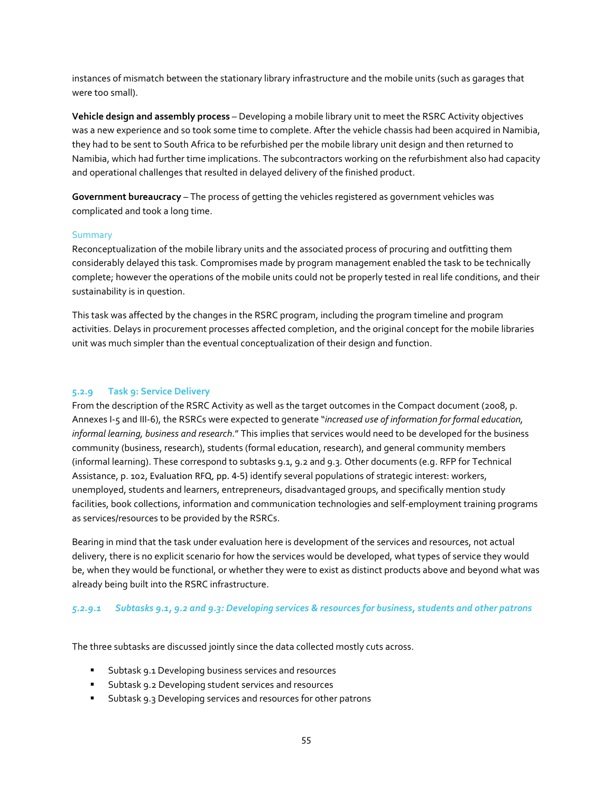instances of mismatch between the stationary library infrastructure and the mobile units (such as garages that were too small).

**Vehicle design and assembly process** – Developing a mobile library unit to meet the RSRC Activity objectives was a new experience and so took some time to complete. After the vehicle chassis had been acquired in Namibia, they had to be sent to South Africa to be refurbished per the mobile library unit design and then returned to Namibia, which had further time implications. The subcontractors working on the refurbishment also had capacity and operational challenges that resulted in delayed delivery of the finished product.

**Government bureaucracy** – The process of getting the vehicles registered as government vehicles was complicated and took a long time.

#### Summary

Reconceptualization of the mobile library units and the associated process of procuring and outfitting them considerably delayed this task. Compromises made by program management enabled the task to be technically complete; however the operations of the mobile units could not be properly tested in real life conditions, and their sustainability is in question.

This task was affected by the changes in the RSRC program, including the program timeline and program activities. Delays in procurement processes affected completion, and the original concept for the mobile libraries unit was much simpler than the eventual conceptualization of their design and function.

## **5.2.9 Task 9: Service Delivery**

From the description of the RSRC Activity as well as the target outcomes in the Compact document (2008, p. Annexes I-5 and III-6), the RSRCs were expected to generate "*increased use of information for formal education, informal learning, business and research*." This implies that services would need to be developed for the business community (business, research), students (formal education, research), and general community members (informal learning). These correspond to subtasks 9.1, 9.2 and 9.3. Other documents (e.g. RFP for Technical Assistance, p. 102, Evaluation RFQ, pp. 4-5) identify several populations of strategic interest: workers, unemployed, students and learners, entrepreneurs, disadvantaged groups, and specifically mention study facilities, book collections, information and communication technologies and self-employment training programs as services/resources to be provided by the RSRCs.

Bearing in mind that the task under evaluation here is development of the services and resources, not actual delivery, there is no explicit scenario for how the services would be developed, what types of service they would be, when they would be functional, or whether they were to exist as distinct products above and beyond what was already being built into the RSRC infrastructure.

# *5.2.9.1 Subtasks 9.1, 9.2 and 9.3: Developing services & resources for business, students and other patrons*

The three subtasks are discussed jointly since the data collected mostly cuts across.

- Subtask 9.1 Developing business services and resources
- Subtask 9.2 Developing student services and resources
- **Subtask 9.3 Developing services and resources for other patrons**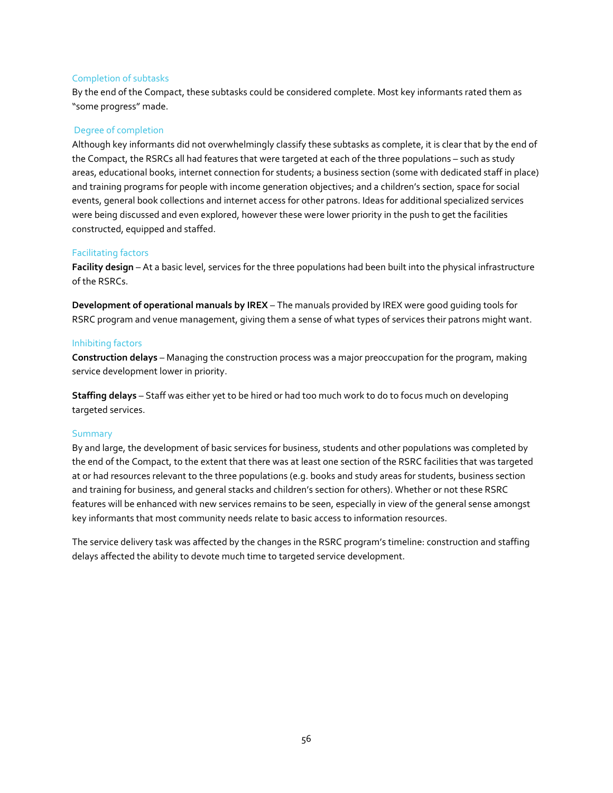#### Completion of subtasks

By the end of the Compact, these subtasks could be considered complete. Most key informants rated them as "some progress" made.

#### Degree of completion

Although key informants did not overwhelmingly classify these subtasks as complete, it is clear that by the end of the Compact, the RSRCs all had features that were targeted at each of the three populations – such as study areas, educational books, internet connection for students; a business section (some with dedicated staff in place) and training programs for people with income generation objectives; and a children's section, space for social events, general book collections and internet access for other patrons. Ideas for additional specialized services were being discussed and even explored, however these were lower priority in the push to get the facilities constructed, equipped and staffed.

#### Facilitating factors

**Facility design** – At a basic level, services for the three populations had been built into the physical infrastructure of the RSRCs.

**Development of operational manuals by IREX** – The manuals provided by IREX were good guiding tools for RSRC program and venue management, giving them a sense of what types of services their patrons might want.

#### Inhibiting factors

**Construction delays** – Managing the construction process was a major preoccupation for the program, making service development lower in priority.

**Staffing delays** – Staff was either yet to be hired or had too much work to do to focus much on developing targeted services.

#### Summary

By and large, the development of basic services for business, students and other populations was completed by the end of the Compact, to the extent that there was at least one section of the RSRC facilities that was targeted at or had resources relevant to the three populations (e.g. books and study areas for students, business section and training for business, and general stacks and children's section for others). Whether or not these RSRC features will be enhanced with new services remains to be seen, especially in view of the general sense amongst key informants that most community needs relate to basic access to information resources.

The service delivery task was affected by the changes in the RSRC program's timeline: construction and staffing delays affected the ability to devote much time to targeted service development.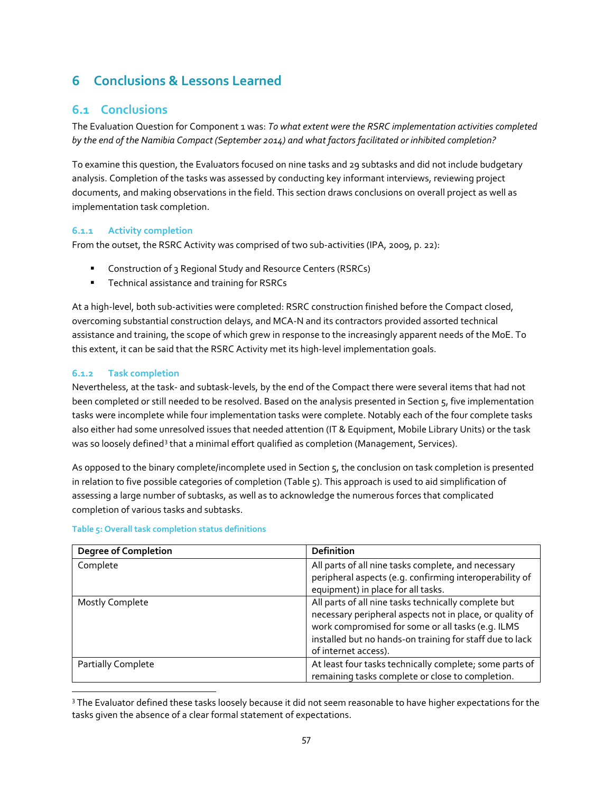# **6 Conclusions & Lessons Learned**

# **6.1 Conclusions**

The Evaluation Question for Component 1 was: *To what extent were the RSRC implementation activities completed by the end of the Namibia Compact (September 2014) and what factors facilitated or inhibited completion?*

To examine this question, the Evaluators focused on nine tasks and 29 subtasks and did not include budgetary analysis. Completion of the tasks was assessed by conducting key informant interviews, reviewing project documents, and making observations in the field. This section draws conclusions on overall project as well as implementation task completion.

# **6.1.1 Activity completion**

From the outset, the RSRC Activity was comprised of two sub-activities (IPA, 2009, p. 22):

- **Construction of 3 Regional Study and Resource Centers (RSRCs)**
- **Technical assistance and training for RSRCs**

At a high-level, both sub-activities were completed: RSRC construction finished before the Compact closed, overcoming substantial construction delays, and MCA-N and its contractors provided assorted technical assistance and training, the scope of which grew in response to the increasingly apparent needs of the MoE. To this extent, it can be said that the RSRC Activity met its high-level implementation goals.

# **6.1.2 Task completion**

Nevertheless, at the task- and subtask-levels, by the end of the Compact there were several items that had not been completed or still needed to be resolved. Based on the analysis presented in Section 5, five implementation tasks were incomplete while four implementation tasks were complete. Notably each of the four complete tasks also either had some unresolved issues that needed attention (IT & Equipment, Mobile Library Units) or the task was so loosely defined<sup>[3](#page-56-0)</sup> that a minimal effort qualified as completion (Management, Services).

As opposed to the binary complete/incomplete used in Section 5, the conclusion on task completion is presented in relation to five possible categories of completion (Table 5). This approach is used to aid simplification of assessing a large number of subtasks, as well as to acknowledge the numerous forces that complicated completion of various tasks and subtasks.

| <b>Degree of Completion</b> | <b>Definition</b>                                        |
|-----------------------------|----------------------------------------------------------|
| Complete                    | All parts of all nine tasks complete, and necessary      |
|                             | peripheral aspects (e.g. confirming interoperability of  |
|                             | equipment) in place for all tasks.                       |
| <b>Mostly Complete</b>      | All parts of all nine tasks technically complete but     |
|                             | necessary peripheral aspects not in place, or quality of |
|                             | work compromised for some or all tasks (e.g. ILMS        |
|                             | installed but no hands-on training for staff due to lack |
|                             | of internet access).                                     |
| Partially Complete          | At least four tasks technically complete; some parts of  |
|                             | remaining tasks complete or close to completion.         |

## **Table 5: Overall task completion status definitions**

<span id="page-56-0"></span><sup>&</sup>lt;sup>3</sup> The Evaluator defined these tasks loosely because it did not seem reasonable to have higher expectations for the tasks given the absence of a clear formal statement of expectations.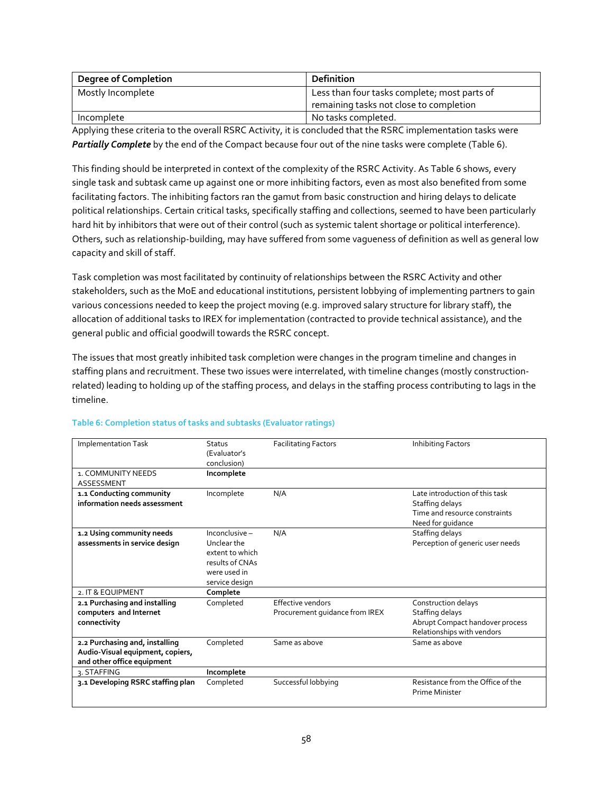| <b>Degree of Completion</b> | Definition                                   |
|-----------------------------|----------------------------------------------|
| Mostly Incomplete           | Less than four tasks complete; most parts of |
|                             | remaining tasks not close to completion      |
| Incomplete                  | No tasks completed.                          |

Applying these criteria to the overall RSRC Activity, it is concluded that the RSRC implementation tasks were *Partially Complete* by the end of the Compact because four out of the nine tasks were complete (Table 6).

This finding should be interpreted in context of the complexity of the RSRC Activity. As Table 6 shows, every single task and subtask came up against one or more inhibiting factors, even as most also benefited from some facilitating factors. The inhibiting factors ran the gamut from basic construction and hiring delays to delicate political relationships. Certain critical tasks, specifically staffing and collections, seemed to have been particularly hard hit by inhibitors that were out of their control (such as systemic talent shortage or political interference). Others, such as relationship-building, may have suffered from some vagueness of definition as well as general low capacity and skill of staff.

Task completion was most facilitated by continuity of relationships between the RSRC Activity and other stakeholders, such as the MoE and educational institutions, persistent lobbying of implementing partners to gain various concessions needed to keep the project moving (e.g. improved salary structure for library staff), the allocation of additional tasks to IREX for implementation (contracted to provide technical assistance), and the general public and official goodwill towards the RSRC concept.

The issues that most greatly inhibited task completion were changes in the program timeline and changes in staffing plans and recruitment. These two issues were interrelated, with timeline changes (mostly constructionrelated) leading to holding up of the staffing process, and delays in the staffing process contributing to lags in the timeline.

| <b>Implementation Task</b>        | Status<br>(Evaluator's    | <b>Facilitating Factors</b>    | Inhibiting Factors                |
|-----------------------------------|---------------------------|--------------------------------|-----------------------------------|
| 1. COMMUNITY NEEDS                | conclusion)<br>Incomplete |                                |                                   |
| ASSESSMENT                        |                           |                                |                                   |
| 1.1 Conducting community          | Incomplete                | N/A                            | Late introduction of this task    |
| information needs assessment      |                           |                                | Staffing delays                   |
|                                   |                           |                                | Time and resource constraints     |
|                                   |                           |                                | Need for guidance                 |
| 1.2 Using community needs         | Inconclusive -            | N/A                            | Staffing delays                   |
| assessments in service design     | Unclear the               |                                | Perception of generic user needs  |
|                                   | extent to which           |                                |                                   |
|                                   | results of CNAs           |                                |                                   |
|                                   | were used in              |                                |                                   |
|                                   | service design            |                                |                                   |
| 2. IT & EQUIPMENT                 | Complete                  |                                |                                   |
| 2.1 Purchasing and installing     | Completed                 | <b>Effective vendors</b>       | Construction delays               |
| computers and Internet            |                           | Procurement quidance from IREX | Staffing delays                   |
| connectivity                      |                           |                                | Abrupt Compact handover process   |
|                                   |                           |                                | Relationships with vendors        |
| 2.2 Purchasing and, installing    | Completed                 | Same as above                  | Same as above                     |
| Audio-Visual equipment, copiers,  |                           |                                |                                   |
| and other office equipment        |                           |                                |                                   |
| 3. STAFFING                       | Incomplete                |                                |                                   |
| 3.1 Developing RSRC staffing plan | Completed                 | Successful lobbying            | Resistance from the Office of the |
|                                   |                           |                                | Prime Minister                    |

# **Table 6: Completion status of tasks and subtasks (Evaluator ratings)**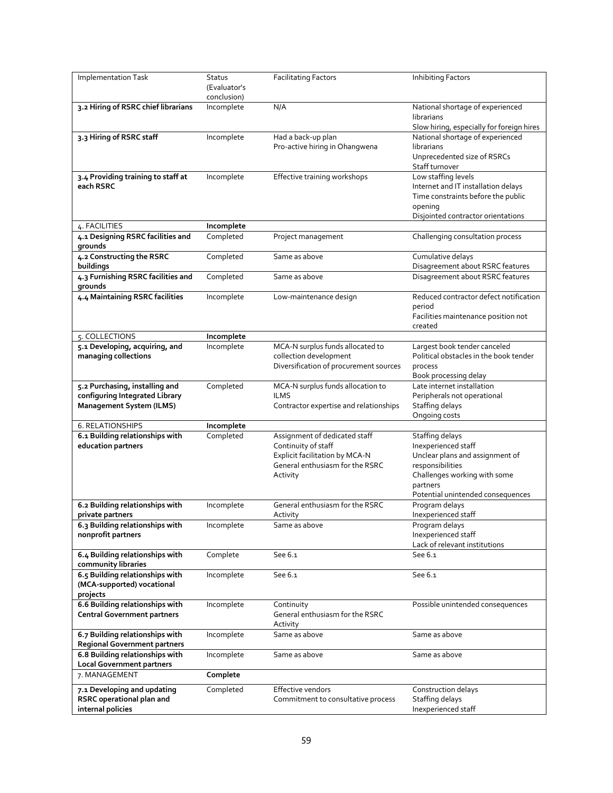| Implementation Task                                                                                 | Status<br>(Evaluator's<br>conclusion) | <b>Facilitating Factors</b>                                                                                                           | <b>Inhibiting Factors</b>                                                                                                                                                             |
|-----------------------------------------------------------------------------------------------------|---------------------------------------|---------------------------------------------------------------------------------------------------------------------------------------|---------------------------------------------------------------------------------------------------------------------------------------------------------------------------------------|
| 3.2 Hiring of RSRC chief librarians                                                                 | Incomplete                            | N/A                                                                                                                                   | National shortage of experienced<br>librarians<br>Slow hiring, especially for foreign hires                                                                                           |
| 3.3 Hiring of RSRC staff                                                                            | Incomplete                            | Had a back-up plan<br>Pro-active hiring in Ohangwena                                                                                  | National shortage of experienced<br>librarians<br>Unprecedented size of RSRCs<br>Staff turnover                                                                                       |
| 3.4 Providing training to staff at<br>each RSRC                                                     | Incomplete                            | Effective training workshops                                                                                                          | Low staffing levels<br>Internet and IT installation delays<br>Time constraints before the public<br>opening<br>Disjointed contractor orientations                                     |
| 4. FACILITIES                                                                                       | Incomplete                            |                                                                                                                                       |                                                                                                                                                                                       |
| 4.1 Designing RSRC facilities and<br>grounds                                                        | Completed                             | Project management                                                                                                                    | Challenging consultation process                                                                                                                                                      |
| 4.2 Constructing the RSRC<br>buildings                                                              | Completed                             | Same as above                                                                                                                         | Cumulative delays<br>Disagreement about RSRC features                                                                                                                                 |
| 4.3 Furnishing RSRC facilities and<br>grounds                                                       | Completed                             | Same as above                                                                                                                         | Disagreement about RSRC features                                                                                                                                                      |
| 4.4 Maintaining RSRC facilities                                                                     | Incomplete                            | Low-maintenance design                                                                                                                | Reduced contractor defect notification<br>period<br>Facilities maintenance position not<br>created                                                                                    |
| 5. COLLECTIONS                                                                                      | Incomplete                            |                                                                                                                                       |                                                                                                                                                                                       |
| 5.1 Developing, acquiring, and<br>managing collections                                              | Incomplete                            | MCA-N surplus funds allocated to<br>collection development<br>Diversification of procurement sources                                  | Largest book tender canceled<br>Political obstacles in the book tender<br>process<br>Book processing delay                                                                            |
| 5.2 Purchasing, installing and<br>configuring Integrated Library<br><b>Management System (ILMS)</b> | Completed                             | MCA-N surplus funds allocation to<br><b>ILMS</b><br>Contractor expertise and relationships                                            | Late internet installation<br>Peripherals not operational<br>Staffing delays<br>Ongoing costs                                                                                         |
| 6. RELATIONSHIPS                                                                                    | Incomplete                            |                                                                                                                                       |                                                                                                                                                                                       |
| 6.1 Building relationships with<br>education partners                                               | Completed                             | Assignment of dedicated staff<br>Continuity of staff<br>Explicit facilitation by MCA-N<br>General enthusiasm for the RSRC<br>Activity | <b>Staffing delays</b><br>Inexperienced staff<br>Unclear plans and assignment of<br>responsibilities<br>Challenges working with some<br>partners<br>Potential unintended consequences |
| 6.2 Building relationships with<br>private partners                                                 | Incomplete                            | General enthusiasm for the RSRC<br>Activity                                                                                           | Program delays<br>Inexperienced staff                                                                                                                                                 |
| 6.3 Building relationships with<br>nonprofit partners                                               | Incomplete                            | Same as above                                                                                                                         | Program delays<br>Inexperienced staff<br>Lack of relevant institutions                                                                                                                |
| 6.4 Building relationships with<br>community libraries                                              | Complete                              | See 6.1                                                                                                                               | See 6.1                                                                                                                                                                               |
| 6.5 Building relationships with<br>(MCA-supported) vocational<br>projects                           | Incomplete                            | See 6.1                                                                                                                               | See 6.1                                                                                                                                                                               |
| 6.6 Building relationships with<br><b>Central Government partners</b>                               | Incomplete                            | Continuity<br>General enthusiasm for the RSRC<br>Activity                                                                             | Possible unintended consequences                                                                                                                                                      |
| 6.7 Building relationships with<br><b>Regional Government partners</b>                              | Incomplete                            | Same as above                                                                                                                         | Same as above                                                                                                                                                                         |
| 6.8 Building relationships with<br><b>Local Government partners</b>                                 | Incomplete                            | Same as above                                                                                                                         | Same as above                                                                                                                                                                         |
| 7. MANAGEMENT                                                                                       | Complete                              |                                                                                                                                       |                                                                                                                                                                                       |
| 7.1 Developing and updating<br>RSRC operational plan and<br>internal policies                       | Completed                             | Effective vendors<br>Commitment to consultative process                                                                               | Construction delays<br>Staffing delays<br>Inexperienced staff                                                                                                                         |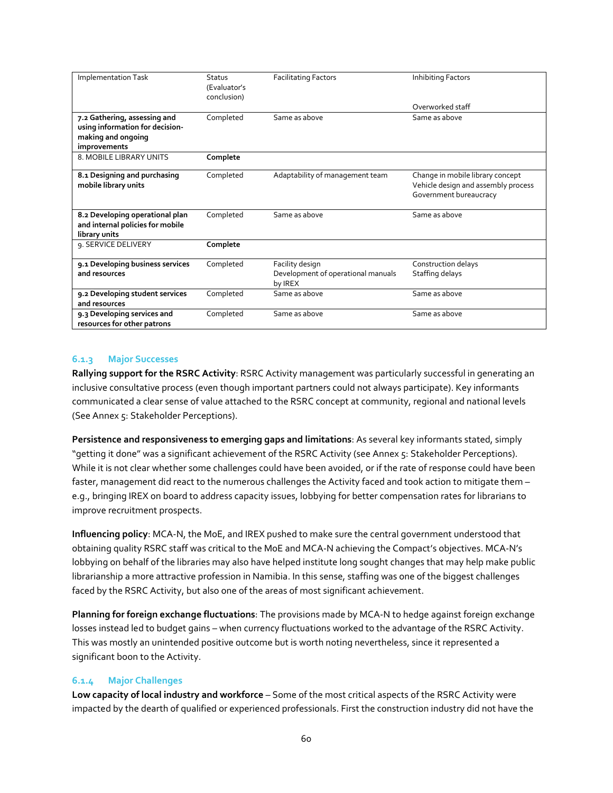| <b>Implementation Task</b>                                                                            | <b>Status</b><br>(Evaluator's<br>conclusion) | <b>Facilitating Factors</b>                                      | Inhibiting Factors                                                                                |
|-------------------------------------------------------------------------------------------------------|----------------------------------------------|------------------------------------------------------------------|---------------------------------------------------------------------------------------------------|
|                                                                                                       |                                              |                                                                  | Overworked staff                                                                                  |
| 7.2 Gathering, assessing and<br>using information for decision-<br>making and ongoing<br>improvements | Completed                                    | Same as above                                                    | Same as above                                                                                     |
| 8. MOBILE LIBRARY UNITS                                                                               | Complete                                     |                                                                  |                                                                                                   |
| 8.1 Designing and purchasing<br>mobile library units                                                  | Completed                                    | Adaptability of management team                                  | Change in mobile library concept<br>Vehicle design and assembly process<br>Government bureaucracy |
| 8.2 Developing operational plan<br>and internal policies for mobile<br>library units                  | Completed                                    | Same as above                                                    | Same as above                                                                                     |
| 9. SERVICE DELIVERY                                                                                   | Complete                                     |                                                                  |                                                                                                   |
| 9.1 Developing business services<br>and resources                                                     | Completed                                    | Facility design<br>Development of operational manuals<br>by IREX | Construction delays<br>Staffing delays                                                            |
| 9.2 Developing student services<br>and resources                                                      | Completed                                    | Same as above                                                    | Same as above                                                                                     |
| 9.3 Developing services and<br>resources for other patrons                                            | Completed                                    | Same as above                                                    | Same as above                                                                                     |

## **6.1.3 Major Successes**

**Rallying support for the RSRC Activity**: RSRC Activity management was particularly successful in generating an inclusive consultative process (even though important partners could not always participate). Key informants communicated a clear sense of value attached to the RSRC concept at community, regional and national levels (See Annex 5: Stakeholder Perceptions).

**Persistence and responsiveness to emerging gaps and limitations**: As several key informants stated, simply "getting it done" was a significant achievement of the RSRC Activity (see Annex 5: Stakeholder Perceptions). While it is not clear whether some challenges could have been avoided, or if the rate of response could have been faster, management did react to the numerous challenges the Activity faced and took action to mitigate them – e.g., bringing IREX on board to address capacity issues, lobbying for better compensation rates for librarians to improve recruitment prospects.

**Influencing policy**: MCA-N, the MoE, and IREX pushed to make sure the central government understood that obtaining quality RSRC staff was critical to the MoE and MCA-N achieving the Compact's objectives. MCA-N's lobbying on behalf of the libraries may also have helped institute long sought changes that may help make public librarianship a more attractive profession in Namibia. In this sense, staffing was one of the biggest challenges faced by the RSRC Activity, but also one of the areas of most significant achievement.

**Planning for foreign exchange fluctuations**: The provisions made by MCA-N to hedge against foreign exchange losses instead led to budget gains – when currency fluctuations worked to the advantage of the RSRC Activity. This was mostly an unintended positive outcome but is worth noting nevertheless, since it represented a significant boon to the Activity.

## **6.1.4 Major Challenges**

**Low capacity of local industry and workforce** – Some of the most critical aspects of the RSRC Activity were impacted by the dearth of qualified or experienced professionals. First the construction industry did not have the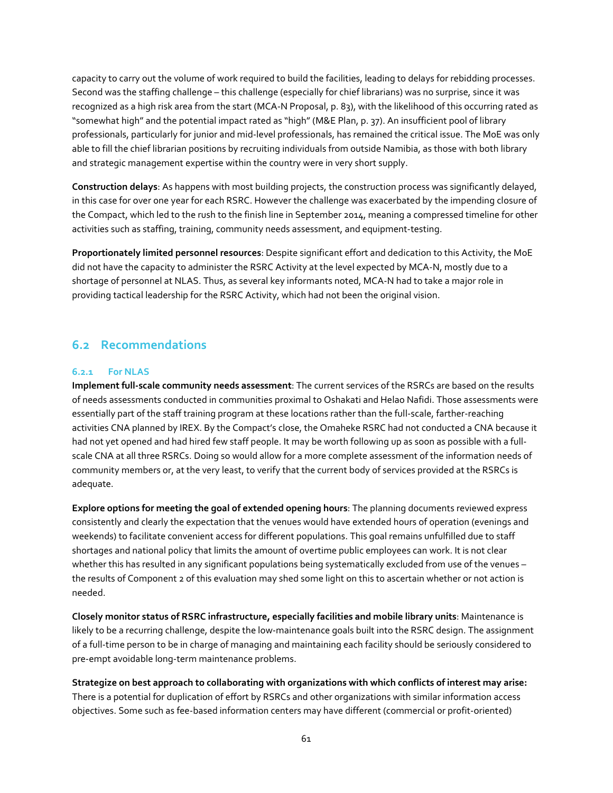capacity to carry out the volume of work required to build the facilities, leading to delays for rebidding processes. Second was the staffing challenge – this challenge (especially for chief librarians) was no surprise, since it was recognized as a high risk area from the start (MCA-N Proposal, p. 83), with the likelihood of this occurring rated as "somewhat high" and the potential impact rated as "high" (M&E Plan, p. 37). An insufficient pool of library professionals, particularly for junior and mid-level professionals, has remained the critical issue. The MoE was only able to fill the chief librarian positions by recruiting individuals from outside Namibia, as those with both library and strategic management expertise within the country were in very short supply.

**Construction delays**: As happens with most building projects, the construction process was significantly delayed, in this case for over one year for each RSRC. However the challenge was exacerbated by the impending closure of the Compact, which led to the rush to the finish line in September 2014, meaning a compressed timeline for other activities such as staffing, training, community needs assessment, and equipment-testing.

**Proportionately limited personnel resources**: Despite significant effort and dedication to this Activity, the MoE did not have the capacity to administer the RSRC Activity at the level expected by MCA-N, mostly due to a shortage of personnel at NLAS. Thus, as several key informants noted, MCA-N had to take a major role in providing tactical leadership for the RSRC Activity, which had not been the original vision.

# **6.2 Recommendations**

# **6.2.1 For NLAS**

**Implement full-scale community needs assessment**: The current services of the RSRCs are based on the results of needs assessments conducted in communities proximal to Oshakati and Helao Nafidi. Those assessments were essentially part of the staff training program at these locations rather than the full-scale, farther-reaching activities CNA planned by IREX. By the Compact's close, the Omaheke RSRC had not conducted a CNA because it had not yet opened and had hired few staff people. It may be worth following up as soon as possible with a fullscale CNA at all three RSRCs. Doing so would allow for a more complete assessment of the information needs of community members or, at the very least, to verify that the current body of services provided at the RSRCs is adequate.

**Explore options for meeting the goal of extended opening hours**: The planning documents reviewed express consistently and clearly the expectation that the venues would have extended hours of operation (evenings and weekends) to facilitate convenient access for different populations. This goal remains unfulfilled due to staff shortages and national policy that limits the amount of overtime public employees can work. It is not clear whether this has resulted in any significant populations being systematically excluded from use of the venues – the results of Component 2 of this evaluation may shed some light on this to ascertain whether or not action is needed.

**Closely monitor status of RSRC infrastructure, especially facilities and mobile library units**: Maintenance is likely to be a recurring challenge, despite the low-maintenance goals built into the RSRC design. The assignment of a full-time person to be in charge of managing and maintaining each facility should be seriously considered to pre-empt avoidable long-term maintenance problems.

**Strategize on best approach to collaborating with organizations with which conflicts of interest may arise:**  There is a potential for duplication of effort by RSRCs and other organizations with similar information access objectives. Some such as fee-based information centers may have different (commercial or profit-oriented)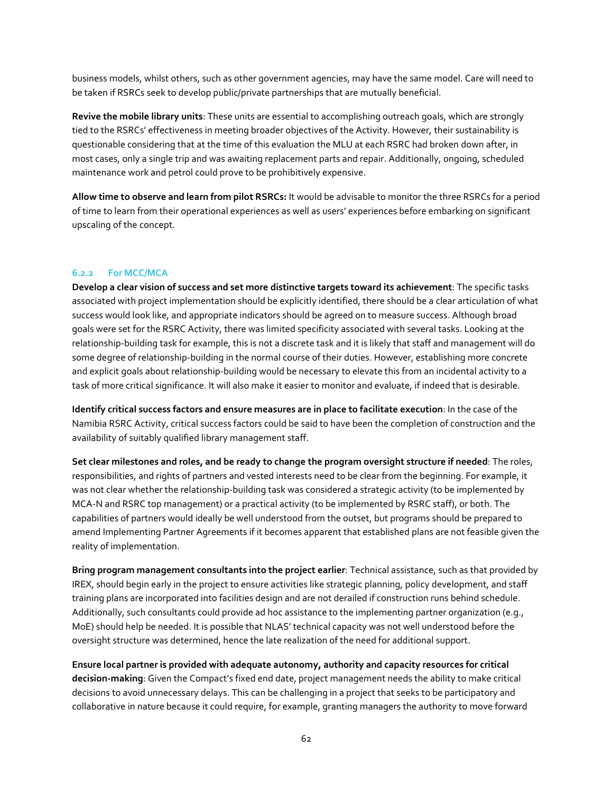business models, whilst others, such as other government agencies, may have the same model. Care will need to be taken if RSRCs seek to develop public/private partnerships that are mutually beneficial.

**Revive the mobile library units**: These units are essential to accomplishing outreach goals, which are strongly tied to the RSRCs' effectiveness in meeting broader objectives of the Activity. However, their sustainability is questionable considering that at the time of this evaluation the MLU at each RSRC had broken down after, in most cases, only a single trip and was awaiting replacement parts and repair. Additionally, ongoing, scheduled maintenance work and petrol could prove to be prohibitively expensive.

**Allow time to observe and learn from pilot RSRCs:** It would be advisable to monitor the three RSRCs for a period of time to learn from their operational experiences as well as users' experiences before embarking on significant upscaling of the concept.

# **6.2.2 For MCC/MCA**

**Develop a clear vision of success and set more distinctive targets toward its achievement**: The specific tasks associated with project implementation should be explicitly identified, there should be a clear articulation of what success would look like, and appropriate indicators should be agreed on to measure success. Although broad goals were set for the RSRC Activity, there was limited specificity associated with several tasks. Looking at the relationship-building task for example, this is not a discrete task and it is likely that staff and management will do some degree of relationship-building in the normal course of their duties. However, establishing more concrete and explicit goals about relationship-building would be necessary to elevate this from an incidental activity to a task of more critical significance. It will also make it easier to monitor and evaluate, if indeed that is desirable.

**Identify critical success factors and ensure measures are in place to facilitate execution**: In the case of the Namibia RSRC Activity, critical success factors could be said to have been the completion of construction and the availability of suitably qualified library management staff.

**Set clear milestones and roles, and be ready to change the program oversight structure if needed**: The roles, responsibilities, and rights of partners and vested interests need to be clear from the beginning. For example, it was not clear whether the relationship-building task was considered a strategic activity (to be implemented by MCA-N and RSRC top management) or a practical activity (to be implemented by RSRC staff), or both. The capabilities of partners would ideally be well understood from the outset, but programs should be prepared to amend Implementing Partner Agreements if it becomes apparent that established plans are not feasible given the reality of implementation.

**Bring program management consultants into the project earlier**: Technical assistance, such as that provided by IREX, should begin early in the project to ensure activities like strategic planning, policy development, and staff training plans are incorporated into facilities design and are not derailed if construction runs behind schedule. Additionally, such consultants could provide ad hoc assistance to the implementing partner organization (e.g., MoE) should help be needed. It is possible that NLAS' technical capacity was not well understood before the oversight structure was determined, hence the late realization of the need for additional support.

**Ensure local partner is provided with adequate autonomy, authority and capacity resources for critical decision-making**: Given the Compact's fixed end date, project management needs the ability to make critical decisions to avoid unnecessary delays. This can be challenging in a project that seeks to be participatory and collaborative in nature because it could require, for example, granting managers the authority to move forward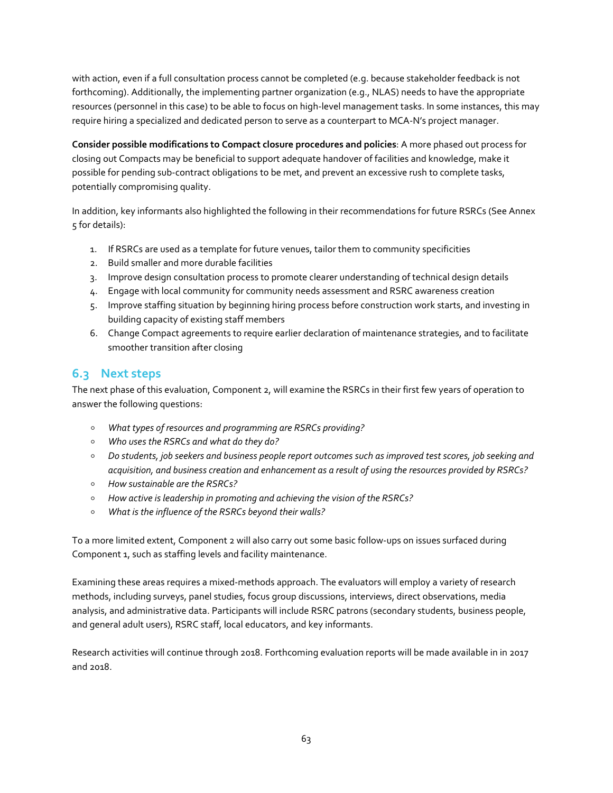with action, even if a full consultation process cannot be completed (e.g. because stakeholder feedback is not forthcoming). Additionally, the implementing partner organization (e.g., NLAS) needs to have the appropriate resources (personnel in this case) to be able to focus on high-level management tasks. In some instances, this may require hiring a specialized and dedicated person to serve as a counterpart to MCA-N's project manager.

**Consider possible modifications to Compact closure procedures and policies**: A more phased out process for closing out Compacts may be beneficial to support adequate handover of facilities and knowledge, make it possible for pending sub-contract obligations to be met, and prevent an excessive rush to complete tasks, potentially compromising quality.

In addition, key informants also highlighted the following in their recommendations for future RSRCs (See Annex 5 for details):

- 1. If RSRCs are used as a template for future venues, tailor them to community specificities
- 2. Build smaller and more durable facilities
- 3. Improve design consultation process to promote clearer understanding of technical design details
- 4. Engage with local community for community needs assessment and RSRC awareness creation
- 5. Improve staffing situation by beginning hiring process before construction work starts, and investing in building capacity of existing staff members
- 6. Change Compact agreements to require earlier declaration of maintenance strategies, and to facilitate smoother transition after closing

# **6.3 Next steps**

The next phase of this evaluation, Component 2, will examine the RSRCs in their first few years of operation to answer the following questions:

- *What types of resources and programming are RSRCs providing?*
- *Who uses the RSRCs and what do they do?*
- *Do students, job seekers and business people report outcomes such as improved test scores, job seeking and acquisition, and business creation and enhancement as a result of using the resources provided by RSRCs?*
- *How sustainable are the RSRCs?*
- *How active is leadership in promoting and achieving the vision of the RSRCs?*
- *What is the influence of the RSRCs beyond their walls?*

To a more limited extent, Component 2 will also carry out some basic follow-ups on issues surfaced during Component 1, such as staffing levels and facility maintenance.

Examining these areas requires a mixed-methods approach. The evaluators will employ a variety of research methods, including surveys, panel studies, focus group discussions, interviews, direct observations, media analysis, and administrative data. Participants will include RSRC patrons (secondary students, business people, and general adult users), RSRC staff, local educators, and key informants.

Research activities will continue through 2018. Forthcoming evaluation reports will be made available in in 2017 and 2018.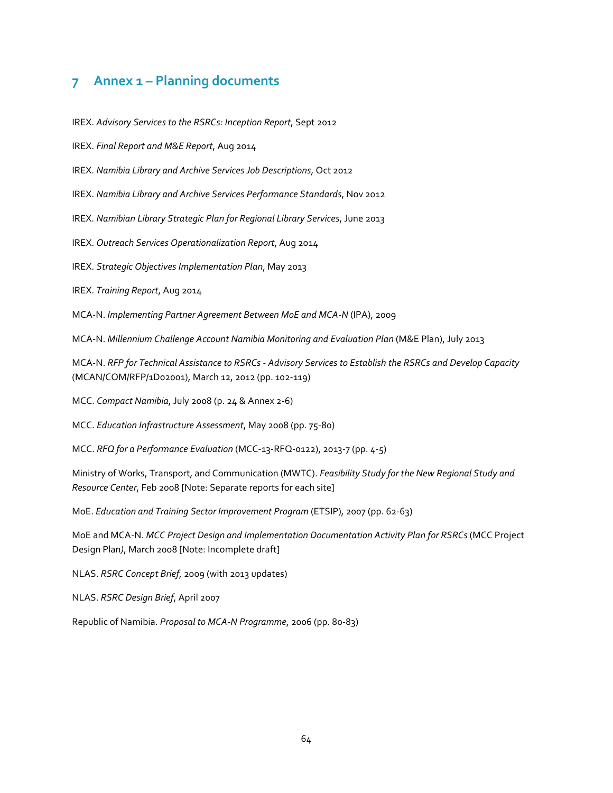# **7 Annex 1 – Planning documents**

IREX. *Advisory Services to the RSRCs: Inception Report*, Sept 2012

IREX. *Final Report and M&E Report*, Aug 2014

IREX. *Namibia Library and Archive Services Job Descriptions*, Oct 2012

IREX. *Namibia Library and Archive Services Performance Standards*, Nov 2012

IREX. *Namibian Library Strategic Plan for Regional Library Services*, June 2013

IREX. *Outreach Services Operationalization Report*, Aug 2014

IREX. *Strategic Objectives Implementation Plan*, May 2013

IREX. *Training Report*, Aug 2014

MCA-N. *Implementing Partner Agreement Between MoE and MCA-N* (IPA), 2009

MCA-N. *Millennium Challenge Account Namibia Monitoring and Evaluation Plan* (M&E Plan), July 2013

MCA-N. *RFP for Technical Assistance to RSRCs - Advisory Services to Establish the RSRCs and Develop Capacity* (MCAN/COM/RFP/1D02001), March 12, 2012 (pp. 102-119)

MCC. *Compact Namibia*, July 2008 (p. 24 & Annex 2-6)

MCC. *Education Infrastructure Assessment*, May 2008 (pp. 75-80)

MCC. *RFQ for a Performance Evaluation* (MCC-13-RFQ-0122), 2013-7 (pp. 4-5)

Ministry of Works, Transport, and Communication (MWTC). *Feasibility Study for the New Regional Study and Resource Center*, Feb 2008 [Note: Separate reports for each site]

MoE. *[Education and Training Sector Improvement Program](http://www.worldbank.org/projects/P086875/education-training-sector-improvement-program-etsip?lang=en)* (ETSIP), 2007 (pp. 62-63)

MoE and MCA-N. *MCC Project Design and Implementation Documentation Activity Plan for RSRCs* (MCC Project Design Plan*)*, March 2008 [Note: Incomplete draft]

NLAS. *RSRC Concept Brief*, 2009 (with 2013 updates)

NLAS. *RSRC Design Brief*, April 2007

Republic of Namibia. *Proposal to MCA-N Programme*, 2006 (pp. 80-83)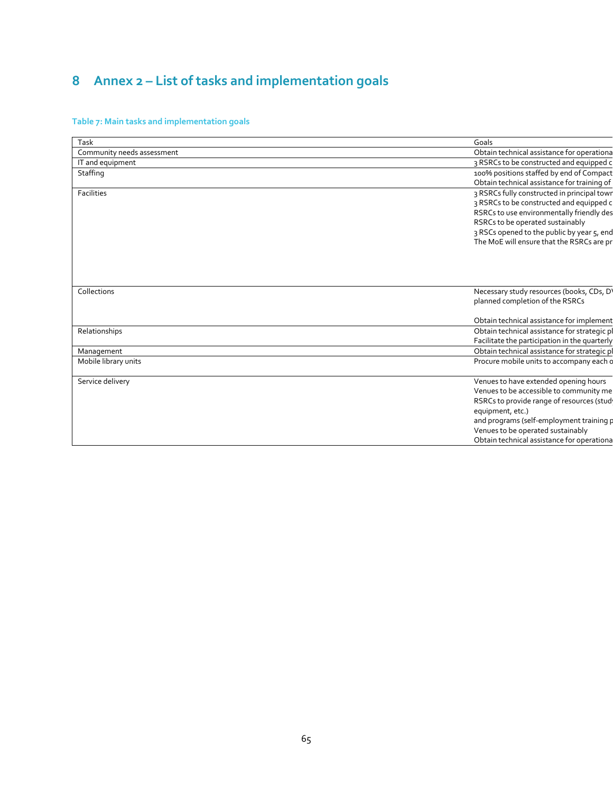# **8 Annex 2 – List of tasks and implementation goals**

# **Table 7: Main tasks and implementation goals**

| Task                       | Goals                                         |
|----------------------------|-----------------------------------------------|
| Community needs assessment | Obtain technical assistance for operationa    |
| IT and equipment           | 3 RSRCs to be constructed and equipped c      |
| Staffing                   | 100% positions staffed by end of Compact      |
|                            | Obtain technical assistance for training of   |
| Facilities                 | 3 RSRCs fully constructed in principal town   |
|                            | 3 RSRCs to be constructed and equipped c      |
|                            | RSRCs to use environmentally friendly des     |
|                            | RSRCs to be operated sustainably              |
|                            | 3 RSCs opened to the public by year 5, end    |
|                            | The MoE will ensure that the RSRCs are pr     |
|                            |                                               |
|                            |                                               |
|                            |                                               |
|                            |                                               |
| Collections                | Necessary study resources (books, CDs, D'     |
|                            | planned completion of the RSRCs               |
|                            |                                               |
|                            |                                               |
|                            | Obtain technical assistance for implement     |
| Relationships              | Obtain technical assistance for strategic pl  |
|                            | Facilitate the participation in the quarterly |
| Management                 | Obtain technical assistance for strategic pl  |
| Mobile library units       | Procure mobile units to accompany each o      |
|                            |                                               |
| Service delivery           | Venues to have extended opening hours         |
|                            | Venues to be accessible to community me       |
|                            | RSRCs to provide range of resources (stud     |
|                            | equipment, etc.)                              |
|                            | and programs (self-employment training p      |
|                            | Venues to be operated sustainably             |
|                            | Obtain technical assistance for operationa    |
|                            |                                               |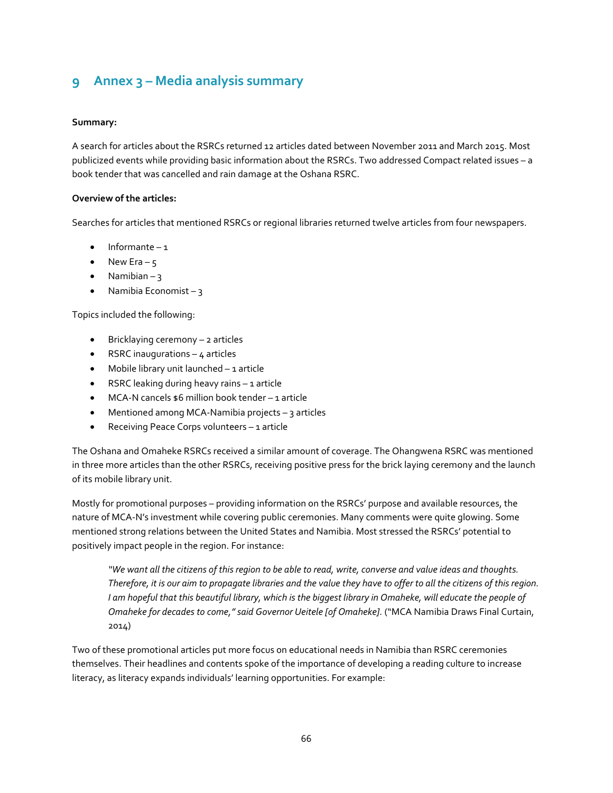# **9 Annex 3 – Media analysis summary**

# **Summary:**

A search for articles about the RSRCs returned 12 articles dated between November 2011 and March 2015. Most publicized events while providing basic information about the RSRCs. Two addressed Compact related issues – a book tender that was cancelled and rain damage at the Oshana RSRC.

# **Overview of the articles:**

Searches for articles that mentioned RSRCs or regional libraries returned twelve articles from four newspapers.

- Informante 1
- New Era  $5$
- Namibian  $3$
- Namibia Economist  $-3$

Topics included the following:

- Bricklaying ceremony 2 articles
- RSRC inaugurations  $-4$  articles
- Mobile library unit launched 1 article
- RSRC leaking during heavy rains 1 article
- MCA-N cancels \$6 million book tender 1 article
- Mentioned among MCA-Namibia projects  $-$  3 articles
- Receiving Peace Corps volunteers 1 article

The Oshana and Omaheke RSRCs received a similar amount of coverage. The Ohangwena RSRC was mentioned in three more articles than the other RSRCs, receiving positive press for the brick laying ceremony and the launch of its mobile library unit.

Mostly for promotional purposes – providing information on the RSRCs' purpose and available resources, the nature of MCA-N's investment while covering public ceremonies. Many comments were quite glowing. Some mentioned strong relations between the United States and Namibia. Most stressed the RSRCs' potential to positively impact people in the region. For instance:

*"We want all the citizens of this region to be able to read, write, converse and value ideas and thoughts. Therefore, it is our aim to propagate libraries and the value they have to offer to all the citizens of this region. I am hopeful that this beautiful library, which is the biggest library in Omaheke, will educate the people of Omaheke for decades to come," said Governor Ueitele [of Omaheke].* ("MCA Namibia Draws Final Curtain, 2014)

Two of these promotional articles put more focus on educational needs in Namibia than RSRC ceremonies themselves. Their headlines and contents spoke of the importance of developing a reading culture to increase literacy, as literacy expands individuals' learning opportunities. For example: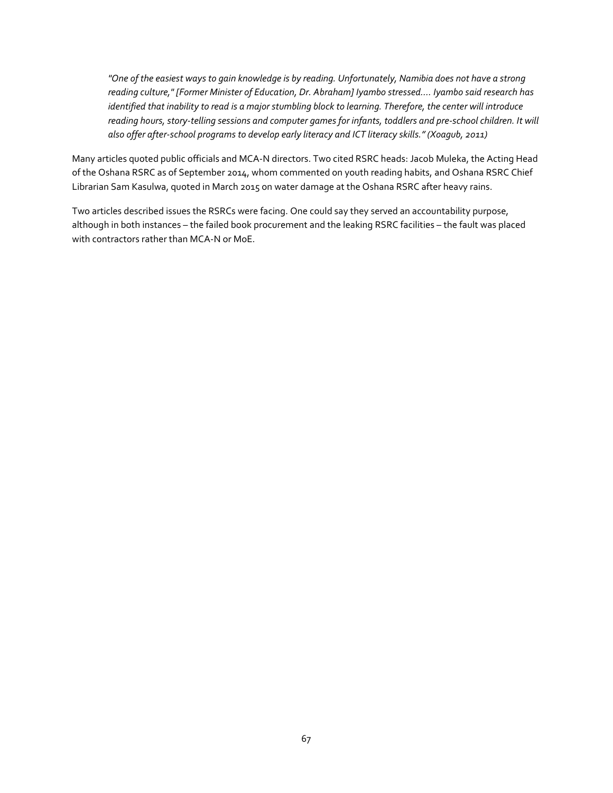*"One of the easiest ways to gain knowledge is by reading. Unfortunately, Namibia does not have a strong reading culture," [Former Minister of Education, Dr. Abraham] Iyambo stressed…. Iyambo said research has identified that inability to read is a major stumbling block to learning. Therefore, the center will introduce reading hours, story-telling sessions and computer games for infants, toddlers and pre-school children. It will also offer after-school programs to develop early literacy and ICT literacy skills." (Xoagub, 2011)*

Many articles quoted public officials and MCA-N directors. Two cited RSRC heads: Jacob Muleka, the Acting Head of the Oshana RSRC as of September 2014, whom commented on youth reading habits, and Oshana RSRC Chief Librarian Sam Kasulwa, quoted in March 2015 on water damage at the Oshana RSRC after heavy rains.

Two articles described issues the RSRCs were facing. One could say they served an accountability purpose, although in both instances – the failed book procurement and the leaking RSRC facilities – the fault was placed with contractors rather than MCA-N or MoE.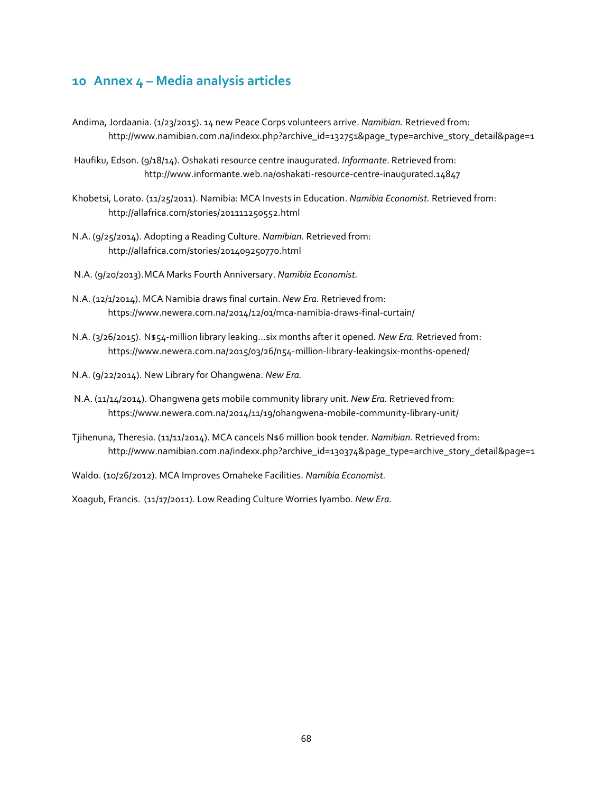# **10 Annex 4 – Media analysis articles**

- Andima, Jordaania. (1/23/2015). 14 new Peace Corps volunteers arrive. *Namibian.* Retrieved from: http://www.namibian.com.na/indexx.php?archive\_id=132751&page\_type=archive\_story\_detail&page=1
- Haufiku, Edson. (9/18/14). Oshakati resource centre inaugurated. *Informante*. Retrieved from: http://www.informante.web.na/oshakati-resource-centre-inaugurated.14847
- Khobetsi, Lorato. (11/25/2011). Namibia: MCA Invests in Education. *Namibia Economist.* Retrieved from: http://allafrica.com/stories/201111250552.html
- N.A. (9/25/2014). Adopting a Reading Culture. *Namibian.* Retrieved from: http://allafrica.com/stories/201409250770.html
- N.A. (9/20/2013).MCA Marks Fourth Anniversary. *Namibia Economist.*
- N.A. (12/1/2014). MCA Namibia draws final curtain. *New Era.* Retrieved from: https://www.newera.com.na/2014/12/01/mca-namibia-draws-final-curtain/
- N.A. (3/26/2015). N\$54-million library leaking…six months after it opened. *New Era.* Retrieved from: https://www.newera.com.na/2015/03/26/n54-million-library-leakingsix-months-opened/
- N.A. (9/22/2014). New Library for Ohangwena. *New Era.*
- N.A. (11/14/2014). Ohangwena gets mobile community library unit. *New Era.* Retrieved from: https://www.newera.com.na/2014/11/19/ohangwena-mobile-community-library-unit/
- Tjihenuna, Theresia. (11/11/2014). MCA cancels N\$6 million book tender. *Namibian.* Retrieved from: http://www.namibian.com.na/indexx.php?archive\_id=130374&page\_type=archive\_story\_detail&page=1
- Waldo. (10/26/2012). MCA Improves Omaheke Facilities. *Namibia Economist.*

Xoagub, Francis. (11/17/2011). Low Reading Culture Worries Iyambo. *New Era.*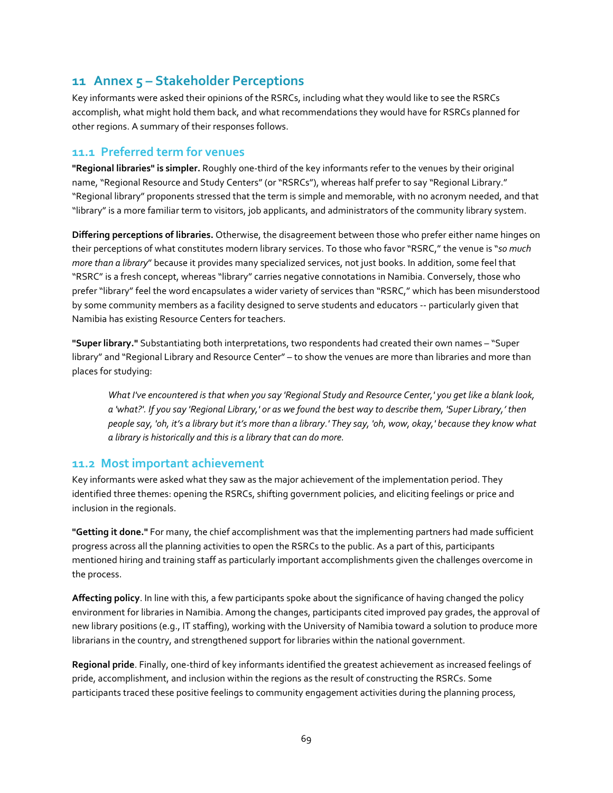# **11 Annex 5 – Stakeholder Perceptions**

Key informants were asked their opinions of the RSRCs, including what they would like to see the RSRCs accomplish, what might hold them back, and what recommendations they would have for RSRCs planned for other regions. A summary of their responses follows.

# **11.1 Preferred term for venues**

**"Regional libraries" is simpler.** Roughly one-third of the key informants refer to the venues by their original name, "Regional Resource and Study Centers" (or "RSRCs"), whereas half prefer to say "Regional Library." "Regional library" proponents stressed that the term is simple and memorable, with no acronym needed, and that "library" is a more familiar term to visitors, job applicants, and administrators of the community library system.

**Differing perceptions of libraries.** Otherwise, the disagreement between those who prefer either name hinges on their perceptions of what constitutes modern library services. To those who favor "RSRC," the venue is "*so much more than a library*" because it provides many specialized services, not just books. In addition, some feel that "RSRC" is a fresh concept, whereas "library" carries negative connotations in Namibia. Conversely, those who prefer "library" feel the word encapsulates a wider variety of services than "RSRC," which has been misunderstood by some community members as a facility designed to serve students and educators -- particularly given that Namibia has existing Resource Centers for teachers.

**"Super library."** Substantiating both interpretations, two respondents had created their own names – "Super library" and "Regional Library and Resource Center" – to show the venues are more than libraries and more than places for studying:

*What I've encountered is that when you say 'Regional Study and Resource Center,' you get like a blank look, a 'what?'. If you say 'Regional Library,' or as we found the best way to describe them, 'Super Library,' then people say, 'oh, it's a library but it's more than a library.' They say, 'oh, wow, okay,' because they know what a library is historically and this is a library that can do more.*

# **11.2 Most important achievement**

Key informants were asked what they saw as the major achievement of the implementation period. They identified three themes: opening the RSRCs, shifting government policies, and eliciting feelings or price and inclusion in the regionals.

**"Getting it done."** For many, the chief accomplishment was that the implementing partners had made sufficient progress across all the planning activities to open the RSRCs to the public. As a part of this, participants mentioned hiring and training staff as particularly important accomplishments given the challenges overcome in the process.

**Affecting policy**. In line with this, a few participants spoke about the significance of having changed the policy environment for libraries in Namibia. Among the changes, participants cited improved pay grades, the approval of new library positions (e.g., IT staffing), working with the University of Namibia toward a solution to produce more librarians in the country, and strengthened support for libraries within the national government.

**Regional pride**. Finally, one-third of key informants identified the greatest achievement as increased feelings of pride, accomplishment, and inclusion within the regions as the result of constructing the RSRCs. Some participants traced these positive feelings to community engagement activities during the planning process,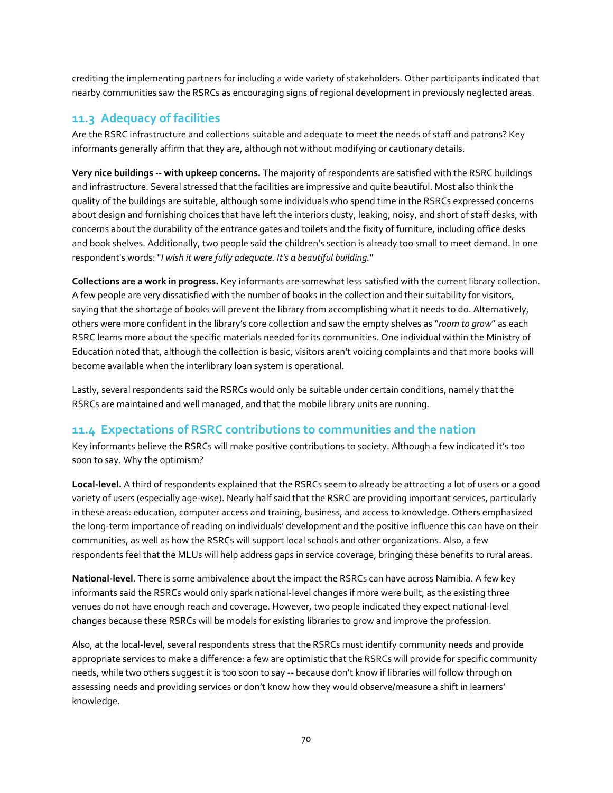crediting the implementing partners for including a wide variety of stakeholders. Other participants indicated that nearby communities saw the RSRCs as encouraging signs of regional development in previously neglected areas.

# **11.3 Adequacy of facilities**

Are the RSRC infrastructure and collections suitable and adequate to meet the needs of staff and patrons? Key informants generally affirm that they are, although not without modifying or cautionary details.

**Very nice buildings -- with upkeep concerns.** The majority of respondents are satisfied with the RSRC buildings and infrastructure. Several stressed that the facilities are impressive and quite beautiful. Most also think the quality of the buildings are suitable, although some individuals who spend time in the RSRCs expressed concerns about design and furnishing choices that have left the interiors dusty, leaking, noisy, and short of staff desks, with concerns about the durability of the entrance gates and toilets and the fixity of furniture, including office desks and book shelves. Additionally, two people said the children's section is already too small to meet demand. In one respondent's words: "*I wish it were fully adequate. It's a beautiful building.*"

**Collections are a work in progress.** Key informants are somewhat less satisfied with the current library collection. A few people are very dissatisfied with the number of books in the collection and their suitability for visitors, saying that the shortage of books will prevent the library from accomplishing what it needs to do. Alternatively, others were more confident in the library's core collection and saw the empty shelves as "*room to grow*" as each RSRC learns more about the specific materials needed for its communities. One individual within the Ministry of Education noted that, although the collection is basic, visitors aren't voicing complaints and that more books will become available when the interlibrary loan system is operational.

Lastly, several respondents said the RSRCs would only be suitable under certain conditions, namely that the RSRCs are maintained and well managed, and that the mobile library units are running.

# **11.4 Expectations of RSRC contributions to communities and the nation**

Key informants believe the RSRCs will make positive contributions to society. Although a few indicated it's too soon to say. Why the optimism?

**Local-level.** A third of respondents explained that the RSRCs seem to already be attracting a lot of users or a good variety of users (especially age-wise). Nearly half said that the RSRC are providing important services, particularly in these areas: education, computer access and training, business, and access to knowledge. Others emphasized the long-term importance of reading on individuals' development and the positive influence this can have on their communities, as well as how the RSRCs will support local schools and other organizations. Also, a few respondents feel that the MLUs will help address gaps in service coverage, bringing these benefits to rural areas.

**National-level**. There is some ambivalence about the impact the RSRCs can have across Namibia. A few key informants said the RSRCs would only spark national-level changes if more were built, as the existing three venues do not have enough reach and coverage. However, two people indicated they expect national-level changes because these RSRCs will be models for existing libraries to grow and improve the profession.

Also, at the local-level, several respondents stress that the RSRCs must identify community needs and provide appropriate services to make a difference: a few are optimistic that the RSRCs will provide for specific community needs, while two others suggest it is too soon to say -- because don't know if libraries will follow through on assessing needs and providing services or don't know how they would observe/measure a shift in learners' knowledge.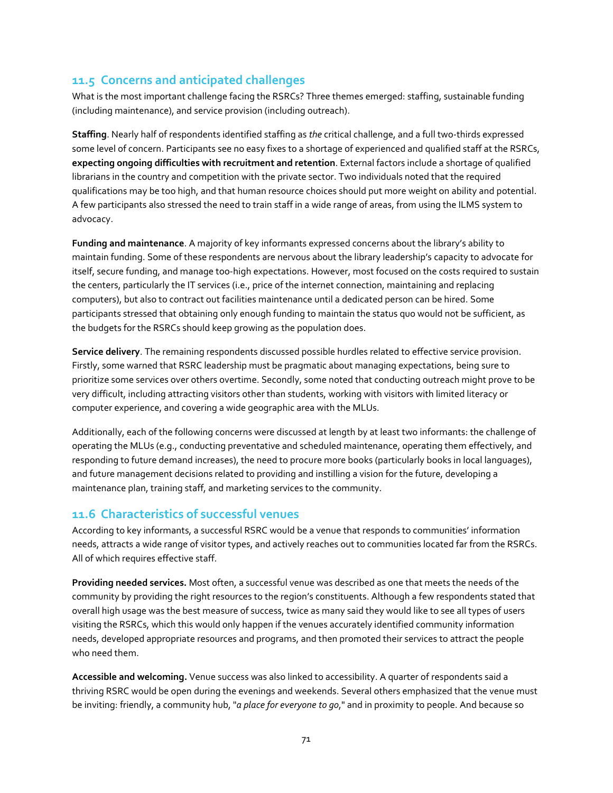# **11.5 Concerns and anticipated challenges**

What is the most important challenge facing the RSRCs? Three themes emerged: staffing, sustainable funding (including maintenance), and service provision (including outreach).

**Staffing**. Nearly half of respondents identified staffing as *the* critical challenge, and a full two-thirds expressed some level of concern. Participants see no easy fixes to a shortage of experienced and qualified staff at the RSRCs, **expecting ongoing difficulties with recruitment and retention**. External factors include a shortage of qualified librarians in the country and competition with the private sector. Two individuals noted that the required qualifications may be too high, and that human resource choices should put more weight on ability and potential. A few participants also stressed the need to train staff in a wide range of areas, from using the ILMS system to advocacy.

**Funding and maintenance**. A majority of key informants expressed concerns about the library's ability to maintain funding. Some of these respondents are nervous about the library leadership's capacity to advocate for itself, secure funding, and manage too-high expectations. However, most focused on the costs required to sustain the centers, particularly the IT services (i.e., price of the internet connection, maintaining and replacing computers), but also to contract out facilities maintenance until a dedicated person can be hired. Some participants stressed that obtaining only enough funding to maintain the status quo would not be sufficient, as the budgets for the RSRCs should keep growing as the population does.

**Service delivery**. The remaining respondents discussed possible hurdles related to effective service provision. Firstly, some warned that RSRC leadership must be pragmatic about managing expectations, being sure to prioritize some services over others overtime. Secondly, some noted that conducting outreach might prove to be very difficult, including attracting visitors other than students, working with visitors with limited literacy or computer experience, and covering a wide geographic area with the MLUs.

Additionally, each of the following concerns were discussed at length by at least two informants: the challenge of operating the MLUs (e.g., conducting preventative and scheduled maintenance, operating them effectively, and responding to future demand increases), the need to procure more books (particularly books in local languages), and future management decisions related to providing and instilling a vision for the future, developing a maintenance plan, training staff, and marketing services to the community.

# **11.6 Characteristics of successful venues**

According to key informants, a successful RSRC would be a venue that responds to communities' information needs, attracts a wide range of visitor types, and actively reaches out to communities located far from the RSRCs. All of which requires effective staff.

**Providing needed services.** Most often, a successful venue was described as one that meets the needs of the community by providing the right resources to the region's constituents. Although a few respondents stated that overall high usage was the best measure of success, twice as many said they would like to see all types of users visiting the RSRCs, which this would only happen if the venues accurately identified community information needs, developed appropriate resources and programs, and then promoted their services to attract the people who need them.

**Accessible and welcoming.** Venue success was also linked to accessibility. A quarter of respondents said a thriving RSRC would be open during the evenings and weekends. Several others emphasized that the venue must be inviting: friendly, a community hub, "*a place for everyone to go*," and in proximity to people. And because so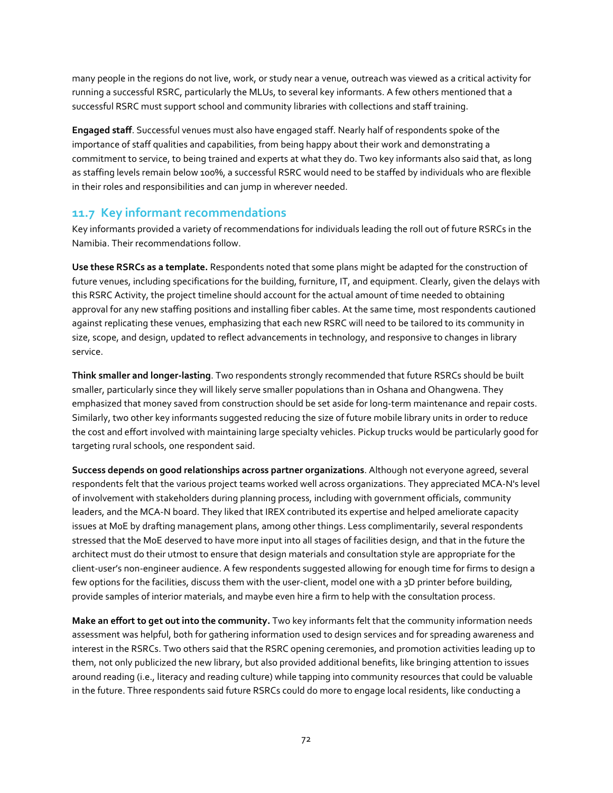many people in the regions do not live, work, or study near a venue, outreach was viewed as a critical activity for running a successful RSRC, particularly the MLUs, to several key informants. A few others mentioned that a successful RSRC must support school and community libraries with collections and staff training.

**Engaged staff**. Successful venues must also have engaged staff. Nearly half of respondents spoke of the importance of staff qualities and capabilities, from being happy about their work and demonstrating a commitment to service, to being trained and experts at what they do. Two key informants also said that, as long as staffing levels remain below 100%, a successful RSRC would need to be staffed by individuals who are flexible in their roles and responsibilities and can jump in wherever needed.

# **11.7 Key informant recommendations**

Key informants provided a variety of recommendations for individuals leading the roll out of future RSRCs in the Namibia. Their recommendations follow.

**Use these RSRCs as a template.** Respondents noted that some plans might be adapted for the construction of future venues, including specifications for the building, furniture, IT, and equipment. Clearly, given the delays with this RSRC Activity, the project timeline should account for the actual amount of time needed to obtaining approval for any new staffing positions and installing fiber cables. At the same time, most respondents cautioned against replicating these venues, emphasizing that each new RSRC will need to be tailored to its community in size, scope, and design, updated to reflect advancements in technology, and responsive to changes in library service.

**Think smaller and longer-lasting**. Two respondents strongly recommended that future RSRCs should be built smaller, particularly since they will likely serve smaller populations than in Oshana and Ohangwena. They emphasized that money saved from construction should be set aside for long-term maintenance and repair costs. Similarly, two other key informants suggested reducing the size of future mobile library units in order to reduce the cost and effort involved with maintaining large specialty vehicles. Pickup trucks would be particularly good for targeting rural schools, one respondent said.

**Success depends on good relationships across partner organizations**. Although not everyone agreed, several respondents felt that the various project teams worked well across organizations. They appreciated MCA-N's level of involvement with stakeholders during planning process, including with government officials, community leaders, and the MCA-N board. They liked that IREX contributed its expertise and helped ameliorate capacity issues at MoE by drafting management plans, among other things. Less complimentarily, several respondents stressed that the MoE deserved to have more input into all stages of facilities design, and that in the future the architect must do their utmost to ensure that design materials and consultation style are appropriate for the client-user's non-engineer audience. A few respondents suggested allowing for enough time for firms to design a few options for the facilities, discuss them with the user-client, model one with a 3D printer before building, provide samples of interior materials, and maybe even hire a firm to help with the consultation process.

**Make an effort to get out into the community.** Two key informants felt that the community information needs assessment was helpful, both for gathering information used to design services and for spreading awareness and interest in the RSRCs. Two others said that the RSRC opening ceremonies, and promotion activities leading up to them, not only publicized the new library, but also provided additional benefits, like bringing attention to issues around reading (i.e., literacy and reading culture) while tapping into community resources that could be valuable in the future. Three respondents said future RSRCs could do more to engage local residents, like conducting a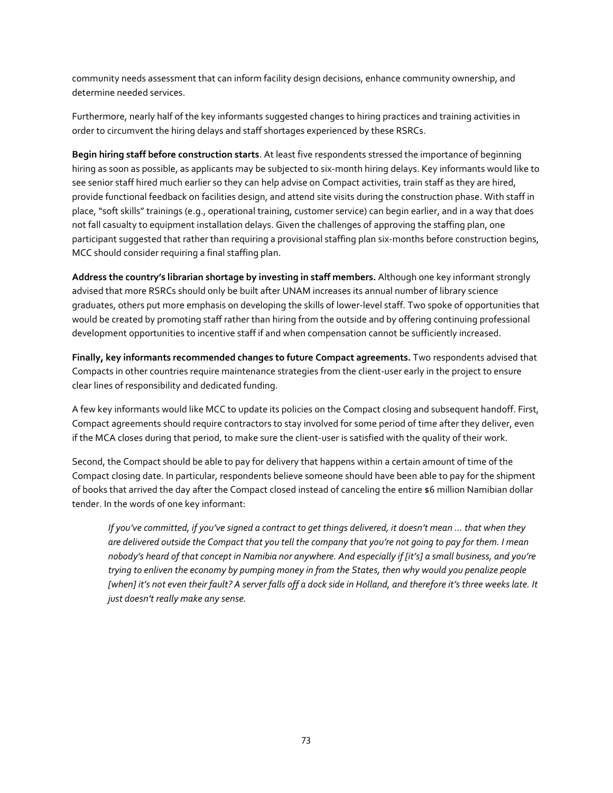community needs assessment that can inform facility design decisions, enhance community ownership, and determine needed services.

Furthermore, nearly half of the key informants suggested changes to hiring practices and training activities in order to circumvent the hiring delays and staff shortages experienced by these RSRCs.

**Begin hiring staff before construction starts**. At least five respondents stressed the importance of beginning hiring as soon as possible, as applicants may be subjected to six-month hiring delays. Key informants would like to see senior staff hired much earlier so they can help advise on Compact activities, train staff as they are hired, provide functional feedback on facilities design, and attend site visits during the construction phase. With staff in place, "soft skills" trainings (e.g., operational training, customer service) can begin earlier, and in a way that does not fall casualty to equipment installation delays. Given the challenges of approving the staffing plan, one participant suggested that rather than requiring a provisional staffing plan six-months before construction begins, MCC should consider requiring a final staffing plan.

**Address the country's librarian shortage by investing in staff members.** Although one key informant strongly advised that more RSRCs should only be built after UNAM increases its annual number of library science graduates, others put more emphasis on developing the skills of lower-level staff. Two spoke of opportunities that would be created by promoting staff rather than hiring from the outside and by offering continuing professional development opportunities to incentive staff if and when compensation cannot be sufficiently increased.

**Finally, key informants recommended changes to future Compact agreements.** Two respondents advised that Compacts in other countries require maintenance strategies from the client-user early in the project to ensure clear lines of responsibility and dedicated funding.

A few key informants would like MCC to update its policies on the Compact closing and subsequent handoff. First, Compact agreements should require contractors to stay involved for some period of time after they deliver, even if the MCA closes during that period, to make sure the client-user is satisfied with the quality of their work.

Second, the Compact should be able to pay for delivery that happens within a certain amount of time of the Compact closing date. In particular, respondents believe someone should have been able to pay for the shipment of books that arrived the day after the Compact closed instead of canceling the entire \$6 million Namibian dollar tender. In the words of one key informant:

*If you've committed, if you've signed a contract to get things delivered, it doesn't mean … that when they are delivered outside the Compact that you tell the company that you're not going to pay for them. I mean nobody's heard of that concept in Namibia nor anywhere. And especially if [it's] a small business, and you're trying to enliven the economy by pumping money in from the States, then why would you penalize people*  [when] it's not even their fault? A server falls off a dock side in Holland, and therefore it's three weeks late. It *just doesn't really make any sense.*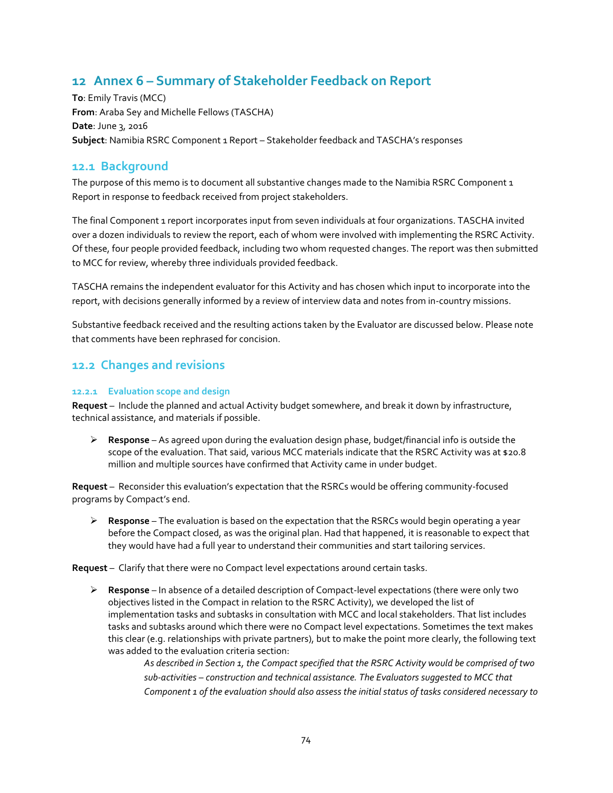# **12 Annex 6 – Summary of Stakeholder Feedback on Report**

**To**: Emily Travis (MCC) **From**: Araba Sey and Michelle Fellows (TASCHA) **Date**: June 3, 2016 **Subject**: Namibia RSRC Component 1 Report – Stakeholder feedback and TASCHA's responses

### **12.1 Background**

The purpose of this memo is to document all substantive changes made to the Namibia RSRC Component 1 Report in response to feedback received from project stakeholders.

The final Component 1 report incorporates input from seven individuals at four organizations. TASCHA invited over a dozen individuals to review the report, each of whom were involved with implementing the RSRC Activity. Of these, four people provided feedback, including two whom requested changes. The report was then submitted to MCC for review, whereby three individuals provided feedback.

TASCHA remains the independent evaluator for this Activity and has chosen which input to incorporate into the report, with decisions generally informed by a review of interview data and notes from in-country missions.

Substantive feedback received and the resulting actions taken by the Evaluator are discussed below. Please note that comments have been rephrased for concision.

## **12.2 Changes and revisions**

#### **12.2.1 Evaluation scope and design**

**Request** – Include the planned and actual Activity budget somewhere, and break it down by infrastructure, technical assistance, and materials if possible.

 **Response** – As agreed upon during the evaluation design phase, budget/financial info is outside the scope of the evaluation. That said, various MCC materials indicate that the RSRC Activity was at \$20.8 million and multiple sources have confirmed that Activity came in under budget.

**Request** – Reconsider this evaluation's expectation that the RSRCs would be offering community-focused programs by Compact's end.

 **Response** – The evaluation is based on the expectation that the RSRCs would begin operating a year before the Compact closed, as was the original plan. Had that happened, it is reasonable to expect that they would have had a full year to understand their communities and start tailoring services.

**Request** – Clarify that there were no Compact level expectations around certain tasks.

 **Response** – In absence of a detailed description of Compact-level expectations (there were only two objectives listed in the Compact in relation to the RSRC Activity), we developed the list of implementation tasks and subtasks in consultation with MCC and local stakeholders. That list includes tasks and subtasks around which there were no Compact level expectations. Sometimes the text makes this clear (e.g. relationships with private partners), but to make the point more clearly, the following text was added to the evaluation criteria section:

> *As described in Section 1, the Compact specified that the RSRC Activity would be comprised of two sub-activities – construction and technical assistance. The Evaluators suggested to MCC that Component 1 of the evaluation should also assess the initial status of tasks considered necessary to*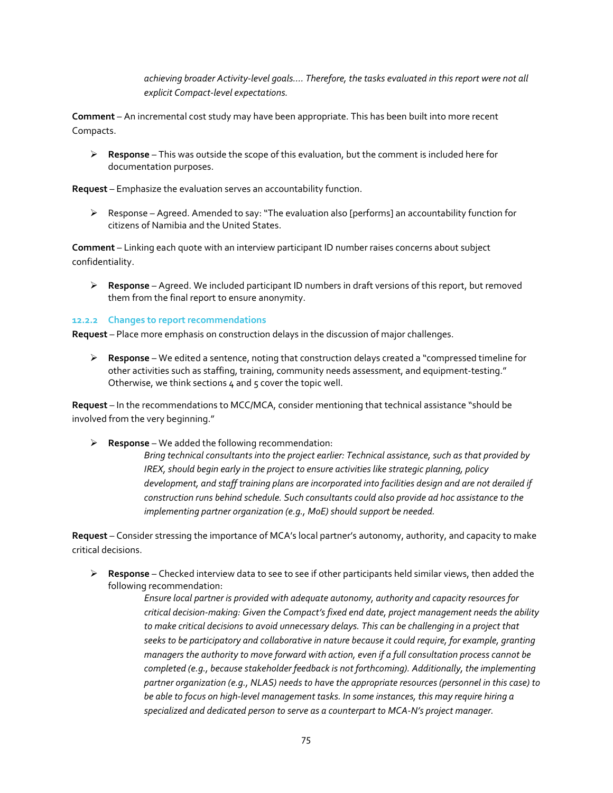*achieving broader Activity-level goals…. Therefore, the tasks evaluated in this report were not all explicit Compact-level expectations.*

**Comment** – An incremental cost study may have been appropriate. This has been built into more recent Compacts.

 **Response** – This was outside the scope of this evaluation, but the comment is included here for documentation purposes.

**Request** – Emphasize the evaluation serves an accountability function.

 $\triangleright$  Response – Agreed. Amended to say: "The evaluation also [performs] an accountability function for citizens of Namibia and the United States.

**Comment** – Linking each quote with an interview participant ID number raises concerns about subject confidentiality.

 **Response** – Agreed. We included participant ID numbers in draft versions of this report, but removed them from the final report to ensure anonymity.

#### **12.2.2 Changes to report recommendations**

**Request** – Place more emphasis on construction delays in the discussion of major challenges.

 **Response** – We edited a sentence, noting that construction delays created a "compressed timeline for other activities such as staffing, training, community needs assessment, and equipment-testing." Otherwise, we think sections 4 and 5 cover the topic well.

**Request** – In the recommendations to MCC/MCA, consider mentioning that technical assistance "should be involved from the very beginning."

**Response** – We added the following recommendation:

*Bring technical consultants into the project earlier: Technical assistance, such as that provided by IREX, should begin early in the project to ensure activities like strategic planning, policy development, and staff training plans are incorporated into facilities design and are not derailed if construction runs behind schedule. Such consultants could also provide ad hoc assistance to the implementing partner organization (e.g., MoE) should support be needed.*

**Request** – Consider stressing the importance of MCA's local partner's autonomy, authority, and capacity to make critical decisions.

 **Response** – Checked interview data to see to see if other participants held similar views, then added the following recommendation:

*Ensure local partner is provided with adequate autonomy, authority and capacity resources for critical decision-making: Given the Compact's fixed end date, project management needs the ability to make critical decisions to avoid unnecessary delays. This can be challenging in a project that seeks to be participatory and collaborative in nature because it could require, for example, granting managers the authority to move forward with action, even if a full consultation process cannot be completed (e.g., because stakeholder feedback is not forthcoming). Additionally, the implementing partner organization (e.g., NLAS) needs to have the appropriate resources (personnel in this case) to be able to focus on high-level management tasks. In some instances, this may require hiring a specialized and dedicated person to serve as a counterpart to MCA-N's project manager.*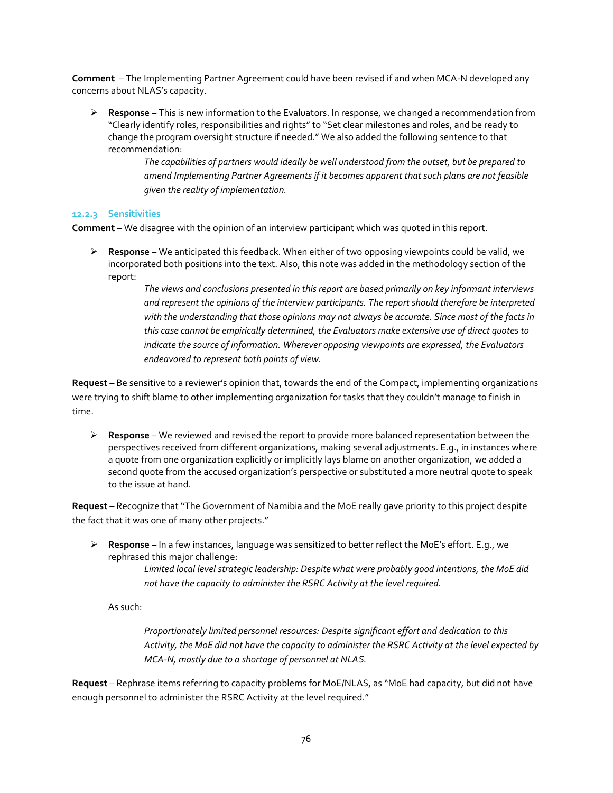**Comment** – The Implementing Partner Agreement could have been revised if and when MCA-N developed any concerns about NLAS's capacity.

 **Response** – This is new information to the Evaluators. In response, we changed a recommendation from "Clearly identify roles, responsibilities and rights" to "Set clear milestones and roles, and be ready to change the program oversight structure if needed." We also added the following sentence to that recommendation:

> *The capabilities of partners would ideally be well understood from the outset, but be prepared to amend Implementing Partner Agreements if it becomes apparent that such plans are not feasible given the reality of implementation.*

#### **12.2.3 Sensitivities**

**Comment** – We disagree with the opinion of an interview participant which was quoted in this report.

 **Response** – We anticipated this feedback. When either of two opposing viewpoints could be valid, we incorporated both positions into the text. Also, this note was added in the methodology section of the report:

*The views and conclusions presented in this report are based primarily on key informant interviews and represent the opinions of the interview participants. The report should therefore be interpreted with the understanding that those opinions may not always be accurate. Since most of the facts in this case cannot be empirically determined, the Evaluators make extensive use of direct quotes to indicate the source of information. Wherever opposing viewpoints are expressed, the Evaluators endeavored to represent both points of view.*

**Request** – Be sensitive to a reviewer's opinion that, towards the end of the Compact, implementing organizations were trying to shift blame to other implementing organization for tasks that they couldn't manage to finish in time.

 **Response** – We reviewed and revised the report to provide more balanced representation between the perspectives received from different organizations, making several adjustments. E.g., in instances where a quote from one organization explicitly or implicitly lays blame on another organization, we added a second quote from the accused organization's perspective or substituted a more neutral quote to speak to the issue at hand.

**Request** – Recognize that "The Government of Namibia and the MoE really gave priority to this project despite the fact that it was one of many other projects."

 **Response** – In a few instances, language was sensitized to better reflect the MoE's effort. E.g., we rephrased this major challenge:

*Limited local level strategic leadership: Despite what were probably good intentions, the MoE did not have the capacity to administer the RSRC Activity at the level required.*

As such:

*Proportionately limited personnel resources: Despite significant effort and dedication to this Activity, the MoE did not have the capacity to administer the RSRC Activity at the level expected by MCA-N, mostly due to a shortage of personnel at NLAS.*

**Request** – Rephrase items referring to capacity problems for MoE/NLAS, as "MoE had capacity, but did not have enough personnel to administer the RSRC Activity at the level required."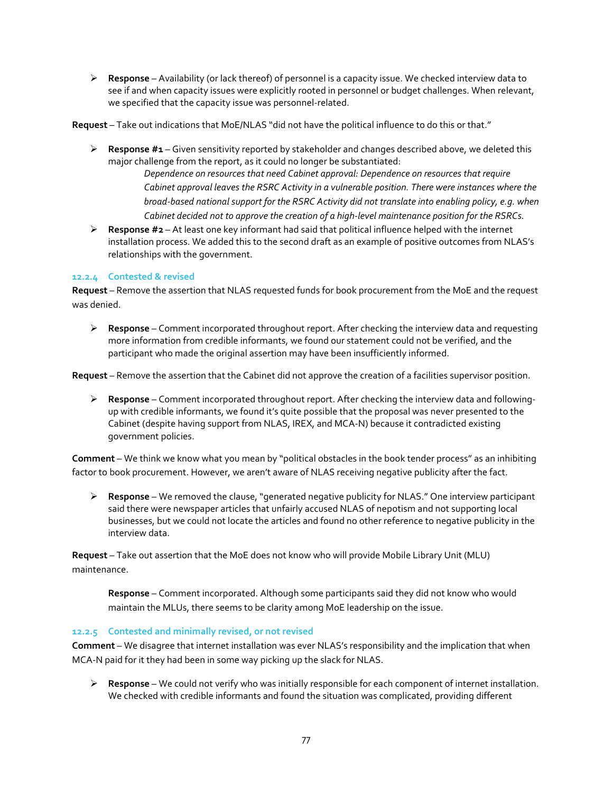**Response** – Availability (or lack thereof) of personnel is a capacity issue. We checked interview data to see if and when capacity issues were explicitly rooted in personnel or budget challenges. When relevant, we specified that the capacity issue was personnel-related.

**Request** – Take out indications that MoE/NLAS "did not have the political influence to do this or that."

 **Response #1** – Given sensitivity reported by stakeholder and changes described above, we deleted this major challenge from the report, as it could no longer be substantiated:

*Dependence on resources that need Cabinet approval: Dependence on resources that require Cabinet approval leaves the RSRC Activity in a vulnerable position. There were instances where the broad-based national support for the RSRC Activity did not translate into enabling policy, e.g. when Cabinet decided not to approve the creation of a high-level maintenance position for the RSRCs.*

 **Response #2** – At least one key informant had said that political influence helped with the internet installation process. We added this to the second draft as an example of positive outcomes from NLAS's relationships with the government.

#### **12.2.4 Contested & revised**

**Request** – Remove the assertion that NLAS requested funds for book procurement from the MoE and the request was denied.

 **Response** – Comment incorporated throughout report. After checking the interview data and requesting more information from credible informants, we found our statement could not be verified, and the participant who made the original assertion may have been insufficiently informed.

**Request** – Remove the assertion that the Cabinet did not approve the creation of a facilities supervisor position.

 **Response** – Comment incorporated throughout report. After checking the interview data and followingup with credible informants, we found it's quite possible that the proposal was never presented to the Cabinet (despite having support from NLAS, IREX, and MCA-N) because it contradicted existing government policies.

**Comment** – We think we know what you mean by "political obstacles in the book tender process" as an inhibiting factor to book procurement. However, we aren't aware of NLAS receiving negative publicity after the fact.

 **Response** – We removed the clause, "generated negative publicity for NLAS." One interview participant said there were newspaper articles that unfairly accused NLAS of nepotism and not supporting local businesses, but we could not locate the articles and found no other reference to negative publicity in the interview data.

**Request** – Take out assertion that the MoE does not know who will provide Mobile Library Unit (MLU) maintenance.

**Response** – Comment incorporated. Although some participants said they did not know who would maintain the MLUs, there seems to be clarity among MoE leadership on the issue.

#### **12.2.5 Contested and minimally revised, or not revised**

**Comment** – We disagree that internet installation was ever NLAS's responsibility and the implication that when MCA-N paid for it they had been in some way picking up the slack for NLAS.

 **Response** – We could not verify who was initially responsible for each component of internet installation. We checked with credible informants and found the situation was complicated, providing different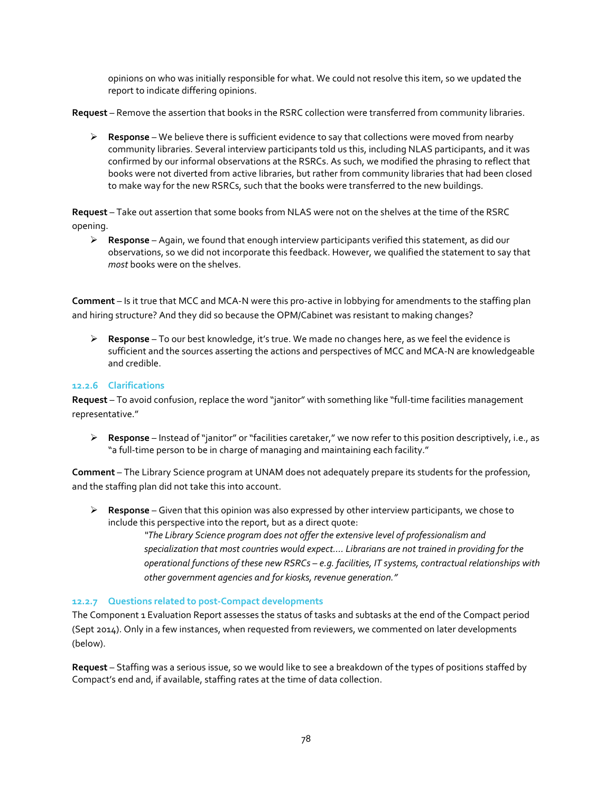opinions on who was initially responsible for what. We could not resolve this item, so we updated the report to indicate differing opinions.

**Request** – Remove the assertion that books in the RSRC collection were transferred from community libraries.

 **Response** – We believe there is sufficient evidence to say that collections were moved from nearby community libraries. Several interview participants told us this, including NLAS participants, and it was confirmed by our informal observations at the RSRCs. As such, we modified the phrasing to reflect that books were not diverted from active libraries, but rather from community libraries that had been closed to make way for the new RSRCs, such that the books were transferred to the new buildings.

**Request** – Take out assertion that some books from NLAS were not on the shelves at the time of the RSRC opening.

 **Response** – Again, we found that enough interview participants verified this statement, as did our observations, so we did not incorporate this feedback. However, we qualified the statement to say that *most* books were on the shelves.

**Comment** – Is it true that MCC and MCA-N were this pro-active in lobbying for amendments to the staffing plan and hiring structure? And they did so because the OPM/Cabinet was resistant to making changes?

 **Response** – To our best knowledge, it's true. We made no changes here, as we feel the evidence is sufficient and the sources asserting the actions and perspectives of MCC and MCA-N are knowledgeable and credible.

#### **12.2.6 Clarifications**

**Request** – To avoid confusion, replace the word "janitor" with something like "full-time facilities management representative."

 **Response** – Instead of "janitor" or "facilities caretaker," we now refer to this position descriptively, i.e., as "a full-time person to be in charge of managing and maintaining each facility."

**Comment** – The Library Science program at UNAM does not adequately prepare its students for the profession, and the staffing plan did not take this into account.

 **Response** – Given that this opinion was also expressed by other interview participants, we chose to include this perspective into the report, but as a direct quote:

> *"The Library Science program does not offer the extensive level of professionalism and specialization that most countries would expect…. Librarians are not trained in providing for the operational functions of these new RSRCs – e.g. facilities, IT systems, contractual relationships with other government agencies and for kiosks, revenue generation."*

#### **12.2.7 Questions related to post-Compact developments**

The Component 1 Evaluation Report assesses the status of tasks and subtasks at the end of the Compact period (Sept 2014). Only in a few instances, when requested from reviewers, we commented on later developments (below).

**Request** – Staffing was a serious issue, so we would like to see a breakdown of the types of positions staffed by Compact's end and, if available, staffing rates at the time of data collection.